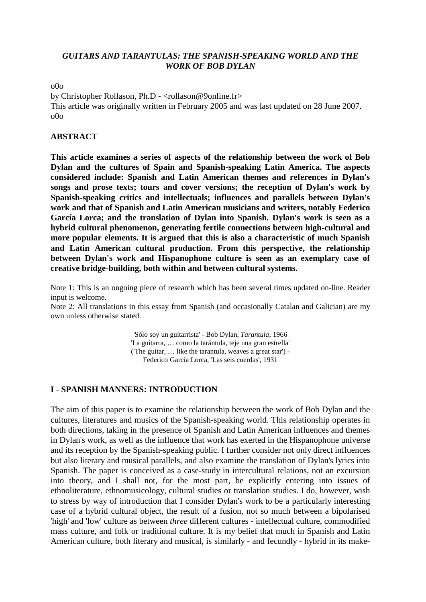## *GUITARS AND TARANTULAS: THE SPANISH-SPEAKING WORLD AND THE WORK OF BOB DYLAN*

o0o

by Christopher Rollason, Ph.D - <rollason@9online.fr> This article was originally written in February 2005 and was last updated on 28 June 2007. o0o

# **ABSTRACT**

**This article examines a series of aspects of the relationship between the work of Bob Dylan and the cultures of Spain and Spanish-speaking Latin America. The aspects considered include: Spanish and Latin American themes and references in Dylan's songs and prose texts; tours and cover versions; the reception of Dylan's work by Spanish-speaking critics and intellectuals; influences and parallels between Dylan's work and that of Spanish and Latin American musicians and writers, notably Federico García Lorca; and the translation of Dylan into Spanish. Dylan's work is seen as a hybrid cultural phenomenon, generating fertile connections between high-cultural and more popular elements. It is argued that this is also a characteristic of much Spanish and Latin American cultural production. From this perspective, the relationship between Dylan's work and Hispanophone culture is seen as an exemplary case of creative bridge-building, both within and between cultural systems.**

Note 1: This is an ongoing piece of research which has been several times updated on-line. Reader input is welcome.

Note 2: All translations in this essay from Spanish (and occasionally Catalan and Galician) are my own unless otherwise stated.

> 'Sólo soy un guitarrista' - Bob Dylan, *Tarantula*, 1966 'La guitarra, … como la tarántula, teje una gran estrella' ('The guitar, … like the tarantula, weaves a great star') - Federico García Lorca, 'Las seis cuerdas', 1931

# **I - SPANISH MANNERS: INTRODUCTION**

The aim of this paper is to examine the relationship between the work of Bob Dylan and the cultures, literatures and musics of the Spanish-speaking world. This relationship operates in both directions, taking in the presence of Spanish and Latin American influences and themes in Dylan's work, as well as the influence that work has exerted in the Hispanophone universe and its reception by the Spanish-speaking public. I further consider not only direct influences but also literary and musical parallels, and also examine the translation of Dylan's lyrics into Spanish. The paper is conceived as a case-study in intercultural relations, not an excursion into theory, and I shall not, for the most part, be explicitly entering into issues of ethnoliterature, ethnomusicology, cultural studies or translation studies. I do, however, wish to stress by way of introduction that I consider Dylan's work to be a particularly interesting case of a hybrid cultural object, the result of a fusion, not so much between a bipolarised 'high' and 'low' culture as between *three* different cultures - intellectual culture, commodified mass culture, and folk or traditional culture. It is my belief that much in Spanish and Latin American culture, both literary and musical, is similarly - and fecundly - hybrid in its make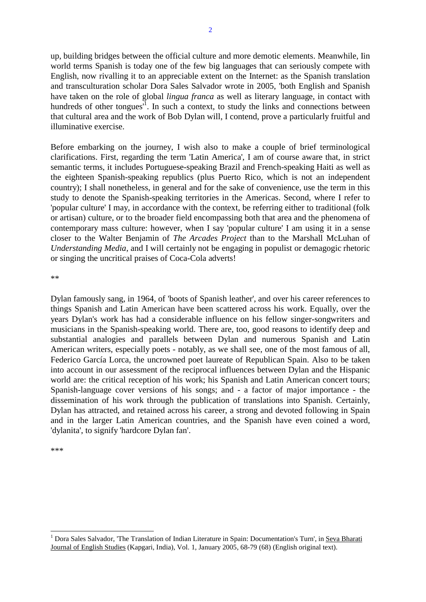up, building bridges between the official culture and more demotic elements. Meanwhile, Iin world terms Spanish is today one of the few big languages that can seriously compete with English, now rivalling it to an appreciable extent on the Internet: as the Spanish translation and transculturation scholar Dora Sales Salvador wrote in 2005, 'both English and Spanish have taken on the role of global *lingua franca* as well as literary language, in contact with hundreds of other tongues $\overline{I}$ . In such a context, to study the links and connections between that cultural area and the work of Bob Dylan will, I contend, prove a particularly fruitful and illuminative exercise.

Before embarking on the journey, I wish also to make a couple of brief terminological clarifications. First, regarding the term 'Latin America', I am of course aware that, in strict semantic terms, it includes Portuguese-speaking Brazil and French-speaking Haiti as well as the eighteen Spanish-speaking republics (plus Puerto Rico, which is not an independent country); I shall nonetheless, in general and for the sake of convenience, use the term in this study to denote the Spanish-speaking territories in the Americas. Second, where I refer to 'popular culture' I may, in accordance with the context, be referring either to traditional (folk or artisan) culture, or to the broader field encompassing both that area and the phenomena of contemporary mass culture: however, when I say 'popular culture' I am using it in a sense closer to the Walter Benjamin of *The Arcades Project* than to the Marshall McLuhan of *Understanding Media*, and I will certainly not be engaging in populist or demagogic rhetoric or singing the uncritical praises of Coca-Cola adverts!

\*\*

Dylan famously sang, in 1964, of 'boots of Spanish leather', and over his career references to things Spanish and Latin American have been scattered across his work. Equally, over the years Dylan's work has had a considerable influence on his fellow singer-songwriters and musicians in the Spanish-speaking world. There are, too, good reasons to identify deep and substantial analogies and parallels between Dylan and numerous Spanish and Latin American writers, especially poets - notably, as we shall see, one of the most famous of all, Federico García Lorca, the uncrowned poet laureate of Republican Spain. Also to be taken into account in our assessment of the reciprocal influences between Dylan and the Hispanic world are: the critical reception of his work; his Spanish and Latin American concert tours; Spanish-language cover versions of his songs; and - a factor of major importance - the dissemination of his work through the publication of translations into Spanish. Certainly, Dylan has attracted, and retained across his career, a strong and devoted following in Spain and in the larger Latin American countries, and the Spanish have even coined a word, 'dylanita', to signify 'hardcore Dylan fan'.

<sup>&</sup>lt;sup>1</sup> Dora Sales Salvador, 'The Translation of Indian Literature in Spain: Documentation's Turn', in Seva Bharati Journal of English Studies (Kapgari, India), Vol. 1, January 2005, 68-79 (68) (English original text).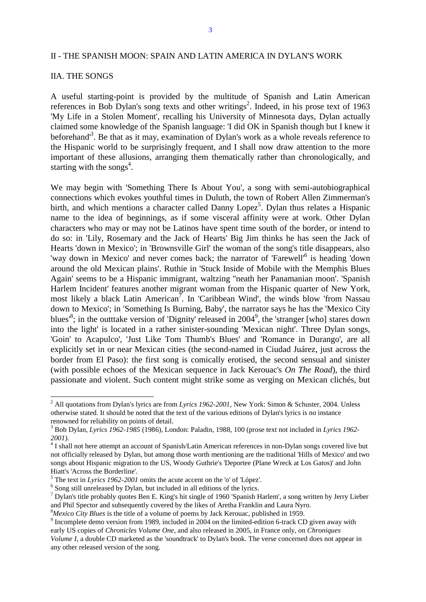## II - THE SPANISH MOON: SPAIN AND LATIN AMERICA IN DYLAN'S WORK

### IIA. THE SONGS

A useful starting-point is provided by the multitude of Spanish and Latin American references in Bob Dylan's song texts and other writings<sup>2</sup>. Indeed, in his prose text of 1963 'My Life in a Stolen Moment', recalling his University of Minnesota days, Dylan actually claimed some knowledge of the Spanish language: 'I did OK in Spanish though but I knew it beforehand<sup>3</sup>. Be that as it may, examination of Dylan's work as a whole reveals reference to the Hispanic world to be surprisingly frequent, and I shall now draw attention to the more important of these allusions, arranging them thematically rather than chronologically, and starting with the songs<sup>4</sup>.

We may begin with 'Something There Is About You', a song with semi-autobiographical connections which evokes youthful times in Duluth, the town of Robert Allen Zimmerman's birth, and which mentions a character called Danny Lopez<sup>5</sup>. Dylan thus relates a Hispanic name to the idea of beginnings, as if some visceral affinity were at work. Other Dylan characters who may or may not be Latinos have spent time south of the border, or intend to do so: in 'Lily, Rosemary and the Jack of Hearts' Big Jim thinks he has seen the Jack of Hearts 'down in Mexico'; in 'Brownsville Girl' the woman of the song's title disappears, also 'way down in Mexico' and never comes back; the narrator of 'Farewell'<sup>6</sup> is heading 'down around the old Mexican plains'. Ruthie in 'Stuck Inside of Mobile with the Memphis Blues Again' seems to be a Hispanic immigrant, waltzing ''neath her Panamanian moon'. 'Spanish Harlem Incident' features another migrant woman from the Hispanic quarter of New York, most likely a black Latin American<sup>7</sup>. In 'Caribbean Wind', the winds blow 'from Nassau down to Mexico'; in 'Something Is Burning, Baby', the narrator says he has the 'Mexico City blues<sup>8</sup>; in the outttake version of 'Dignity' released in 2004<sup>9</sup>, the 'stranger [who] stares down into the light' is located in a rather sinister-sounding 'Mexican night'. Three Dylan songs, 'Goin' to Acapulco', 'Just Like Tom Thumb's Blues' and 'Romance in Durango', are all explicitly set in or near Mexican cities (the second-named in Ciudad Juárez, just across the border from El Paso): the first song is comically erotised, the second sensual and sinister (with possible echoes of the Mexican sequence in Jack Kerouac's *On The Road*), the third passionate and violent. Such content might strike some as verging on Mexican clichés, but

<sup>&</sup>lt;sup>2</sup> All quotations from Dylan's lyrics are from *Lyrics 1962-2001*, New York: Simon & Schuster, 2004. Unless otherwise stated. It should be noted that the text of the various editions of Dylan's lyrics is no instance renowned for reliability on points of detail.

<sup>3</sup> Bob Dylan, *Lyrics 1962-1985* (1986), London: Paladin, 1988, 100 (prose text not included in *Lyrics 1962- 2001*).

<sup>&</sup>lt;sup>4</sup> I shall not here attempt an account of Spanish/Latin American references in non-Dylan songs covered live but not officially released by Dylan, but among those worth mentioning are the traditional 'Hills of Mexico' and two songs about Hispanic migration to the US, Woody Guthrie's 'Deportee (Plane Wreck at Los Gatos)' and John Hiatt's 'Across the Borderline'.

<sup>5</sup> The text in *Lyrics 1962-2001* omits the acute accent on the 'o' of 'López'.

<sup>&</sup>lt;sup>6</sup> Song still unreleased by Dylan, but included in all editions of the lyrics.

 $^7$  Dylan's title probably quotes Ben E. King's hit single of 1960 'Spanish Harlem', a song written by Jerry Lieber and Phil Spector and subsequently covered by the likes of Aretha Franklin and Laura Nyro.

<sup>8</sup> *Mexico City Blues* is the title of a volume of poems by Jack Kerouac, published in 1959.

<sup>&</sup>lt;sup>9</sup> Incomplete demo version from 1989, included in 2004 on the limited-edition 6-track CD given away with early US copies of *Chronicles Volume One*, and also released in 2005, in France only, on *Chroniques Volume I*, a double CD marketed as the 'soundtrack' to Dylan's book. The verse concerned does not appear in any other released version of the song.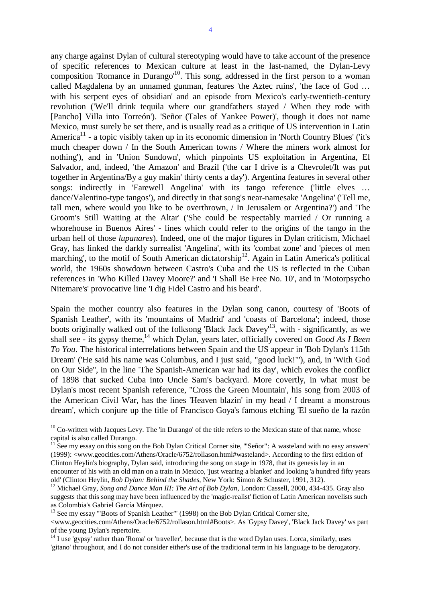any charge against Dylan of cultural stereotyping would have to take account of the presence of specific references to Mexican culture at least in the last-named, the Dylan-Levy composition 'Romance in Durango'10. This song, addressed in the first person to a woman called Magdalena by an unnamed gunman, features 'the Aztec ruins', 'the face of God … with his serpent eyes of obsidian' and an episode from Mexico's early-twentieth-century revolution ('We'll drink tequila where our grandfathers stayed / When they rode with [Pancho] Villa into Torreón'). 'Señor (Tales of Yankee Power)', though it does not name Mexico, must surely be set there, and is usually read as a critique of US intervention in Latin America<sup>11</sup> - a topic visibly taken up in its economic dimension in 'North Country Blues' ('it's much cheaper down / In the South American towns / Where the miners work almost for nothing'), and in 'Union Sundown', which pinpoints US exploitation in Argentina, El Salvador, and, indeed, 'the Amazon' and Brazil ('the car I drive is a Chevrolet/It was put together in Argentina/By a guy makin' thirty cents a day'). Argentina features in several other songs: indirectly in 'Farewell Angelina' with its tango reference ('little elves ... dance/Valentino-type tangos'), and directly in that song's near-namesake 'Angelina' ('Tell me, tall men, where would you like to be overthrown, / In Jerusalem or Argentina?') and 'The Groom's Still Waiting at the Altar' ('She could be respectably married / Or running a whorehouse in Buenos Aires' - lines which could refer to the origins of the tango in the urban hell of those *lupanares*). Indeed, one of the major figures in Dylan criticism, Michael Gray, has linked the darkly surrealist 'Angelina', with its 'combat zone' and 'pieces of men marching', to the motif of South American dictatorship<sup>12</sup>. Again in Latin America's political world, the 1960s showdown between Castro's Cuba and the US is reflected in the Cuban references in 'Who Killed Davey Moore?' and 'I Shall Be Free No. 10', and in 'Motorpsycho Nitemare's' provocative line 'I dig Fidel Castro and his beard'.

Spain the mother country also features in the Dylan song canon, courtesy of 'Boots of Spanish Leather', with its 'mountains of Madrid' and 'coasts of Barcelona'; indeed, those boots originally walked out of the folksong 'Black Jack Davey'<sup>13</sup>, with - significantly, as we shall see - its gypsy theme,<sup>14</sup> which Dylan, years later, officially covered on *Good As I Been To You*. The historical interrelations between Spain and the US appear in 'Bob Dylan's 115th Dream' ('He said his name was Columbus, and I just said, "good luck!"'), and, in 'With God on Our Side'', in the line 'The Spanish-American war had its day', which evokes the conflict of 1898 that sucked Cuba into Uncle Sam's backyard. More covertly, in what must be Dylan's most recent Spanish reference, ''Cross the Green Mountain', his song from 2003 of the American Civil War, has the lines 'Heaven blazin' in my head / I dreamt a monstrous dream', which conjure up the title of Francisco Goya's famous etching 'El sueño de la razón

<sup>&</sup>lt;sup>10</sup> Co-written with Jacques Levy. The 'in Durango' of the title refers to the Mexican state of that name, whose capital is also called Durango.

 $11$  See my essay on this song on the Bob Dylan Critical Corner site, "Señor": A wasteland with no easy answers' (1999): <www.geocities.com/Athens/Oracle/6752/rollason.html#wasteland>. According to the first edition of Clinton Heylin's biography, Dylan said, introducing the song on stage in 1978, that its genesis lay in an encounter of his with an old man on a train in Mexico, 'just wearing a blanket' and looking 'a hundred fifty years

old' (Clinton Heylin, *Bob Dylan: Behind the Shades*, New York: Simon & Schuster, 1991, 312). <sup>12</sup> Michael Gray, *Song and Dance Man III: The Art of Bob Dylan*, London: Cassell, 2000, 434-435. Gray also

suggests that this song may have been influenced by the 'magic-realist' fiction of Latin American novelists such as Colombia's Gabriel García Márquez.

<sup>&</sup>lt;sup>13</sup> See my essay "Boots of Spanish Leather"' (1998) on the Bob Dylan Critical Corner site,

<sup>&</sup>lt;www.geocities.com/Athens/Oracle/6752/rollason.html#Boots>. As 'Gypsy Davey', 'Black Jack Davey' ws part of the young Dylan's repertoire.

 $14$  I use 'gypsy' rather than 'Roma' or 'traveller', because that is the word Dylan uses. Lorca, similarly, uses 'gitano' throughout, and I do not consider either's use of the traditional term in his language to be derogatory.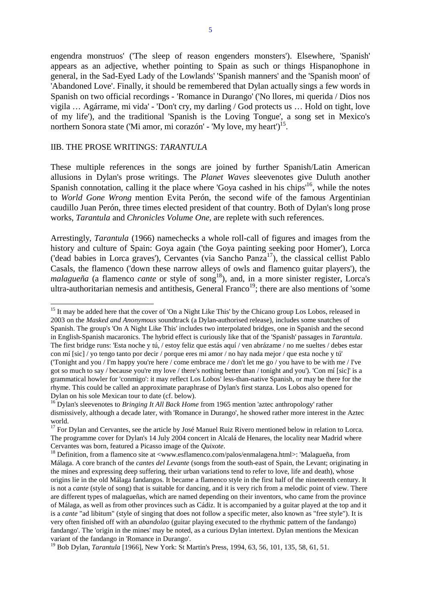engendra monstruos' ('The sleep of reason engenders monsters'). Elsewhere, 'Spanish' appears as an adjective, whether pointing to Spain as such or things Hispanophone in general, in the Sad-Eyed Lady of the Lowlands' 'Spanish manners' and the 'Spanish moon' of 'Abandoned Love'. Finally, it should be remembered that Dylan actually sings a few words in Spanish on two official recordings - 'Romance in Durango' ('No llores, mi querida / Dios nos vigila … Agárrame, mi vida' - 'Don't cry, my darling / God protects us … Hold on tight, love of my life'), and the traditional 'Spanish is the Loving Tongue', a song set in Mexico's northern Sonora state ('Mi amor, mi corazón' - 'My love, my heart')<sup>15</sup>.

#### IIB. THE PROSE WRITINGS: *TARANTULA*

l

These multiple references in the songs are joined by further Spanish/Latin American allusions in Dylan's prose writings. The *Planet Waves* sleevenotes give Duluth another Spanish connotation, calling it the place where 'Goya cashed in his chips'<sup>16</sup>, while the notes to *World Gone Wrong* mention Evita Perón, the second wife of the famous Argentinian caudillo Juan Perón, three times elected president of that country. Both of Dylan's long prose works, *Tarantula* and *Chronicles Volume One*, are replete with such references.

Arrestingly, *Tarantula* (1966) namechecks a whole roll-call of figures and images from the history and culture of Spain: Goya again ('the Goya painting seeking poor Homer'), Lorca ('dead babies in Lorca graves'), Cervantes (via Sancho Panza<sup>17</sup>), the classical cellist Pablo Casals, the flamenco ('down these narrow alleys of owls and flamenco guitar players'), the *malagueña* (a flamenco *cante* or style of song<sup>18</sup>), and, in a more sinister register, Lorca's ultra-authoritarian nemesis and antithesis, General Franco<sup>19</sup>; there are also mentions of 'some

<sup>&</sup>lt;sup>15</sup> It may be added here that the cover of 'On a Night Like This' by the Chicano group Los Lobos, released in 2003 on the *Masked and Anonymous* soundtrack (a Dylan-authorised release), includes some snatches of Spanish. The group's 'On A Night Like This' includes two interpolated bridges, one in Spanish and the second in English-Spanish macaronics. The hybrid effect is curiously like that of the 'Spanish' passages in *Tarantula*. The first bridge runs: 'Esta noche y tú, / estoy feliz que estás aquí / ven abrázame / no me sueltes / debes estar con mí [sic] / yo tengo tanto por decir / porque eres mi amor / no hay nada mejor / que esta noche y tú' ('Tonight and you / I'm happy you're here / come embrace me / don't let me go / you have to be with me / I've got so much to say / because you're my love / there's nothing better than / tonight and you'). 'Con mí [sic]' is a grammatical howler for 'conmigo': it may reflect Los Lobos' less-than-native Spanish, or may be there for the rhyme. This could be called an approximate paraphrase of Dylan's first stanza. Los Lobos also opened for Dylan on his sole Mexican tour to date (cf. below).

<sup>&</sup>lt;sup>16</sup> Dylan's sleevenotes to *Bringing It All Back Home* from 1965 mention 'aztec anthropology' rather dismissively, although a decade later, with 'Romance in Durango', he showed rather more interest in the Aztec world.

<sup>&</sup>lt;sup>17</sup> For Dylan and Cervantes, see the article by José Manuel Ruiz Rivero mentioned below in relation to Lorca. The programme cover for Dylan's 14 July 2004 concert in Alcalá de Henares, the locality near Madrid where Cervantes was born, featured a Picasso image of the *Quixote*.

<sup>&</sup>lt;sup>18</sup> Definition, from a flamenco site at <www.esflamenco.com/palos/enmalagena.html>: 'Malagueña, from Málaga. A core branch of the *cantes del Levante* (songs from the south-east of Spain, the Levant; originating in the mines and expressing deep suffering, their urban variations tend to refer to love, life and death), whose origins lie in the old Málaga fandangos. It became a flamenco style in the first half of the nineteenth century. It is not a *cante* (style of song) that is suitable for dancing, and it is very rich from a melodic point of view. There are different types of malagueñas, which are named depending on their inventors, who came from the province of Málaga, as well as from other provinces such as Cádiz. It is accompanied by a guitar played at the top and it is a *cante* "ad libitum" (style of singing that does not follow a specific meter, also known as "free style"). It is very often finished off with an *abandolao* (guitar playing executed to the rhythmic pattern of the fandango) fandango'. The 'origin in the mines' may be noted, as a curious Dylan intertext. Dylan mentions the Mexican variant of the fandango in 'Romance in Durango'.

<sup>19</sup> Bob Dylan, *Tarantula* [1966], New York: St Martin's Press, 1994, 63, 56, 101, 135, 58, 61, 51.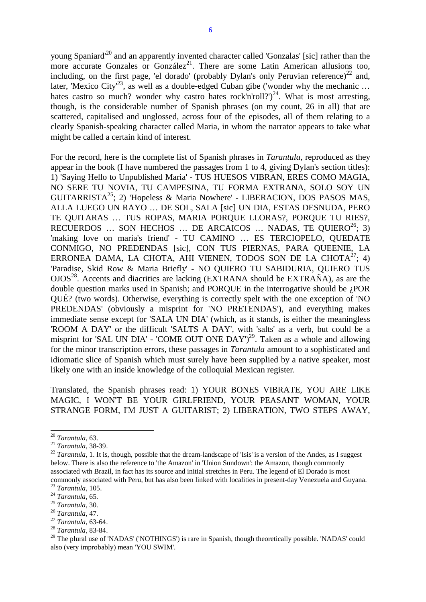young Spaniard'20 and an apparently invented character called 'Gonzalas' [sic] rather than the more accurate Gonzales or González<sup>21</sup>. There are some Latin American allusions too, including, on the first page, 'el dorado' (probably Dylan's only Peruvian reference)<sup>22</sup> and, later, 'Mexico City<sup> $23$ </sup>, as well as a double-edged Cuban gibe ('wonder why the mechanic ... hates castro so much? wonder why castro hates rock'n'roll?')<sup>24</sup>. What is most arresting, though, is the considerable number of Spanish phrases (on my count, 26 in all) that are scattered, capitalised and unglossed, across four of the episodes, all of them relating to a clearly Spanish-speaking character called Maria, in whom the narrator appears to take what might be called a certain kind of interest.

For the record, here is the complete list of Spanish phrases in *Tarantula*, reproduced as they appear in the book (I have numbered the passages from 1 to 4, giving Dylan's section titles): 1) 'Saying Hello to Unpublished Maria' - TUS HUESOS VIBRAN, ERES COMO MAGIA, NO SERE TU NOVIA, TU CAMPESINA, TU FORMA EXTRANA, SOLO SOY UN GUITARRISTA<sup>25</sup>: 2) 'Hopeless & Maria Nowhere' - LIBERACION, DOS PASOS MAS, ALLA LUEGO UN RAYO … DE SOL, SALA [sic] UN DIA, ESTAS DESNUDA, PERO TE QUITARAS … TUS ROPAS, MARIA PORQUE LLORAS?, PORQUE TU RIES?, RECUERDOS ... SON HECHOS ... DE ARCAICOS ... NADAS, TE QUIERO<sup>26</sup>; 3) 'making love on maria's friend' - TU CAMINO … ES TERCIOPELO, QUEDATE CONMIGO, NO PREDENDAS [sic], CON TUS PIERNAS, PARA QUEENIE, LA ERRONEA DAMA, LA CHOTA, AHI VIENEN, TODOS SON DE LA CHOTA<sup>27</sup>; 4) 'Paradise, Skid Row & Maria Briefly' - NO QUIERO TU SABIDURIA, QUIERO TUS  $OJOS<sup>28</sup>$ . Accents and diacritics are lacking (EXTRANA should be EXTRAÑA), as are the double question marks used in Spanish; and PORQUE in the interrogative should be ¿POR QUÉ? (two words). Otherwise, everything is correctly spelt with the one exception of 'NO PREDENDAS' (obviously a misprint for 'NO PRETENDAS'), and everything makes immediate sense except for 'SALA UN DIA' (which, as it stands, is either the meaningless 'ROOM A DAY' or the difficult 'SALTS A DAY', with 'salts' as a verb, but could be a misprint for 'SAL UN DIA' - 'COME OUT ONE DAY')<sup>29</sup>. Taken as a whole and allowing for the minor transcription errors, these passages in *Tarantula* amount to a sophisticated and idiomatic slice of Spanish which must surely have been supplied by a native speaker, most likely one with an inside knowledge of the colloquial Mexican register.

Translated, the Spanish phrases read: 1) YOUR BONES VIBRATE, YOU ARE LIKE MAGIC, I WON'T BE YOUR GIRLFRIEND, YOUR PEASANT WOMAN, YOUR STRANGE FORM, I'M JUST A GUITARIST; 2) LIBERATION, TWO STEPS AWAY,

l

<sup>27</sup> *Tarantula*, 63-64.

<sup>20</sup> *Tarantula*, 63.

<sup>21</sup> *Tarantula*, 38-39.

<sup>&</sup>lt;sup>22</sup> *Tarantula*, 1. It is, though, possible that the dream-landscape of 'Isis' is a version of the Andes, as I suggest below. There is also the reference to 'the Amazon' in 'Union Sundown': the Amazon, though commonly associated wth Brazil, in fact has its source and initial stretches in Peru. The legend of El Dorado is most commonly associated with Peru, but has also been linked with localities in present-day Venezuela and Guyana.

<sup>23</sup> *Tarantula*, 105.

<sup>24</sup> *Tarantula*, 65.

<sup>25</sup> *Tarantula*, 30.

<sup>26</sup> *Tarantula*, 47.

<sup>28</sup> *Tarantula*, 83-84.

<sup>&</sup>lt;sup>29</sup> The plural use of 'NADAS' ('NOTHINGS') is rare in Spanish, though theoretically possible. 'NADAS' could also (very improbably) mean 'YOU SWIM'.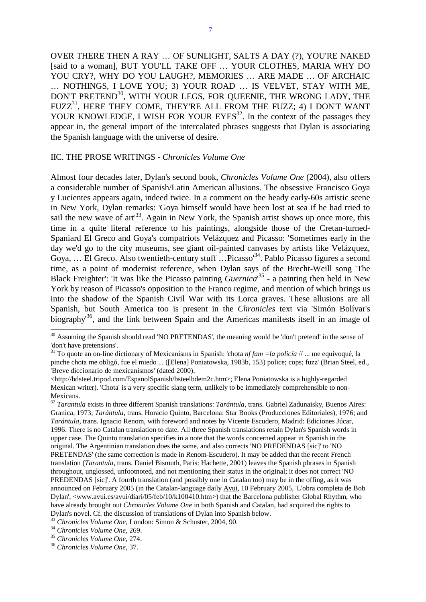OVER THERE THEN A RAY … OF SUNLIGHT, SALTS A DAY (?), YOU'RE NAKED [said to a woman], BUT YOU'LL TAKE OFF … YOUR CLOTHES, MARIA WHY DO YOU CRY?, WHY DO YOU LAUGH?, MEMORIES … ARE MADE … OF ARCHAIC … NOTHINGS, I LOVE YOU; 3) YOUR ROAD … IS VELVET, STAY WITH ME, DON'T PRETEND<sup>30</sup>, WITH YOUR LEGS, FOR QUEENIE, THE WRONG LADY, THE FUZZ<sup>31</sup>, HERE THEY COME, THEY'RE ALL FROM THE FUZZ; 4) I DON'T WANT YOUR KNOWLEDGE, I WISH FOR YOUR EYES<sup>32</sup>. In the context of the passages they appear in, the general import of the intercalated phrases suggests that Dylan is associating the Spanish language with the universe of desire.

#### IIC. THE PROSE WRITINGS - *Chronicles Volume One*

Almost four decades later, Dylan's second book, *Chronicles Volume One* (2004), also offers a considerable number of Spanish/Latin American allusions. The obsessive Francisco Goya y Lucientes appears again, indeed twice. In a comment on the heady early-60s artistic scene in New York, Dylan remarks: 'Goya himself would have been lost at sea if he had tried to sail the new wave of art<sup>33</sup>. Again in New York, the Spanish artist shows up once more, this time in a quite literal reference to his paintings, alongside those of the Cretan-turned-Spaniard El Greco and Goya's compatriots Velázquez and Picasso: 'Sometimes early in the day we'd go to the city museums, see giant oil-painted canvases by artists like Velázquez, Goya, … El Greco. Also twentieth-century stuff …Picasso'34. Pablo Picasso figures a second time, as a point of modernist reference, when Dylan says of the Brecht-Weill song 'The Black Freighter': 'It was like the Picasso painting *Guernica*' <sup>35</sup> - a painting then held in New York by reason of Picasso's opposition to the Franco regime, and mention of which brings us into the shadow of the Spanish Civil War with its Lorca graves. These allusions are all Spanish, but South America too is present in the *Chronicles* text via 'Simón Bolívar's biography<sup>36</sup>, and the link between Spain and the Americas manifests itself in an image of

 $30$  Assuming the Spanish should read 'NO PRETENDAS', the meaning would be 'don't pretend' in the sense of 'don't have pretensions'.

<sup>31</sup> To quote an on-line dictionary of Mexicanisms in Spanish: 'chota *nf fam =la policía* // ... me equivoqué, la pinche chota me obligó, fue el miedo ... ([Elena] Poniatowska, 1983b, 153) police; cops; fuzz' (Brian Steel, ed., 'Breve diccionario de mexicanismos' (dated 2000),

<sup>&</sup>lt;http://bdsteel.tripod.com/EspanolSpanish/bsteelbdem2c.htm>; Elena Poniatowska is a highly-regarded Mexican writer). 'Chota' is a very specific slang term, unlikely to be immediately comprehensible to non-Mexicans.

<sup>32</sup> *Tarantula* exists in three different Spanish translations: *Tarántula*, trans. Gabriel Zadunaisky, Buenos Aires: Granica, 1973; *Tarántula*, trans. Horacio Quinto, Barcelona: Star Books (Producciones Editoriales), 1976; and *Tarántula*, trans. Ignacio Renom, with foreword and notes by Vicente Escudero, Madrid: Ediciones Júcar, 1996. There is no Catalan translation to date. All three Spanish translations retain Dylan's Spanish words in upper case. The Quinto translation specifies in a note that the words concerned appear in Spanish in the original. The Argentinian translation does the same, and also corrects 'NO PREDENDAS [sic]' to 'NO PRETENDAS' (the same correction is made in Renom-Escudero). It may be added that the recent French translation (*Tarantula*, trans. Daniel Bismuth, Paris: Hachette, 2001) leaves the Spanish phrases in Spanish throughout, unglossed, unfootnoted, and not mentioning their status in the original; it does not correct 'NO PREDENDAS [sic]'. A fourth translation (and possibly one in Catalan too) may be in the offing, as it was announced on February 2005 (in the Catalan-language daily Avui, 10 February 2005, 'L'obra completa de Bob Dylan', <www.avui.es/avui/diari/05/feb/10/k100410.htm>) that the Barcelona publisher Global Rhythm, who have already brought out *Chronicles Volume One* in both Spanish and Catalan, had acquired the rights to Dylan's novel. Cf. the discussion of translations of Dylan into Spanish below.

<sup>33</sup> *Chronicles Volume One*, London: Simon & Schuster, 2004, 90.

<sup>34</sup> *Chronicles Volume One*, 269.

<sup>35</sup> *Chronicles Volume One*, 274.

<sup>36</sup> *Chronicles Volume One*, 37.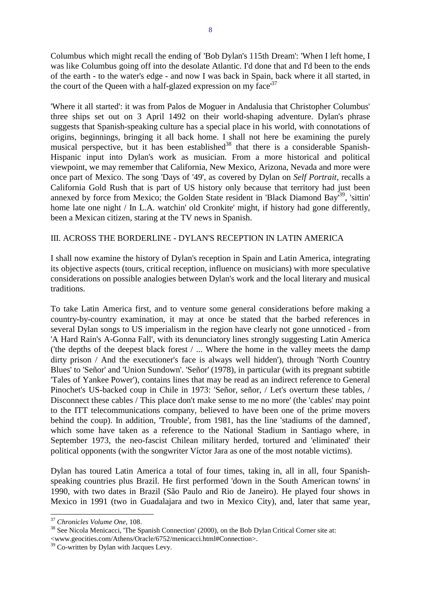Columbus which might recall the ending of 'Bob Dylan's 115th Dream': 'When I left home, I was like Columbus going off into the desolate Atlantic. I'd done that and I'd been to the ends of the earth - to the water's edge - and now I was back in Spain, back where it all started, in the court of the Queen with a half-glazed expression on my face  $37$ 

'Where it all started': it was from Palos de Moguer in Andalusia that Christopher Columbus' three ships set out on 3 April 1492 on their world-shaping adventure. Dylan's phrase suggests that Spanish-speaking culture has a special place in his world, with connotations of origins, beginnings, bringing it all back home. I shall not here be examining the purely musical perspective, but it has been established<sup>38</sup> that there is a considerable Spanish-Hispanic input into Dylan's work as musician. From a more historical and political viewpoint, we may remember that California, New Mexico, Arizona, Nevada and more were once part of Mexico. The song 'Days of '49', as covered by Dylan on *Self Portrait*, recalls a California Gold Rush that is part of US history only because that territory had just been annexed by force from Mexico; the Golden State resident in 'Black Diamond Bay<sup>39</sup>, 'sittin' home late one night / In L.A. watchin' old Cronkite' might, if history had gone differently, been a Mexican citizen, staring at the TV news in Spanish.

### III. ACROSS THE BORDERLINE - DYLAN'S RECEPTION IN LATIN AMERICA

I shall now examine the history of Dylan's reception in Spain and Latin America, integrating its objective aspects (tours, critical reception, influence on musicians) with more speculative considerations on possible analogies between Dylan's work and the local literary and musical traditions.

To take Latin America first, and to venture some general considerations before making a country-by-country examination, it may at once be stated that the barbed references in several Dylan songs to US imperialism in the region have clearly not gone unnoticed - from 'A Hard Rain's A-Gonna Fall', with its denunciatory lines strongly suggesting Latin America ('the depths of the deepest black forest / ... Where the home in the valley meets the damp dirty prison / And the executioner's face is always well hidden'), through 'North Country Blues' to 'Señor' and 'Union Sundown'. 'Señor' (1978), in particular (with its pregnant subtitle 'Tales of Yankee Power'), contains lines that may be read as an indirect reference to General Pinochet's US-backed coup in Chile in 1973: 'Señor, señor, / Let's overturn these tables, / Disconnect these cables / This place don't make sense to me no more' (the 'cables' may point to the ITT telecommunications company, believed to have been one of the prime movers behind the coup). In addition, 'Trouble', from 1981, has the line 'stadiums of the damned', which some have taken as a reference to the National Stadium in Santiago where, in September 1973, the neo-fascist Chilean military herded, tortured and 'eliminated' their political opponents (with the songwriter Víctor Jara as one of the most notable victims).

Dylan has toured Latin America a total of four times, taking in, all in all, four Spanishspeaking countries plus Brazil. He first performed 'down in the South American towns' in 1990, with two dates in Brazil (São Paulo and Rio de Janeiro). He played four shows in Mexico in 1991 (two in Guadalajara and two in Mexico City), and, later that same year,

<sup>37</sup> *Chronicles Volume One*, 108.

<sup>&</sup>lt;sup>38</sup> See Nicola Menicacci, 'The Spanish Connection' (2000), on the Bob Dylan Critical Corner site at:

<sup>&</sup>lt;www.geocities.com/Athens/Oracle/6752/menicacci.html#Connection>.

<sup>&</sup>lt;sup>39</sup> Co-written by Dylan with Jacques Levy.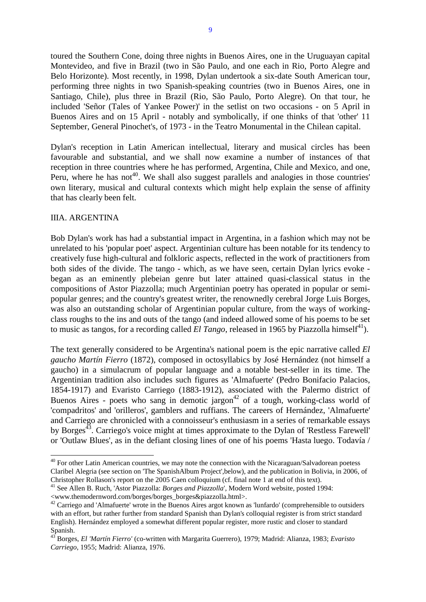toured the Southern Cone, doing three nights in Buenos Aires, one in the Uruguayan capital Montevideo, and five in Brazil (two in São Paulo, and one each in Rio, Porto Alegre and Belo Horizonte). Most recently, in 1998, Dylan undertook a six-date South American tour, performing three nights in two Spanish-speaking countries (two in Buenos Aires, one in Santiago, Chile), plus three in Brazil (Rio, São Paulo, Porto Alegre). On that tour, he included 'Señor (Tales of Yankee Power)' in the setlist on two occasions - on 5 April in Buenos Aires and on 15 April - notably and symbolically, if one thinks of that 'other' 11 September, General Pinochet's, of 1973 - in the Teatro Monumental in the Chilean capital.

Dylan's reception in Latin American intellectual, literary and musical circles has been favourable and substantial, and we shall now examine a number of instances of that reception in three countries where he has performed, Argentina, Chile and Mexico, and one, Peru, where he has not<sup>40</sup>. We shall also suggest parallels and analogies in those countries' own literary, musical and cultural contexts which might help explain the sense of affinity that has clearly been felt.

#### IIIA. ARGENTINA

l

Bob Dylan's work has had a substantial impact in Argentina, in a fashion which may not be unrelated to his 'popular poet' aspect. Argentinian culture has been notable for its tendency to creatively fuse high-cultural and folkloric aspects, reflected in the work of practitioners from both sides of the divide. The tango - which, as we have seen, certain Dylan lyrics evoke began as an eminently plebeian genre but later attained quasi-classical status in the compositions of Astor Piazzolla; much Argentinian poetry has operated in popular or semipopular genres; and the country's greatest writer, the renownedly cerebral Jorge Luis Borges, was also an outstanding scholar of Argentinian popular culture, from the ways of workingclass roughs to the ins and outs of the tango (and indeed allowed some of his poems to be set to music as tangos, for a recording called *El Tango*, released in 1965 by Piazzolla himself<sup>41</sup>).

The text generally considered to be Argentina's national poem is the epic narrative called *El gaucho Martín Fierro* (1872), composed in octosyllabics by José Hernández (not himself a gaucho) in a simulacrum of popular language and a notable best-seller in its time. The Argentinian tradition also includes such figures as 'Almafuerte' (Pedro Bonifacio Palacios, 1854-1917) and Evaristo Carriego (1883-1912), associated with the Palermo district of Buenos Aires - poets who sang in demotic jargon<sup>42</sup> of a tough, working-class world of 'compadritos' and 'orilleros', gamblers and ruffians. The careers of Hernández, 'Almafuerte' and Carriego are chronicled with a connoisseur's enthusiasm in a series of remarkable essays by Borges<sup>43</sup>. Carriego's voice might at times approximate to the Dylan of 'Restless Farewell' or 'Outlaw Blues', as in the defiant closing lines of one of his poems 'Hasta luego. Todavía /

<sup>&</sup>lt;sup>40</sup> For other Latin American countries, we may note the connection with the Nicaraguan/Salvadorean poetess Claribel Alegria (see section on 'The SpanishAlbum Project',below), and the publication in Bolivia, in 2006, of Christopher Rollason's report on the 2005 Caen colloquium (cf. final note 1 at end of this text).

<sup>41</sup> See Allen B. Ruch, 'Astor Piazzolla: *Borges and Piazzolla*', Modern Word website, posted 1994:

<sup>&</sup>lt;www.themodernword.com/borges/borges\_borges&piazzolla.html>.

<sup>&</sup>lt;sup>42</sup> Carriego and 'Almafuerte' wrote in the Buenos Aires argot known as 'lunfardo' (comprehensible to outsiders with an effort, but rather further from standard Spanish than Dylan's colloquial register is from strict standard English). Hernández employed a somewhat different popular register, more rustic and closer to standard Spanish.

<sup>43</sup> Borges, *El 'Martín Fierro'* (co-written with Margarita Guerrero), 1979; Madrid: Alianza, 1983; *Evaristo Carriego*, 1955; Madrid: Alianza, 1976.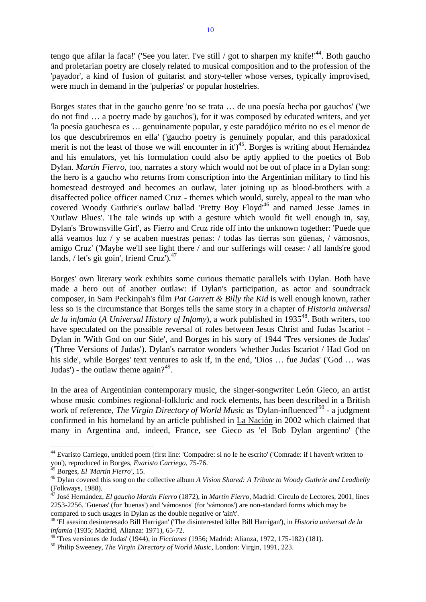tengo que afilar la faca!' ('See you later. I've still / got to sharpen my knife! $44$ . Both gaucho and proletarian poetry are closely related to musical composition and to the profession of the 'payador', a kind of fusion of guitarist and story-teller whose verses, typically improvised, were much in demand in the 'pulperías' or popular hostelries.

Borges states that in the gaucho genre 'no se trata … de una poesía hecha por gauchos' ('we do not find … a poetry made by gauchos'), for it was composed by educated writers, and yet 'la poesía gauchesca es … genuinamente popular, y este paradójico mérito no es el menor de los que descubriremos en ella' ('gaucho poetry is genuinely popular, and this paradoxical merit is not the least of those we will encounter in it"  $\frac{1}{4}$ ". Borges is writing about Hernández and his emulators, yet his formulation could also be aptly applied to the poetics of Bob Dylan. *Martín Fierro*, too, narrates a story which would not be out of place in a Dylan song: the hero is a gaucho who returns from conscription into the Argentinian military to find his homestead destroyed and becomes an outlaw, later joining up as blood-brothers with a disaffected police officer named Cruz - themes which would, surely, appeal to the man who covered Woody Guthrie's outlaw ballad 'Pretty Boy Floyd'46 and named Jesse James in 'Outlaw Blues'. The tale winds up with a gesture which would fit well enough in, say, Dylan's 'Brownsville Girl', as Fierro and Cruz ride off into the unknown together: 'Puede que allá veamos luz / y se acaben nuestras penas: / todas las tierras son güenas, / vámosnos, amigo Cruz' ('Maybe we'll see light there / and our sufferings will cease: / all lands're good lands, / let's git goin', friend Cruz'). $47$ 

Borges' own literary work exhibits some curious thematic parallels with Dylan. Both have made a hero out of another outlaw: if Dylan's participation, as actor and soundtrack composer, in Sam Peckinpah's film *Pat Garrett & Billy the Kid* is well enough known, rather less so is the circumstance that Borges tells the same story in a chapter of *Historia universal*  de la infamia (*A Universal History of Infamy*), a work published in 1935<sup>48</sup>. Both writers, too have speculated on the possible reversal of roles between Jesus Christ and Judas Iscariot - Dylan in 'With God on our Side', and Borges in his story of 1944 'Tres versiones de Judas' ('Three Versions of Judas'). Dylan's narrator wonders 'whether Judas Iscariot / Had God on his side', while Borges' text ventures to ask if, in the end, 'Dios ... fue Judas' ('God ... was Judas') - the outlaw theme  $a \sin^{949}$ .

In the area of Argentinian contemporary music, the singer-songwriter León Gieco, an artist whose music combines regional-folkloric and rock elements, has been described in a British work of reference, *The Virgin Directory of World Music* as 'Dylan-influenced<sup>'50</sup> - a judgment confirmed in his homeland by an article published in La Nación in 2002 which claimed that many in Argentina and, indeed, France, see Gieco as 'el Bob Dylan argentino' ('the

<sup>44</sup> Evaristo Carriego, untitled poem (first line: 'Compadre: si no le he escrito' ('Comrade: if I haven't written to you'), reproduced in Borges, *Evaristo Carriego*, 75-76.

<sup>45</sup> Borges, *El 'Martín Fierro'*, 15.

<sup>46</sup> Dylan covered this song on the collective album *A Vision Shared: A Tribute to Woody Guthrie and Leadbelly* (Folkways, 1988).

<sup>47</sup> José Hernández, *El gaucho Martín Fierro* (1872), in *Martín Fierro*, Madrid: Círculo de Lectores, 2001, lines 2253-2256. 'Güenas' (for 'buenas') and 'vámosnos' (for 'vámonos') are non-standard forms which may be compared to such usages in Dylan as the double negative or 'ain't'.

<sup>48 &#</sup>x27;El asesino desinteresado Bill Harrigan' ('The disinterested killer Bill Harrigan'), in *Historia universal de la infamia* (1935; Madrid, Alianza: 1971), 65-72.

<sup>49 &#</sup>x27;Tres versiones de Judas' (1944), in *Ficciones* (1956; Madrid: Alianza, 1972, 175-182) (181).

<sup>50</sup> Philip Sweeney, *The Virgin Directory of World Music*, London: Virgin, 1991, 223.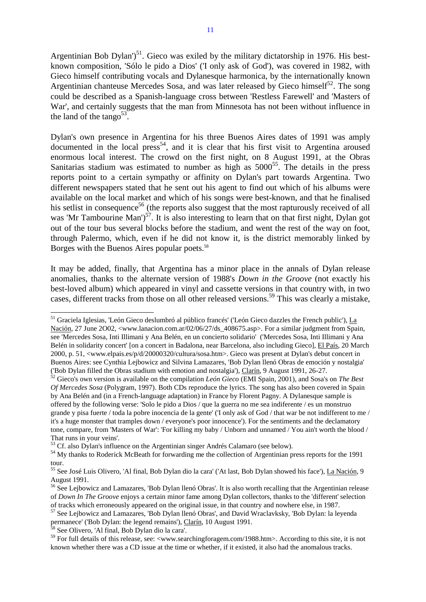Argentinian Bob Dylan'<sup>51</sup>. Gieco was exiled by the military dictatorship in 1976. His bestknown composition, 'Sólo le pido a Dios' ('I only ask of God'), was covered in 1982, with Gieco himself contributing vocals and Dylanesque harmonica, by the internationally known Argentinian chanteuse Mercedes Sosa, and was later released by Gieco himself<sup>52</sup>. The song could be described as a Spanish-language cross between 'Restless Farewell' and 'Masters of War', and certainly suggests that the man from Minnesota has not been without influence in the land of the tango<sup>53</sup>.

Dylan's own presence in Argentina for his three Buenos Aires dates of 1991 was amply documented in the local press<sup>54</sup>, and it is clear that his first visit to Argentina aroused enormous local interest. The crowd on the first night, on 8 August 1991, at the Obras Sanitarias stadium was estimated to number as high as  $5000^{55}$ . The details in the press reports point to a certain sympathy or affinity on Dylan's part towards Argentina. Two different newspapers stated that he sent out his agent to find out which of his albums were available on the local market and which of his songs were best-known, and that he finalised his setlist in consequence<sup>56</sup> (the reports also suggest that the most rapturously received of all was 'Mr Tambourine Man' $)^{57}$ . It is also interesting to learn that on that first night, Dylan got out of the tour bus several blocks before the stadium, and went the rest of the way on foot, through Palermo, which, even if he did not know it, is the district memorably linked by Borges with the Buenos Aires popular poets.<sup>58</sup>

It may be added, finally, that Argentina has a minor place in the annals of Dylan release anomalies, thanks to the alternate version of 1988's *Down in the Groove* (not exactly his best-loved album) which appeared in vinyl and cassette versions in that country with, in two cases, different tracks from those on all other released versions.<sup>59</sup> This was clearly a mistake,

<sup>51</sup> Graciela Iglesias, 'León Gieco deslumbró al público francés' ('León Gieco dazzles the French public'), La Nación, 27 June 2002, <www.lanacion.com.ar/02/06/27/ds 408675.asp>. For a similar judgment from Spain, see 'Mercedes Sosa, Inti Illimani y Ana Belén, en un concierto solidario' ('Mercedes Sosa, Inti Illimani y Ana Belén in solidarity concert' [on a concert in Badalona, near Barcelona, also including Gieco], El País, 20 March 2000, p. 51, <www.elpais.es/p/d/20000320/cultura/sosa.htm>. Gieco was present at Dylan's debut concert in Buenos Aires: see Cynthia Lejbowicz and Silvina Lamazares, 'Bob Dylan llenó Obras de emoción y nostalgia' ('Bob Dylan filled the Obras stadium with emotion and nostalgia'), Clarín, 9 August 1991, 26-27.

<sup>52</sup> Gieco's own version is available on the compilation *León Gieco* (EMI Spain, 2001), and Sosa's on *The Best Of Mercedes Sosa* (Polygram, 1997). Both CDs reproduce the lyrics. The song has also been covered in Spain by Ana Belén and (in a French-language adaptation) in France by Florent Pagny. A Dylanesque sample is offered by the following verse: 'Solo le pido a Dios / que la guerra no me sea indiferente / es un monstruo grande y pisa fuerte / toda la pobre inocencia de la gente' ('I only ask of God / that war be not indifferent to me / it's a huge monster that tramples down / everyone's poor innocence'). For the sentiments and the declamatory tone, compare, from 'Masters of War': 'For killing my baby / Unborn and unnamed / You ain't worth the blood / That runs in your veins'.

<sup>&</sup>lt;sup>53</sup> Cf. also Dylan's influence on the Argentinian singer Andrés Calamaro (see below).

<sup>&</sup>lt;sup>54</sup> My thanks to Roderick McBeath for forwarding me the collection of Argentinian press reports for the 1991 tour.

<sup>&</sup>lt;sup>55</sup> See José Luis Olivero, 'Al final, Bob Dylan dio la cara' ('At last, Bob Dylan showed his face'), La Nación, 9 August 1991.

<sup>&</sup>lt;sup>56</sup> See Lejbowicz and Lamazares, 'Bob Dylan llenó Obras'. It is also worth recalling that the Argentinian release of *Down In The Groove* enjoys a certain minor fame among Dylan collectors, thanks to the 'different' selection of tracks which erroneously appeared on the original issue, in that country and nowhere else, in 1987.

<sup>57</sup> See Lejbowicz and Lamazares, 'Bob Dylan llenó Obras', and David Wraclavksky, 'Bob Dylan: la leyenda permanece' ('Bob Dylan: the legend remains'), Clarín, 10 August 1991.<br><sup>58</sup> See Olivero, 'Al final, Bob Dylan dio la cara'.

<sup>59</sup> For full details of this release, see: <www.searchingforagem.com/1988.htm>. According to this site, it is not known whether there was a CD issue at the time or whether, if it existed, it also had the anomalous tracks.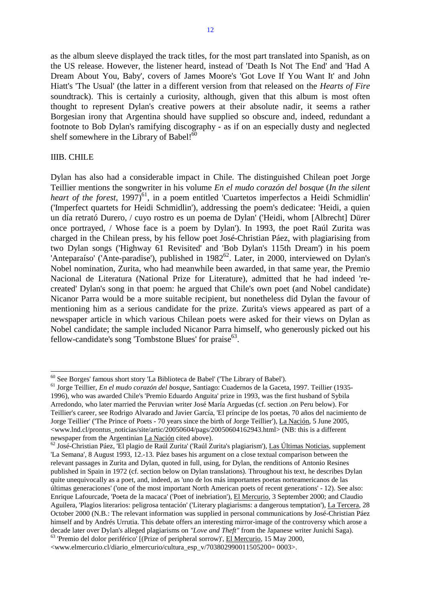as the album sleeve displayed the track titles, for the most part translated into Spanish, as on the US release. However, the listener heard, instead of 'Death Is Not The End' and 'Had A Dream About You, Baby', covers of James Moore's 'Got Love If You Want It' and John Hiatt's 'The Usual' (the latter in a different version from that released on the *Hearts of Fire* soundtrack). This is certainly a curiosity, although, given that this album is most often thought to represent Dylan's creative powers at their absolute nadir, it seems a rather Borgesian irony that Argentina should have supplied so obscure and, indeed, redundant a footnote to Bob Dylan's ramifying discography - as if on an especially dusty and neglected shelf somewhere in the Library of Babel! $60$ 

#### IIIB. CHILE

l

Dylan has also had a considerable impact in Chile. The distinguished Chilean poet Jorge Teillier mentions the songwriter in his volume *En el mudo corazón del bosque* (*In the silent heart of the forest*, 1997)<sup>61</sup>, in a poem entitled 'Cuartetos imperfectos a Heidi Schmidlin' ('Imperfect quartets for Heidi Schmidlin'), addressing the poem's dedicatee: 'Heidi, a quien un día retrató Durero, / cuyo rostro es un poema de Dylan' ('Heidi, whom [Albrecht] Dürer once portrayed, / Whose face is a poem by Dylan'). In 1993, the poet Raúl Zurita was charged in the Chilean press, by his fellow poet José-Christian Páez, with plagiarising from two Dylan songs ('Highway 61 Revisited' and 'Bob Dylan's 115th Dream') in his poem 'Anteparaíso' ('Ante-paradise'), published in  $1982^{62}$ . Later, in 2000, interviewed on Dylan's Nobel nomination, Zurita, who had meanwhile been awarded, in that same year, the Premio Nacional de Literatura (National Prize for Literature), admitted that he had indeed 'recreated' Dylan's song in that poem: he argued that Chile's own poet (and Nobel candidate) Nicanor Parra would be a more suitable recipient, but nonetheless did Dylan the favour of mentioning him as a serious candidate for the prize. Zurita's views appeared as part of a newspaper article in which various Chilean poets were asked for their views on Dylan as Nobel candidate; the sample included Nicanor Parra himself, who generously picked out his fellow-candidate's song 'Tombstone Blues' for praise  $63$ .

<sup>60</sup> See Borges' famous short story 'La Biblioteca de Babel' ('The Library of Babel').

<sup>61</sup> Jorge Teillier, *En el mudo corazón del bosque*, Santiago: Cuadernos de la Gaceta, 1997. Teillier (1935- 1996), who was awarded Chile's 'Premio Eduardo Anguita' prize in 1993, was the first husband of Sybila Arredondo, who later married the Peruvian writer José María Arguedas (cf. section .on Peru below). For Teillier's career, see Rodrigo Alvarado and Javier García, 'El príncipe de los poetas, 70 años del nacimiento de Jorge Teillier' ('The Prince of Poets - 70 years since the birth of Jorge Teillier'), La Nación, 5 June 2005, <www.lnd.cl/prontus\_noticias/site/artic/20050604/pags/20050604162943.html> (NB: this is a different newspaper from the Argentinian La Nación cited above).

<sup>62</sup> José-Christian Páez, 'El plagio de Raúl Zurita' ('Raúl Zurita's plagiarism'), Las Últimas Noticias, supplement 'La Semana', 8 August 1993, 12.-13. Páez bases his argument on a close textual comparison between the relevant passages in Zurita and Dylan, quoted in full, using, for Dylan, the renditions of Antonio Resines published in Spain in 1972 (cf. section below on Dylan translations). Throughout his text, he describes Dylan quite unequivocally as a poet, and, indeed, as 'uno de los más importantes poetas norteamericanos de las últimas generaciones' ('one of the most important North American poets of recent generations' - 12). See also: Enrique Lafourcade, 'Poeta de la macaca' ('Poet of inebriation'), El Mercurio, 3 September 2000; and Claudio Aguilera, 'Plagios literarios: peligrosa tentación' ('Literary plagiarisms: a dangerous temptation'), La Tercera, 28 October 2000 (N.B.: The relevant information was supplied in personal communications by José-Christian Páez himself and by Andrés Urrutia. This debate offers an interesting mirror-image of the controversy which arose a decade later over Dylan's alleged plagiarisms on *"Love and Theft"* from the Japanese writer Junichi Saga).  $63$  'Premio del dolor periférico' [(Prize of peripheral sorrow)', El Mercurio, 15 May 2000,

<sup>&</sup>lt;www.elmercurio.cl/diario\_elmercurio/cultura\_esp\_v/703802990011505200= 0003>.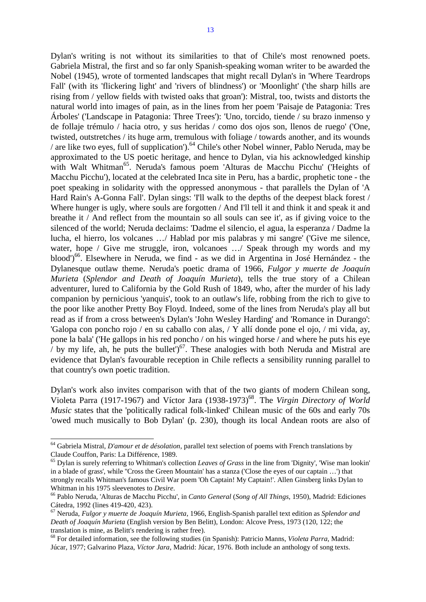Dylan's writing is not without its similarities to that of Chile's most renowned poets. Gabriela Mistral, the first and so far only Spanish-speaking woman writer to be awarded the Nobel (1945), wrote of tormented landscapes that might recall Dylan's in 'Where Teardrops Fall' (with its 'flickering light' and 'rivers of blindness') or 'Moonlight' ('the sharp hills are rising from / yellow fields with twisted oaks that groan'): Mistral, too, twists and distorts the natural world into images of pain, as in the lines from her poem 'Paisaje de Patagonia: Tres Árboles' ('Landscape in Patagonia: Three Trees'): 'Uno, torcido, tiende / su brazo inmenso y de follaje trémulo / hacia otro, y sus heridas / como dos ojos son, llenos de ruego' ('One, twisted, outstretches / its huge arm, tremulous with foliage / towards another, and its wounds / are like two eyes, full of supplication').<sup>64</sup> Chile's other Nobel winner, Pablo Neruda, may be approximated to the US poetic heritage, and hence to Dylan, via his acknowledged kinship with Walt Whitman<sup>65</sup>. Neruda's famous poem 'Alturas de Macchu Picchu' ('Heights of Macchu Picchu'), located at the celebrated Inca site in Peru, has a bardic, prophetic tone - the poet speaking in solidarity with the oppressed anonymous - that parallels the Dylan of 'A Hard Rain's A-Gonna Fall'. Dylan sings: 'I'll walk to the depths of the deepest black forest / Where hunger is ugly, where souls are forgotten / And I'll tell it and think it and speak it and breathe it / And reflect from the mountain so all souls can see it', as if giving voice to the silenced of the world; Neruda declaims: 'Dadme el silencio, el agua, la esperanza / Dadme la lucha, el hierro, los volcanes …/ Hablad por mis palabras y mi sangre' ('Give me silence, water, hope / Give me struggle, iron, volcanoes .../ Speak through my words and my blood')<sup>66</sup>. Elsewhere in Neruda, we find - as we did in Argentina in José Hernández - the Dylanesque outlaw theme. Neruda's poetic drama of 1966, *Fulgor y muerte de Joaquín Murieta* (*Splendor and Death of Joaquín Murieta*), tells the true story of a Chilean adventurer, lured to California by the Gold Rush of 1849, who, after the murder of his lady companion by pernicious 'yanquis', took to an outlaw's life, robbing from the rich to give to the poor like another Pretty Boy Floyd. Indeed, some of the lines from Neruda's play all but read as if from a cross between's Dylan's 'John Wesley Harding' and 'Romance in Durango': 'Galopa con poncho rojo / en su caballo con alas, / Y allí donde pone el ojo, / mi vida, ay, pone la bala' ('He gallops in his red poncho / on his winged horse / and where he puts his eye / by my life, ah, he puts the bullet' $)^{67}$ . These analogies with both Neruda and Mistral are evidence that Dylan's favourable reception in Chile reflects a sensibility running parallel to that country's own poetic tradition.

Dylan's work also invites comparison with that of the two giants of modern Chilean song, Violeta Parra (1917-1967) and Víctor Jara (1938-1973)68. The *Virgin Directory of World Music* states that the 'politically radical folk-linked' Chilean music of the 60s and early 70s 'owed much musically to Bob Dylan' (p. 230), though its local Andean roots are also of

<sup>64</sup> Gabriela Mistral, *D'amour et de désolation*, parallel text selection of poems with French translations by Claude Couffon, Paris: La Différence, 1989.

<sup>65</sup> Dylan is surely referring to Whitman's collection *Leaves of Grass* in the line from 'Dignity', 'Wise man lookin' in a blade of grass', while "Cross the Green Mountain' has a stanza ('Close the eyes of our captain ...') that strongly recalls Whitman's famous Civil War poem 'Oh Captain! My Captain!'. Allen Ginsberg links Dylan to Whitman in his 1975 sleevenotes to *Desire*.

<sup>66</sup> Pablo Neruda, 'Alturas de Macchu Picchu', in *Canto General* (*Song of All Things*, 1950), Madrid: Ediciones Cátedra, 1992 (lines 419-420, 423).

<sup>67</sup> Neruda, *Fulgor y muerte de Joaquín Murieta*, 1966, English-Spanish parallel text edition as *Splendor and Death of Joaquín Murieta* (English version by Ben Belitt), London: Alcove Press, 1973 (120, 122; the translation is mine, as Belitt's rendering is rather free).

<sup>68</sup> For detailed information, see the following studies (in Spanish): Patricio Manns, *Violeta Parra*, Madrid: Júcar, 1977; Galvarino Plaza, *Víctor Jara*, Madrid: Júcar, 1976. Both include an anthology of song texts.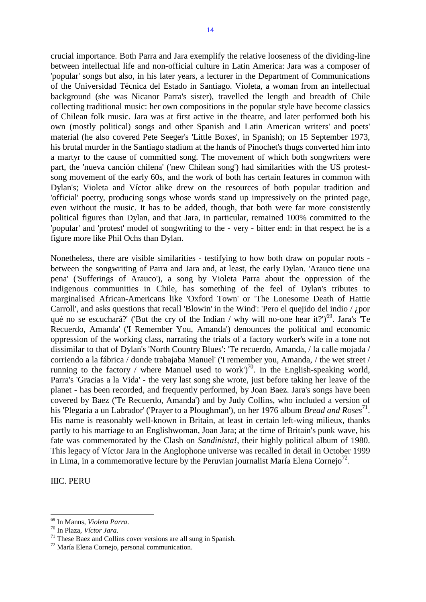crucial importance. Both Parra and Jara exemplify the relative looseness of the dividing-line between intellectual life and non-official culture in Latin America: Jara was a composer of 'popular' songs but also, in his later years, a lecturer in the Department of Communications of the Universidad Técnica del Estado in Santiago. Violeta, a woman from an intellectual background (she was Nicanor Parra's sister), travelled the length and breadth of Chile collecting traditional music: her own compositions in the popular style have become classics of Chilean folk music. Jara was at first active in the theatre, and later performed both his own (mostly political) songs and other Spanish and Latin American writers' and poets' material (he also covered Pete Seeger's 'Little Boxes', in Spanish); on 15 September 1973, his brutal murder in the Santiago stadium at the hands of Pinochet's thugs converted him into a martyr to the cause of committed song. The movement of which both songwriters were part, the 'nueva canción chilena' ('new Chilean song') had similarities with the US protestsong movement of the early 60s, and the work of both has certain features in common with Dylan's; Violeta and Víctor alike drew on the resources of both popular tradition and 'official' poetry, producing songs whose words stand up impressively on the printed page, even without the music. It has to be added, though, that both were far more consistently political figures than Dylan, and that Jara, in particular, remained 100% committed to the 'popular' and 'protest' model of songwriting to the - very - bitter end: in that respect he is a figure more like Phil Ochs than Dylan.

Nonetheless, there are visible similarities - testifying to how both draw on popular roots between the songwriting of Parra and Jara and, at least, the early Dylan. 'Arauco tiene una pena' ('Sufferings of Arauco'), a song by Violeta Parra about the oppression of the indigenous communities in Chile, has something of the feel of Dylan's tributes to marginalised African-Americans like 'Oxford Town' or 'The Lonesome Death of Hattie Carroll', and asks questions that recall 'Blowin' in the Wind': 'Pero el quejido del indio / ¿por qué no se escuchará?' ('But the cry of the Indian / why will no-one hear it?')<sup>69</sup>. Jara's 'Te Recuerdo, Amanda' ('I Remember You, Amanda') denounces the political and economic oppression of the working class, narrating the trials of a factory worker's wife in a tone not dissimilar to that of Dylan's 'North Country Blues': 'Te recuerdo, Amanda, / la calle mojada / corriendo a la fábrica / donde trabajaba Manuel' ('I remember you, Amanda, / the wet street / running to the factory / where Manuel used to work'<sup>70</sup>. In the English-speaking world, Parra's 'Gracias a la Vida' - the very last song she wrote, just before taking her leave of the planet - has been recorded, and frequently performed, by Joan Baez. Jara's songs have been covered by Baez ('Te Recuerdo, Amanda') and by Judy Collins, who included a version of his 'Plegaria a un Labrador' ('Prayer to a Ploughman'), on her 1976 album *Bread and Roses*<sup>71</sup>. His name is reasonably well-known in Britain, at least in certain left-wing milieux, thanks partly to his marriage to an Englishwoman, Joan Jara; at the time of Britain's punk wave, his fate was commemorated by the Clash on *Sandinista!*, their highly political album of 1980. This legacy of Víctor Jara in the Anglophone universe was recalled in detail in October 1999 in Lima, in a commemorative lecture by the Peruvian journalist María Elena Cornejo<sup>72</sup>.

IIIC. PERU

<sup>69</sup> In Manns, *Violeta Parra*.

<sup>70</sup> In Plaza, *Víctor Jara*.

<sup>&</sup>lt;sup>71</sup> These Baez and Collins cover versions are all sung in Spanish.

<sup>72</sup> María Elena Cornejo, personal communication.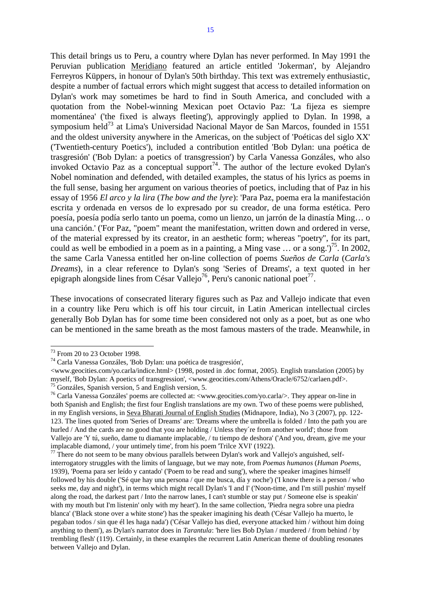This detail brings us to Peru, a country where Dylan has never performed. In May 1991 the Peruvian publication Meridiano featured an article entitled 'Jokerman', by Alejandro Ferreyros Küppers, in honour of Dylan's 50th birthday. This text was extremely enthusiastic, despite a number of factual errors which might suggest that access to detailed information on Dylan's work may sometimes be hard to find in South America, and concluded with a quotation from the Nobel-winning Mexican poet Octavio Paz: 'La fijeza es siempre momentánea' ('the fixed is always fleeting'), approvingly applied to Dylan. In 1998, a symposium held<sup>73</sup> at Lima's Universidad Nacional Mayor de San Marcos, founded in 1551 and the oldest university anywhere in the Americas, on the subject of 'Poéticas del siglo XX' ('Twentieth-century Poetics'), included a contribution entitled 'Bob Dylan: una poética de trasgresión' ('Bob Dylan: a poetics of transgression') by Carla Vanessa Gonzáles, who also invoked Octavio Paz as a conceptual support<sup>74</sup>. The author of the lecture evoked Dylan's Nobel nomination and defended, with detailed examples, the status of his lyrics as poems in the full sense, basing her argument on various theories of poetics, including that of Paz in his essay of 1956 *El arco y la lira* (*The bow and the lyre*): 'Para Paz, poema era la manifestación escrita y ordenada en versos de lo expresado por su creador, de una forma estética. Pero poesía, poesía podía serlo tanto un poema, como un lienzo, un jarrón de la dinastía Ming… o una canción.' ('For Paz, "poem" meant the manifestation, written down and ordered in verse, of the material expressed by its creator, in an aesthetic form; whereas "poetry", for its part, could as well be embodied in a poem as in a painting, a Ming vase  $\ldots$  or a song.')<sup>75</sup>. In 2002, the same Carla Vanessa entitled her on-line collection of poems *Sueños de Carla* (*Carla's* 

These invocations of consecrated literary figures such as Paz and Vallejo indicate that even in a country like Peru which is off his tour circuit, in Latin American intellectual circles generally Bob Dylan has for some time been considered not only as a poet, but as one who can be mentioned in the same breath as the most famous masters of the trade. Meanwhile, in

*Dreams*), in a clear reference to Dylan's song 'Series of Dreams', a text quoted in her

epigraph alongside lines from César Vallejo<sup>76</sup>, Peru's canonic national poet<sup>77</sup>.

 $73$  From 20 to 23 October 1998.

<sup>74</sup> Carla Vanessa Gonzáles, 'Bob Dylan: una poética de trasgresión',

<sup>&</sup>lt;www.geocities.com/yo.carla/indice.html> (1998, posted in .doc format, 2005). English translation (2005) by myself, 'Bob Dylan: A poetics of transgression', <www.geocities.com/Athens/Oracle/6752/carlaen.pdf>. 75 Gonzáles, Spanish version, 5 and English version, 5.

<sup>76</sup> Carla Vanessa Gonzáles' poems are collected at: <www.geocities.com/yo.carla/>. They appear on-line in both Spanish and English; the first four English translations are my own. Two of these poems were published, in my English versions, in Seva Bharati Journal of English Studies (Midnapore, India), No 3 (2007), pp. 122- 123. The lines quoted from 'Series of Dreams' are: 'Dreams where the umbrella is folded / Into the path you are hurled / And the cards are no good that you are holding / Unless they´re from another world'; those from Vallejo are 'Y tú, sueño, dame tu diamante implacable, / tu tiempo de deshora' ('And you, dream, give me your implacable diamond, / your untimely time', from his poem 'Trilce XVI' (1922).

<sup>&</sup>lt;sup>77</sup> There do not seem to be many obvious parallels between Dylan's work and Vallejo's anguished, selfinterrogatory struggles with the limits of language, but we may note, from *Poemas humanos* (*Human Poems*, 1939), 'Poema para ser leído y cantado' ('Poem to be read and sung'), where the speaker imagines himself followed by his double ('Sé que hay una persona / que me busca, día y noche') ('I know there is a person / who seeks me, day and night'), in terms which might recall Dylan's 'I and I' ('Noon-time, and I'm still pushin' myself along the road, the darkest part / Into the narrow lanes, I can't stumble or stay put / Someone else is speakin' with my mouth but I'm listenin' only with my heart'). In the same collection, 'Piedra negra sobre una piedra blanca' ('Black stone over a white stone') has the speaker imagining his death ('César Vallejo ha muerto, le pegaban todos / sin que él les haga nada') ('César Vallejo has died, everyone attacked him / without him doing anything to them'), as Dylan's narrator does in *Tarantula*: 'here lies Bob Dylan / murdered / from behind / by trembling flesh' (119). Certainly, in these examples the recurrent Latin American theme of doubling resonates between Vallejo and Dylan.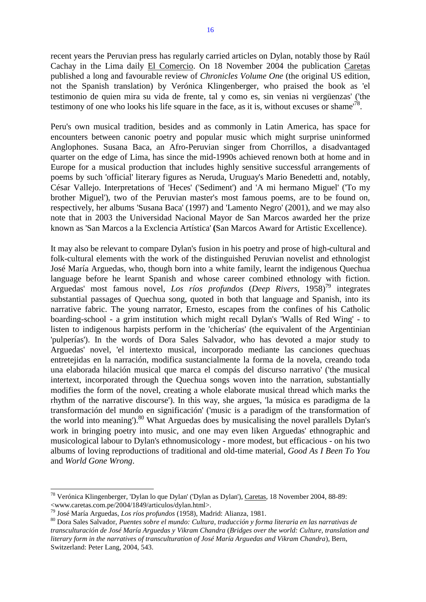recent years the Peruvian press has regularly carried articles on Dylan, notably those by Raúl Cachay in the Lima daily El Comercio. On 18 November 2004 the publication Caretas published a long and favourable review of *Chronicles Volume One* (the original US edition, not the Spanish translation) by Verónica Klingenberger, who praised the book as 'el testimonio de quien mira su vida de frente, tal y como es, sin venias ni vergüenzas' ('the testimony of one who looks his life square in the face, as it is, without excuses or shame<sup>78</sup>.

Peru's own musical tradition, besides and as commonly in Latin America, has space for encounters between canonic poetry and popular music which might surprise uninformed Anglophones. Susana Baca, an Afro-Peruvian singer from Chorrillos, a disadvantaged quarter on the edge of Lima, has since the mid-1990s achieved renown both at home and in Europe for a musical production that includes highly sensitive successful arrangements of poems by such 'official' literary figures as Neruda, Uruguay's Mario Benedetti and, notably, César Vallejo. Interpretations of 'Heces' ('Sediment') and 'A mi hermano Miguel' ('To my brother Miguel'), two of the Peruvian master's most famous poems, are to be found on, respectively, her albums 'Susana Baca' (1997) and 'Lamento Negro' (2001), and we may also note that in 2003 the Universidad Nacional Mayor de San Marcos awarded her the prize known as 'San Marcos a la Exclencia Artística' **(**San Marcos Award for Artistic Excellence).

It may also be relevant to compare Dylan's fusion in his poetry and prose of high-cultural and folk-cultural elements with the work of the distinguished Peruvian novelist and ethnologist José María Arguedas, who, though born into a white family, learnt the indigenous Quechua language before he learnt Spanish and whose career combined ethnology with fiction. Arguedas' most famous novel, *Los ríos profundos* (*Deep Rivers*, 1958)79 integrates substantial passages of Quechua song, quoted in both that language and Spanish, into its narrative fabric. The young narrator, Ernesto, escapes from the confines of his Catholic boarding-school - a grim institution which might recall Dylan's 'Walls of Red Wing' - to listen to indigenous harpists perform in the 'chicherías' (the equivalent of the Argentinian 'pulperías'). In the words of Dora Sales Salvador, who has devoted a major study to Arguedas' novel, 'el intertexto musical, incorporado mediante las canciones quechuas entretejidas en la narración, modifica sustancialmente la forma de la novela, creando toda una elaborada hilación musical que marca el compás del discurso narrativo' ('the musical intertext, incorporated through the Quechua songs woven into the narration, substantially modifies the form of the novel, creating a whole elaborate musical thread which marks the rhythm of the narrative discourse'). In this way, she argues, 'la música es paradigma de la transformación del mundo en significación' ('music is a paradigm of the transformation of the world into meaning').<sup>80</sup> What Arguedas does by musicalising the novel parallels Dylan's work in bringing poetry into music, and one may even liken Arguedas' ethnographic and musicological labour to Dylan's ethnomusicology - more modest, but efficacious - on his two albums of loving reproductions of traditional and old-time material, *Good As I Been To You* and *World Gone Wrong*.

<sup>78</sup> Verónica Klingenberger, 'Dylan lo que Dylan' ('Dylan as Dylan'), Caretas, 18 November 2004, 88-89: <www.caretas.com.pe/2004/1849/articulos/dylan.html>.

<sup>79</sup> José María Arguedas, *Los ríos profundos* (1958), Madrid: Alianza, 1981.

<sup>80</sup> Dora Sales Salvador, *Puentes sobre el mundo: Cultura, traducción y forma literaria en las narrativas de transculturación de José María Arguedas y Vikram Chandra* (*Bridges over the world: Culture, translation and literary form in the narratives of transculturation of José María Arguedas and Vikram Chandra*), Bern, Switzerland: Peter Lang, 2004, 543.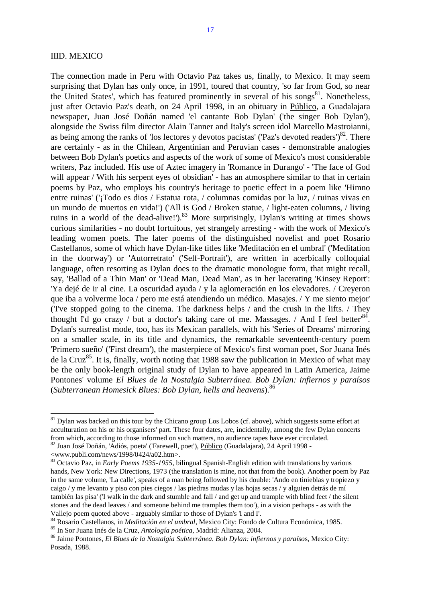#### IIID. MEXICO

The connection made in Peru with Octavio Paz takes us, finally, to Mexico. It may seem surprising that Dylan has only once, in 1991, toured that country, 'so far from God, so near the United States', which has featured prominently in several of his songs $^{81}$ . Nonetheless, just after Octavio Paz's death, on 24 April 1998, in an obituary in Público, a Guadalajara newspaper, Juan José Doñán named 'el cantante Bob Dylan' ('the singer Bob Dylan'), alongside the Swiss film director Alain Tanner and Italy's screen idol Marcello Mastroianni, as being among the ranks of 'los lectores y devotos pacistas' ('Paz's devoted readers') $^{82}$ . There are certainly - as in the Chilean, Argentinian and Peruvian cases - demonstrable analogies between Bob Dylan's poetics and aspects of the work of some of Mexico's most considerable writers, Paz included. His use of Aztec imagery in 'Romance in Durango' - 'The face of God will appear / With his serpent eyes of obsidian' - has an atmosphere similar to that in certain poems by Paz, who employs his country's heritage to poetic effect in a poem like 'Himno entre ruinas' ('¡Todo es dios / Estatua rota, / columnas comidas por la luz, / ruinas vivas en un mundo de muertos en vida!') ('All is God / Broken statue, / light-eaten columns, / living ruins in a world of the dead-alive!').<sup>83</sup> More surprisingly, Dylan's writing at times shows curious similarities - no doubt fortuitous, yet strangely arresting - with the work of Mexico's leading women poets. The later poems of the distinguished novelist and poet Rosario Castellanos, some of which have Dylan-like titles like 'Meditación en el umbral' ('Meditation in the doorway') or 'Autorretrato' ('Self-Portrait'), are written in acerbically colloquial language, often resorting as Dylan does to the dramatic monologue form, that might recall, say, 'Ballad of a Thin Man' or 'Dead Man, Dead Man', as in her lacerating 'Kinsey Report': 'Ya dejé de ir al cine. La oscuridad ayuda / y la aglomeración en los elevadores. / Creyeron que iba a volverme loca / pero me está atendiendo un médico. Masajes. / Y me siento mejor' ('I've stopped going to the cinema. The darkness helps / and the crush in the lifts. / They thought I'd go crazy / but a doctor's taking care of me. Massages. / And I feel better<sup>84</sup>. Dylan's surrealist mode, too, has its Mexican parallels, with his 'Series of Dreams' mirroring on a smaller scale, in its title and dynamics, the remarkable seventeenth-century poem 'Primero sueño' ('First dream'), the masterpiece of Mexico's first woman poet, Sor Juana Inés de la Cruz<sup>85</sup>. It is, finally, worth noting that 1988 saw the publication in Mexico of what may be the only book-length original study of Dylan to have appeared in Latin America, Jaime Pontones' volume *El Blues de la Nostalgia Subterránea. Bob Dylan: infiernos y paraísos* (*Subterranean Homesick Blues: Bob Dylan, hells and heavens*).86

82 Juan José Doñán, 'Adiós, poeta' ('Farewell, poet'), Público (Guadalajara), 24 April 1998 -

 $81$  Dylan was backed on this tour by the Chicano group Los Lobos (cf. above), which suggests some effort at acculturation on his or his organisers' part. These four dates, are, incidentally, among the few Dylan concerts from which, according to those informed on such matters, no audience tapes have ever circulated.

<sup>&</sup>lt;www.publi.com/news/1998/0424/a02.htm>.

<sup>83</sup> Octavio Paz, in *Early Poems 1935-1955*, bilingual Spanish-English edition with translations by various hands, New York: New Directions, 1973 (the translation is mine, not that from the book). Another poem by Paz in the same volume, 'La calle', speaks of a man being followed by his double: 'Ando en tinieblas y tropiezo y caigo / y me levanto y piso con pies ciegos / las piedras mudas y las hojas secas / y alguien detrás de mí también las pisa' ('I walk in the dark and stumble and fall / and get up and trample with blind feet / the silent stones and the dead leaves / and someone behind me tramples them too'), in a vision perhaps - as with the Vallejo poem quoted above - arguably similar to those of Dylan's 'I and I'.

<sup>84</sup> Rosario Castellanos, in *Meditación en el umbral*, Mexico City: Fondo de Cultura Económica, 1985.

<sup>85</sup> In Sor Juana Inés de la Cruz, *Antología poética*, Madrid: Alianza, 2004.

<sup>86</sup> Jaime Pontones, *El Blues de la Nostalgia Subterránea. Bob Dylan: infiernos y paraíso*s, Mexico City: Posada, 1988.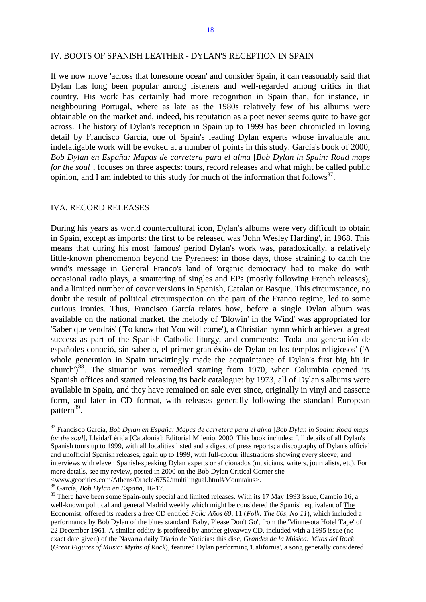#### IV. BOOTS OF SPANISH LEATHER - DYLAN'S RECEPTION IN SPAIN

If we now move 'across that lonesome ocean' and consider Spain, it can reasonably said that Dylan has long been popular among listeners and well-regarded among critics in that country. His work has certainly had more recognition in Spain than, for instance, in neighbouring Portugal, where as late as the 1980s relatively few of his albums were obtainable on the market and, indeed, his reputation as a poet never seems quite to have got across. The history of Dylan's reception in Spain up to 1999 has been chronicled in loving detail by Francisco García, one of Spain's leading Dylan experts whose invaluable and indefatigable work will be evoked at a number of points in this study. Garcìa's book of 2000, *Bob Dylan en España: Mapas de carretera para el alma* [*Bob Dylan in Spain: Road maps for the soul*], focuses on three aspects: tours, record releases and what might be called public opinion, and I am indebted to this study for much of the information that follows<sup>87</sup>.

### IVA. RECORD RELEASES

During his years as world countercultural icon, Dylan's albums were very difficult to obtain in Spain, except as imports: the first to be released was 'John Wesley Harding', in 1968. This means that during his most 'famous' period Dylan's work was, paradoxically, a relatively little-known phenomenon beyond the Pyrenees: in those days, those straining to catch the wind's message in General Franco's land of 'organic democracy' had to make do with occasional radio plays, a smattering of singles and EPs (mostly following French releases), and a limited number of cover versions in Spanish, Catalan or Basque. This circumstance, no doubt the result of political circumspection on the part of the Franco regime, led to some curious ironies. Thus, Francisco García relates how, before a single Dylan album was available on the national market, the melody of 'Blowin' in the Wind' was appropriated for 'Saber que vendrás' ('To know that You will come'), a Christian hymn which achieved a great success as part of the Spanish Catholic liturgy, and comments: 'Toda una generación de españoles conoció, sin saberlo, el primer gran éxito de Dylan en los templos religiosos' ('A whole generation in Spain unwittingly made the acquaintance of Dylan's first big hit in church') $88$ . The situation was remedied starting from 1970, when Columbia opened its Spanish offices and started releasing its back catalogue: by 1973, all of Dylan's albums were available in Spain, and they have remained on sale ever since, originally in vinyl and cassette form, and later in CD format, with releases generally following the standard European pattern<sup>89</sup>.

<sup>87</sup> Francisco García, *Bob Dylan en España: Mapas de carretera para el alma* [*Bob Dylan in Spain: Road maps for the soul*], Lleida/Lérida [Catalonia]: Editorial Milenio, 2000. This book includes: full details of all Dylan's Spanish tours up to 1999, with all localities listed and a digest of press reports; a discography of Dylan's official and unofficial Spanish releases, again up to 1999, with full-colour illustrations showing every sleeve; and interviews with eleven Spanish-speaking Dylan experts or aficionados (musicians, writers, journalists, etc). For more details, see my review, posted in 2000 on the Bob Dylan Critical Corner site -

<sup>&</sup>lt;www.geocities.com/Athens/Oracle/6752/multilingual.html#Mountains>.

<sup>88</sup> García, *Bob Dylan en España*, 16-17.

<sup>&</sup>lt;sup>89</sup> There have been some Spain-only special and limited releases. With its 17 May 1993 issue, Cambio 16, a well-known political and general Madrid weekly which might be considered the Spanish equivalent of The Economist, offered its readers a free CD entitled *Folk: Años 60*, 11 (*Folk: The 60s, No 11*), which included a performance by Bob Dylan of the blues standard 'Baby, Please Don't Go', from the 'Minnesota Hotel Tape' of 22 December 1961. A similar oddity is proffered by another giveaway CD, included with a 1995 issue (no exact date given) of the Navarra daily Diario de Noticias: this disc, *Grandes de la Música: Mitos del Rock* (*Great Figures of Music: Myths of Rock*), featured Dylan performing 'California', a song generally considered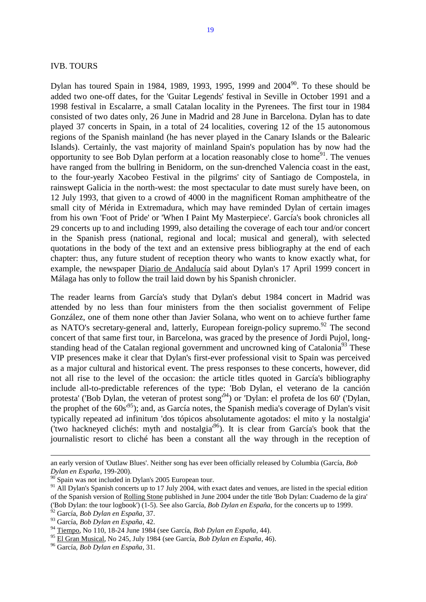Dylan has toured Spain in 1984, 1989, 1993, 1995, 1999 and  $2004^{90}$ . To these should be added two one-off dates, for the 'Guitar Legends' festival in Seville in October 1991 and a 1998 festival in Escalarre, a small Catalan locality in the Pyrenees. The first tour in 1984 consisted of two dates only, 26 June in Madrid and 28 June in Barcelona. Dylan has to date played 37 concerts in Spain, in a total of 24 localities, covering 12 of the 15 autonomous regions of the Spanish mainland (he has never played in the Canary Islands or the Balearic Islands). Certainly, the vast majority of mainland Spain's population has by now had the opportunity to see Bob Dylan perform at a location reasonably close to home<sup>91</sup>. The venues have ranged from the bullring in Benidorm, on the sun-drenched Valencia coast in the east, to the four-yearly Xacobeo Festival in the pilgrims' city of Santiago de Compostela, in rainswept Galicia in the north-west: the most spectacular to date must surely have been, on 12 July 1993, that given to a crowd of 4000 in the magnificent Roman amphitheatre of the small city of Mérida in Extremadura, which may have reminded Dylan of certain images from his own 'Foot of Pride' or 'When I Paint My Masterpiece'. García's book chronicles all 29 concerts up to and including 1999, also detailing the coverage of each tour and/or concert in the Spanish press (national, regional and local; musical and general), with selected quotations in the body of the text and an extensive press bibliography at the end of each chapter: thus, any future student of reception theory who wants to know exactly what, for example, the newspaper Diario de Andalucía said about Dylan's 17 April 1999 concert in Málaga has only to follow the trail laid down by his Spanish chronicler.

The reader learns from García's study that Dylan's debut 1984 concert in Madrid was attended by no less than four ministers from the then socialist government of Felipe González, one of them none other than Javier Solana, who went on to achieve further fame as NATO's secretary-general and, latterly, European foreign-policy supremo.<sup>92</sup> The second concert of that same first tour, in Barcelona, was graced by the presence of Jordi Pujol, longstanding head of the Catalan regional government and uncrowned king of Catalonia<sup>93</sup> These VIP presences make it clear that Dylan's first-ever professional visit to Spain was perceived as a major cultural and historical event. The press responses to these concerts, however, did not all rise to the level of the occasion: the article titles quoted in García's bibliography include all-to-predictable references of the type: 'Bob Dylan, el veterano de la canción protesta' ('Bob Dylan, the veteran of protest song'94) or 'Dylan: el profeta de los 60' ('Dylan, the prophet of the  $60s^{95}$ ; and, as García notes, the Spanish media's coverage of Dylan's visit typically repeated ad infinitum 'dos tópicos absolutamente agotados: el mito y la nostalgia' ('two hackneyed clichés: myth and nostalgia'96). It is clear from García's book that the journalistic resort to cliché has been a constant all the way through in the reception of

an early version of 'Outlaw Blues'. Neither song has ever been officially released by Columbia (García, *Bob Dylan en España*, 199-200).

<sup>&</sup>lt;sup>90</sup> Spain was not included in Dylan's 2005 European tour.

 $91$  All Dylan's Spanish concerts up to 17 July 2004, with exact dates and venues, are listed in the special edition of the Spanish version of Rolling Stone published in June 2004 under the title 'Bob Dylan: Cuaderno de la gira' ('Bob Dylan: the tour logbook') (1-5). See also García, *Bob Dylan en España*, for the concerts up to 1999.

<sup>92</sup> García, *Bob Dylan en España*, 37.

<sup>93</sup> García, *Bob Dylan en España*, 42.

<sup>94</sup> Tiempo, No 110, 18-24 June 1984 (see García, *Bob Dylan en España*, 44).

<sup>95</sup> El Gran Musical, No 245, July 1984 (see García, *Bob Dylan en España*, 46).

<sup>96</sup> García, *Bob Dylan en España*, 31.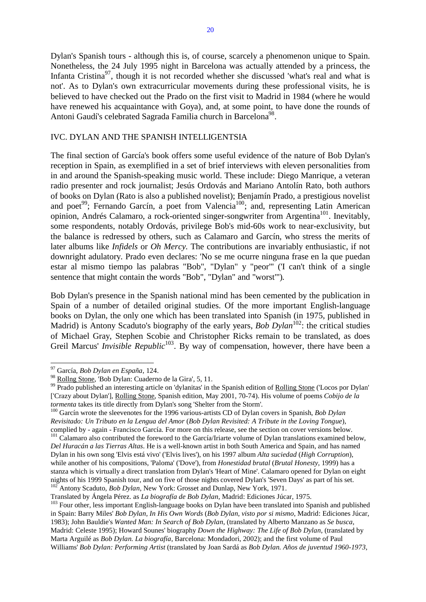Dylan's Spanish tours - although this is, of course, scarcely a phenomenon unique to Spain. Nonetheless, the 24 July 1995 night in Barcelona was actually attended by a princess, the Infanta Cristina<sup>97</sup>, though it is not recorded whether she discussed 'what's real and what is not'. As to Dylan's own extracurricular movements during these professional visits, he is believed to have checked out the Prado on the first visit to Madrid in 1984 (where he would have renewed his acquaintance with Goya), and, at some point, to have done the rounds of Antoni Gaudí's celebrated Sagrada Familia church in Barcelona<sup>98</sup>.

## IVC. DYLAN AND THE SPANISH INTELLIGENTSIA

The final section of García's book offers some useful evidence of the nature of Bob Dylan's reception in Spain, as exemplified in a set of brief interviews with eleven personalities from in and around the Spanish-speaking music world. These include: Diego Manrique, a veteran radio presenter and rock journalist; Jesús Ordovás and Mariano Antolín Rato, both authors of books on Dylan (Rato is also a published novelist); Benjamín Prado, a prestigious novelist and poet<sup>99</sup>; Fernando Garcín, a poet from Valencia<sup>100</sup>; and, representing Latin American opinion, Andrés Calamaro, a rock-oriented singer-songwriter from Argentina<sup>101</sup>, Inevitably, some respondents, notably Ordovás, privilege Bob's mid-60s work to near-exclusivity, but the balance is redressed by others, such as Calamaro and Garcín, who stress the merits of later albums like *Infidels* or *Oh Mercy*. The contributions are invariably enthusiastic, if not downright adulatory. Prado even declares: 'No se me ocurre ninguna frase en la que puedan estar al mismo tiempo las palabras "Bob", "Dylan" y "peor"' ('I can't think of a single sentence that might contain the words "Bob", "Dylan" and "worst"').

Bob Dylan's presence in the Spanish national mind has been cemented by the publication in Spain of a number of detailed original studies. Of the more important English-language books on Dylan, the only one which has been translated into Spanish (in 1975, published in Madrid) is Antony Scaduto's biography of the early years, *Bob Dylan*<sup>102</sup>: the critical studies of Michael Gray, Stephen Scobie and Christopher Ricks remain to be translated, as does Greil Marcus' *Invisible Republic*<sup>103</sup>. By way of compensation, however, there have been a

l

<sup>100</sup> Garcín wrote the sleevenotes for the 1996 various-artists CD of Dylan covers in Spanish, *Bob Dylan Revisitado: Un Tributo en la Lengua del Amor* (*Bob Dylan Revisited: A Tribute in the Loving Tongue*), complied by - again - Francisco García. For more on this release, see the section on cover versions below. <sup>101</sup> Calamaro also contributed the foreword to the García/Iriarte volume of Dylan translations examined below, *Del Huracán a las Tierras Altas*. He is a well-known artist in both South America and Spain, and has named Dylan in his own song 'Elvis está vivo' ('Elvis lives'), on his 1997 album *Alta suciedad* (*High Corruption*), while another of his compositions, 'Paloma' ('Dove'), from *Honestidad brutal* (*Brutal Honesty*, 1999) has a stanza which is virtually a direct translation from Dylan's 'Heart of Mine'. Calamaro opened for Dylan on eight nights of his 1999 Spanish tour, and on five of those nights covered Dylan's 'Seven Days' as part of his set. <sup>102</sup> Antony Scaduto, *Bob Dylan*, New York: Grosset and Dunlap, New York, 1971.

Translated by Ángela Pérez. as *La biografía de Bob Dylan*, Madrid: Ediciones Júcar, 1975.

<sup>97</sup> García, *Bob Dylan en España*, 124.

<sup>98</sup> Rollng Stone, 'Bob Dylan: Cuaderno de la Gira', 5, 11.

<sup>99</sup> Prado published an interesting article on 'dylanitas' in the Spanish edition of Rolling Stone ('Locos por Dylan' ['Crazy about Dylan'], Rolling Stone, Spanish edition, May 2001, 70-74). His volume of poems *Cobijo de la tormenta* takes its title directly from Dylan's song 'Shelter from the Storm'.

<sup>&</sup>lt;sup>103</sup> Four other, less important English-language books on Dylan have been translated into Spanish and published in Spain: Barry Miles' *Bob Dylan, In His Own Words* (*Bob Dylan, visto por si mismo*, Madrid: Ediciones Júcar, 1983); John Bauldie's *Wanted Man: In Search of Bob Dylan*, (translated by Alberto Manzano as *Se busca*, Madrid: Celeste 1995); Howard Sounes' biography *Down the Highway: The Life of Bob Dylan*, (translated by Marta Arguilé as *Bob Dylan. La biografía*, Barcelona: Mondadori, 2002); and the first volume of Paul Williams' *Bob Dylan: Performing Artist* (translated by Joan Sardá as *Bob Dylan. Años de juventud 1960-1973*,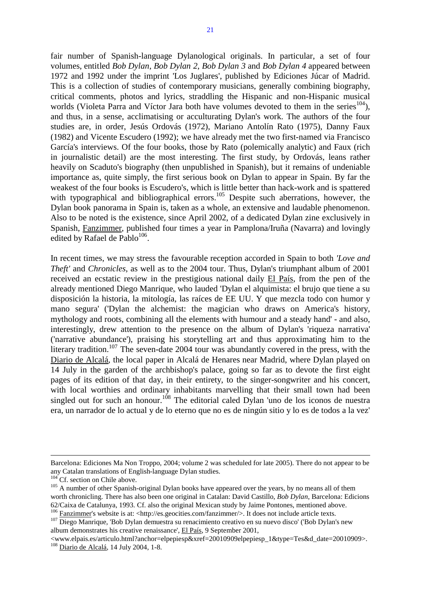fair number of Spanish-language Dylanological originals. In particular, a set of four volumes, entitled *Bob Dylan*, *Bob Dylan 2*, *Bob Dylan 3* and *Bob Dylan 4* appeared between 1972 and 1992 under the imprint 'Los Juglares', published by Ediciones Júcar of Madrid. This is a collection of studies of contemporary musicians, generally combining biography, critical comments, photos and lyrics, straddling the Hispanic and non-Hispanic musical worlds (Violeta Parra and Víctor Jara both have volumes devoted to them in the series<sup>104</sup>). and thus, in a sense, acclimatising or acculturating Dylan's work. The authors of the four studies are, in order, Jesús Ordovás (1972), Mariano Antolín Rato (1975), Danny Faux (1982) and Vicente Escudero (1992); we have already met the two first-named via Francisco García's interviews. Of the four books, those by Rato (polemically analytic) and Faux (rich in journalistic detail) are the most interesting. The first study, by Ordovás, leans rather heavily on Scaduto's biography (then unpublished in Spanish), but it remains of undeniable importance as, quite simply, the first serious book on Dylan to appear in Spain. By far the weakest of the four books is Escudero's, which is little better than hack-work and is spattered with typographical and bibliographical errors.<sup>105</sup> Despite such aberrations, however, the Dylan book panorama in Spain is, taken as a whole, an extensive and laudable phenomenon. Also to be noted is the existence, since April 2002, of a dedicated Dylan zine exclusively in Spanish, Fanzimmer, published four times a year in Pamplona/Iruña (Navarra) and lovingly edited by Rafael de Pablo $106$ .

In recent times, we may stress the favourable reception accorded in Spain to both *'Love and Theft'* and *Chronicles*, as well as to the 2004 tour. Thus, Dylan's triumphant album of 2001 received an ecstatic review in the prestigious national daily El País, from the pen of the already mentioned Diego Manrique, who lauded 'Dylan el alquimista: el brujo que tiene a su disposición la historia, la mitología, las raíces de EE UU. Y que mezcla todo con humor y mano segura' ('Dylan the alchemist: the magician who draws on America's history, mythology and roots, combining all the elements with humour and a steady hand' - and also, interestingly, drew attention to the presence on the album of Dylan's 'riqueza narrativa' ('narrative abundance'), praising his storytelling art and thus approximating him to the literary tradition.<sup>107</sup> The seven-date 2004 tour was abundantly covered in the press, with the Diario de Alcalá, the local paper in Alcalá de Henares near Madrid, where Dylan played on 14 July in the garden of the archbishop's palace, going so far as to devote the first eight pages of its edition of that day, in their entirety, to the singer-songwriter and his concert, with local worthies and ordinary inhabitants marvelling that their small town had been singled out for such an honour.<sup>108</sup> The editorial caled Dylan 'uno de los iconos de nuestra era, un narrador de lo actual y de lo eterno que no es de ningún sitio y lo es de todos a la vez'

Barcelona: Ediciones Ma Non Troppo, 2004; volume 2 was scheduled for late 2005). There do not appear to be any Catalan translations of English-language Dylan studies.

 $104$ <sup> $104$ </sup> Cf. section on Chile above.

<sup>&</sup>lt;sup>105</sup> A number of other Spanish-original Dylan books have appeared over the years, by no means all of them worth chronicling. There has also been one original in Catalan: David Castillo, *Bob Dylan*, Barcelona: Edicions 62/Caixa de Catalunya, 1993. Cf. also the original Mexican study by Jaime Pontones, mentioned above.

<sup>&</sup>lt;sup>106</sup> Fanzimmer's website is at: <http://es.geocities.com/fanzimmer/>. It does not include article texts.

<sup>107</sup> Diego Manrique, 'Bob Dylan demuestra su renacimiento creativo en su nuevo disco' ('Bob Dylan's new album demonstrates his creative renaissance', El País, 9 September 2001,

<sup>&</sup>lt;www.elpais.es/articulo.html?anchor=elpepiesp&xref=20010909elpepiesp\_1&type=Tes&d\_date=20010909>. <sup>108</sup> Diario de Alcalá, 14 July 2004, 1-8.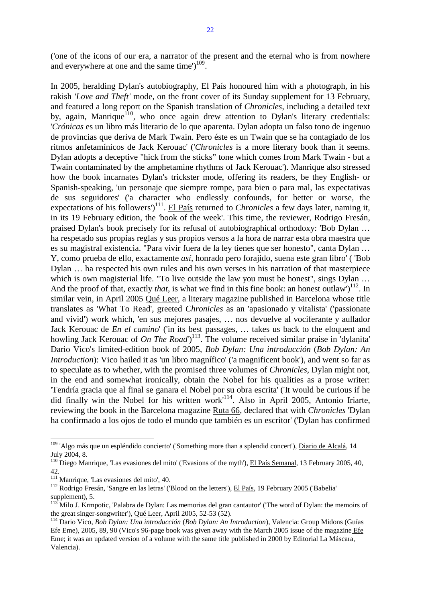('one of the icons of our era, a narrator of the present and the eternal who is from nowhere and everywhere at one and the same time' $1^{109}$ .

In 2005, heralding Dylan's autobiography, El País honoured him with a photograph, in his rakish *'Love and Theft'* mode, on the front cover of its Sunday supplement for 13 February, and featured a long report on the Spanish translation of *Chronicles*, including a detailed text by, again, Manrique<sup>110</sup>, who once again drew attention to Dylan's literary credentials: '*Crónicas* es un libro más literario de lo que aparenta. Dylan adopta un falso tono de ingenuo de provincias que deriva de Mark Twain. Pero éste es un Twain que se ha contagiado de los ritmos anfetamínicos de Jack Kerouac' ('*Chronicles* is a more literary book than it seems. Dylan adopts a deceptive "hick from the sticks" tone which comes from Mark Twain - but a Twain contaminated by the amphetamine rhythms of Jack Kerouac'). Manrique also stressed how the book incarnates Dylan's trickster mode, offering its readers, be they English- or Spanish-speaking, 'un personaje que siempre rompe, para bien o para mal, las expectativas de sus seguidores' ('a character who endlessly confounds, for better or worse, the expectations of his followers')<sup>111</sup>. El País returned to *Chronicles* a few days later, naming it, in its 19 February edition, the 'book of the week'. This time, the reviewer, Rodrigo Fresán, praised Dylan's book precisely for its refusal of autobiographical orthodoxy: 'Bob Dylan … ha respetado sus propias reglas y sus propios versos a la hora de narrar esta obra maestra que es su magistral existencia. "Para vivir fuera de la ley tienes que ser honesto", canta Dylan … Y, como prueba de ello, exactamente *así*, honrado pero forajido, suena este gran libro' ( 'Bob Dylan … ha respected his own rules and his own verses in his narration of that masterpiece which is own magisterial life. "To live outside the law you must be honest", sings Dylan … And the proof of that, exactly *that*, is what we find in this fine book: an honest outlaw')<sup>112</sup>. In similar vein, in April 2005 Qué Leer, a literary magazine published in Barcelona whose title translates as 'What To Read', greeted *Chronicles* as an 'apasionado y vitalista' ('passionate and vivid') work which, 'en sus mejores pasajes, … nos devuelve al vociferante y aullador Jack Kerouac de *En el camino*' ('in its best passages, … takes us back to the eloquent and howling Jack Kerouac of *On The Road*'<sup>113</sup>. The volume received similar praise in 'dylanita' Dario Vico's limited-edition book of 2005, *Bob Dylan: Una introducción* (*Bob Dylan: An Introduction*): Vico hailed it as 'un libro magnífico' ('a magnificent book'), and went so far as to speculate as to whether, with the promised three volumes of *Chronicles*, Dylan might not, in the end and somewhat ironically, obtain the Nobel for his qualities as a prose writer: 'Tendría gracia que al final se ganara el Nobel por su obra escrita' ('It would be curious if he did finally win the Nobel for his written work<sup>114</sup>. Also in April 2005, Antonio Iriarte, reviewing the book in the Barcelona magazine Ruta 66, declared that with *Chronicles* 'Dylan ha confirmado a los ojos de todo el mundo que también es un escritor' ('Dylan has confirmed

<sup>&</sup>lt;sup>109</sup> 'Algo más que un espléndido concierto' ('Something more than a splendid concert'), Diario de Alcalá, 14 July 2004, 8.

 $110$  Diego Manrique, 'Las evasiones del mito' ('Evasions of the myth'), El País Semanal, 13 February 2005, 40, 42.

<sup>111</sup> Manrique, 'Las evasiones del mito', 40.

<sup>&</sup>lt;sup>112</sup> Rodrigo Fresán, 'Sangre en las letras' ('Blood on the letters'), El País, 19 February 2005 ('Babelia' supplement), 5.

<sup>&</sup>lt;sup>113</sup> Milo J. Krmpotic, 'Palabra de Dylan: Las memorias del gran cantautor' ('The word of Dylan: the memoirs of the great singer-songwriter'), Qué Leer, April 2005, 52-53 (52).

<sup>114</sup> Dario Vico, *Bob Dylan: Una introducción* (*Bob Dylan: An Introduction*), Valencia: Group Midons (Guías Efe Eme), 2005, 89, 90 (Vico's 96-page book was given away with the March 2005 issue of the magazine Efe Eme; it was an updated version of a volume with the same title published in 2000 by Editorial La Máscara, Valencia).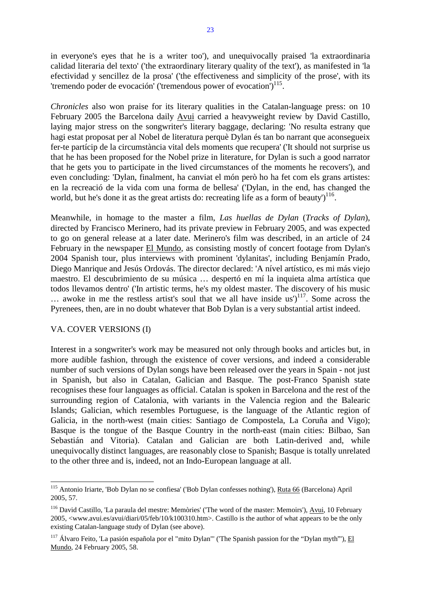in everyone's eyes that he is a writer too'), and unequivocally praised 'la extraordinaria calidad literaria del texto' ('the extraordinary literary quality of the text'), as manifested in 'la efectividad y sencillez de la prosa' ('the effectiveness and simplicity of the prose', with its 'tremendo poder de evocación' ('tremendous power of evocation')<sup>115</sup>.

*Chronicles* also won praise for its literary qualities in the Catalan-language press: on 10 February 2005 the Barcelona daily Avui carried a heavyweight review by David Castillo, laying major stress on the songwriter's literary baggage, declaring: 'No resulta estrany que hagi estat proposat per al Nobel de literatura perquè Dylan és tan bo narrant que aconsegueix fer-te partícip de la circumstància vital dels moments que recupera' ('It should not surprise us that he has been proposed for the Nobel prize in literature, for Dylan is such a good narrator that he gets you to participate in the lived circumstances of the moments he recovers'), and even concluding: 'Dylan, finalment, ha canviat el món però ho ha fet com els grans artistes: en la recreació de la vida com una forma de bellesa' ('Dylan, in the end, has changed the world, but he's done it as the great artists do: recreating life as a form of beauty')<sup>116</sup>.

Meanwhile, in homage to the master a film, *Las huellas de Dylan* (*Tracks of Dylan*), directed by Francisco Merinero, had its private preview in February 2005, and was expected to go on general release at a later date. Merinero's film was described, in an article of 24 February in the newspaper El Mundo, as consisting mostly of concert footage from Dylan's 2004 Spanish tour, plus interviews with prominent 'dylanitas', including Benjamín Prado, Diego Manrique and Jesús Ordovás. The director declared: 'A nível artístico, es mi más viejo maestro. El descubrimiento de su música … despertó en mí la inquieta alma artística que todos llevamos dentro' ('In artistic terms, he's my oldest master. The discovery of his music  $\ldots$  awoke in me the restless artist's soul that we all have inside us')<sup>117</sup>. Some across the Pyrenees, then, are in no doubt whatever that Bob Dylan is a very substantial artist indeed.

#### VA. COVER VERSIONS (I)

l

Interest in a songwriter's work may be measured not only through books and articles but, in more audible fashion, through the existence of cover versions, and indeed a considerable number of such versions of Dylan songs have been released over the years in Spain - not just in Spanish, but also in Catalan, Galician and Basque. The post-Franco Spanish state recognises these four languages as official. Catalan is spoken in Barcelona and the rest of the surrounding region of Catalonia, with variants in the Valencia region and the Balearic Islands; Galician, which resembles Portuguese, is the language of the Atlantic region of Galicia, in the north-west (main cities: Santiago de Compostela, La Coruña and Vigo); Basque is the tongue of the Basque Country in the north-east (main cities: Bilbao, San Sebastián and Vitoria). Catalan and Galician are both Latin-derived and, while unequivocally distinct languages, are reasonably close to Spanish; Basque is totally unrelated to the other three and is, indeed, not an Indo-European language at all.

<sup>&</sup>lt;sup>115</sup> Antonio Iriarte, 'Bob Dylan no se confiesa' ('Bob Dylan confesses nothing'), Ruta 66 (Barcelona) April 2005, 57.

<sup>&</sup>lt;sup>116</sup> David Castillo, 'La paraula del mestre: Memòries' ('The word of the master: Memoirs'), Avui, 10 February 2005, <www.avui.es/avui/diari/05/feb/10/k100310.htm>. Castillo is the author of what appears to be the only existing Catalan-language study of Dylan (see above).

<sup>&</sup>lt;sup>117</sup> Álvaro Feito, 'La pasión española por el "mito Dylan"' ('The Spanish passion for the "Dylan myth"'), **El** Mundo, 24 February 2005, 58.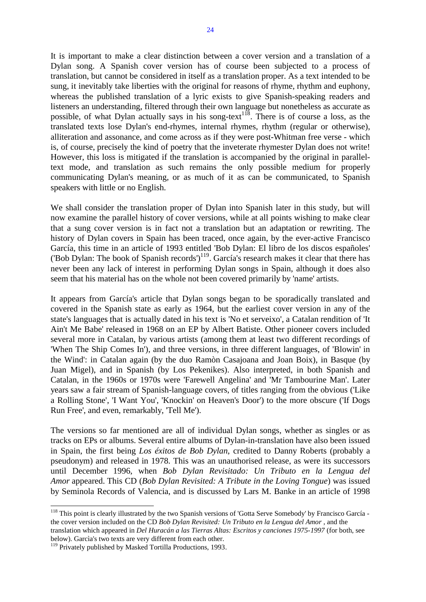It is important to make a clear distinction between a cover version and a translation of a Dylan song. A Spanish cover version has of course been subjected to a process of translation, but cannot be considered in itself as a translation proper. As a text intended to be sung, it inevitably take liberties with the original for reasons of rhyme, rhythm and euphony, whereas the published translation of a lyric exists to give Spanish-speaking readers and listeners an understanding, filtered through their own language but nonetheless as accurate as possible, of what Dylan actually says in his song-text<sup>118</sup>. There is of course a loss, as the translated texts lose Dylan's end-rhymes, internal rhymes, rhythm (regular or otherwise), alliteration and assonance, and come across as if they were post-Whitman free verse - which is, of course, precisely the kind of poetry that the inveterate rhymester Dylan does not write! However, this loss is mitigated if the translation is accompanied by the original in paralleltext mode, and translation as such remains the only possible medium for properly communicating Dylan's meaning, or as much of it as can be communicated, to Spanish speakers with little or no English.

We shall consider the translation proper of Dylan into Spanish later in this study, but will now examine the parallel history of cover versions, while at all points wishing to make clear that a sung cover version is in fact not a translation but an adaptation or rewriting. The history of Dylan covers in Spain has been traced, once again, by the ever-active Francisco García, this time in an article of 1993 entitled 'Bob Dylan: El libro de los discos españoles' ('Bob Dylan: The book of Spanish records')<sup>119</sup>. García's research makes it clear that there has never been any lack of interest in performing Dylan songs in Spain, although it does also seem that his material has on the whole not been covered primarily by 'name' artists.

It appears from García's article that Dylan songs began to be sporadically translated and covered in the Spanish state as early as 1964, but the earliest cover version in any of the state's languages that is actually dated in his text is 'No et serveixo', a Catalan rendition of 'It Ain't Me Babe' released in 1968 on an EP by Albert Batiste. Other pioneer covers included several more in Catalan, by various artists (among them at least two different recordings of 'When The Ship Comes In'), and three versions, in three different languages, of 'Blowin' in the Wind': in Catalan again (by the duo Ramòn Casajoana and Joan Boix), in Basque (by Juan Migel), and in Spanish (by Los Pekenikes). Also interpreted, in both Spanish and Catalan, in the 1960s or 1970s were 'Farewell Angelina' and 'Mr Tambourine Man'. Later years saw a fair stream of Spanish-language covers, of titles ranging from the obvious ('Like a Rolling Stone', 'I Want You', 'Knockin' on Heaven's Door') to the more obscure ('If Dogs Run Free', and even, remarkably, 'Tell Me').

The versions so far mentioned are all of individual Dylan songs, whether as singles or as tracks on EPs or albums. Several entire albums of Dylan-in-translation have also been issued in Spain, the first being *Los éxitos de Bob Dylan*, credited to Danny Roberts (probably a pseudonym) and released in 1978. This was an unauthorised release, as were its successors until December 1996, when *Bob Dylan Revisitado: Un Tributo en la Lengua del Amor* appeared. This CD (*Bob Dylan Revisited: A Tribute in the Loving Tongue*) was issued by Seminola Records of Valencia, and is discussed by Lars M. Banke in an article of 1998

<sup>&</sup>lt;sup>118</sup> This point is clearly illustrated by the two Spanish versions of 'Gotta Serve Somebody' by Francisco García the cover version included on the CD *Bob Dylan Revisited: Un Tributo en la Lengua del Amor* , and the translation which appeared in *Del Huracán a las Tierras Altas: Escritos y canciones 1975-1997* (for both, see below). Garcìa's two texts are very different from each other.

<sup>&</sup>lt;sup>119</sup> Privately published by Masked Tortilla Productions, 1993.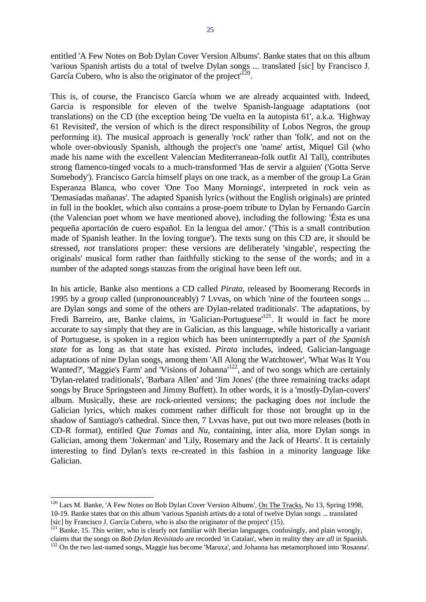entitled 'A Few Notes on Bob Dylan Cover Version Albums'. Banke states that on this album 'various Spanish artists do a total of twelve Dylan songs ... translated [sic] by Francisco J. García Cubero, who is also the originator of the project<sup> $120$ </sup>.

This is, of course, the Francisco García whom we are already acquainted with. Indeed, Garcia is responsible for eleven of the twelve Spanish-language adaptations (not translations) on the CD (the exception being 'De vuelta en la autopista 61', a.k.a. 'Highway 61 Revisited', the version of which is the direct responsibility of Lobos Negros, the group performing it). The musical approach is generally 'rock' rather than 'folk', and not on the whole over-obviously Spanish, although the project's one 'name' artist, Miquel Gil (who made his name with the excellent Valencian Mediterranean-folk outfit Al Tall), contributes strong flamenco-tinged vocals to a much-transformed 'Has de servir a alguien' ('Gotta Serve Somebody'). Francisco García himself plays on one track, as a member of the group La Gran Esperanza Blanca, who cover 'One Too Many Mornings', interpreted in rock vein as 'Demasiadas mañanas'. The adapted Spanish lyrics (without the English originals) are printed in full in the booklet, which also contains a prose-poem tribute to Dylan by Fernando Garcín (the Valencian poet whom we have mentioned above), including the following: 'Ésta es una pequeña aportación de cuero español. En la lengua del amor.' ('This is a small contribution made of Spanish leather. In the loving tongue'). The texts sung on this CD are, it should be stressed, *not* translations proper: these versions are deliberately 'singable', respecting the originals' musical form rather than faithfully sticking to the sense of the words; and in a number of the adapted songs stanzas from the original have been left out.

In his article, Banke also mentions a CD called *Pirata*, released by Boomerang Records in 1995 by a group called (unpronounceably) 7 Lvvas, on which 'nine of the fourteen songs ... are Dylan songs and some of the others are Dylan-related traditionals'. The adaptations, by Fredi Barreiro, are, Banke claims, in 'Galician-Portuguese'<sup>121</sup>. It would in fact be more accurate to say simply that they are in Galician, as this language, while historically a variant of Portuguese, is spoken in a region which has been uninterruptedly a part of *the Spanish state* for as long as that state has existed. *Pirata* includes, indeed, Galician-language adaptations of nine Dylan songs, among them 'All Along the Watchtower', 'What Was It You Wanted?', 'Maggie's Farm' and 'Visions of Johanna'<sup>122</sup>, and of two songs which are certainly 'Dylan-related traditionals', 'Barbara Allen' and 'Jim Jones' (the three remaining tracks adapt songs by Bruce Springsteen and Jimmy Buffett). In other words, it is a 'mostly-Dylan-covers' album. Musically, these are rock-oriented versions; the packaging does *not* include the Galician lyrics, which makes comment rather difficult for those not brought up in the shadow of Santiago's cathedral. Since then, 7 Lvvas have, put out two more releases (both in CD-R format), entitled *Que Tomas* and *Nu*, containing, inter alia, more Dylan songs in Galician, among them 'Jokerman' and 'Lily, Rosemary and the Jack of Hearts'. It is certainly interesting to find Dylan's texts re-created in this fashion in a minority language like Galician.

<sup>&</sup>lt;sup>120</sup> Lars M. Banke, 'A Few Notes on Bob Dylan Cover Version Albums', On The Tracks, No 13, Spring 1998, 10-19. Banke states that on this album 'various Spanish artists do a total of twelve Dylan songs ... translated [sic] by Francisco J. García Cubero, who is also the originator of the project' (15).

<sup>&</sup>lt;sup>121</sup> Banke, 15. This writer, who is clearly not familiar with Iberian languages, confusingly, and plain wrongly, claims that the songs on *Bob Dylan Revisitado* are recorded 'in Catalan', when in reality they are *all* in Spanish. 122 On the two last-named songs, Maggie has become 'Maruxa', and Johanna has metamorphosed into 'Rosanna'.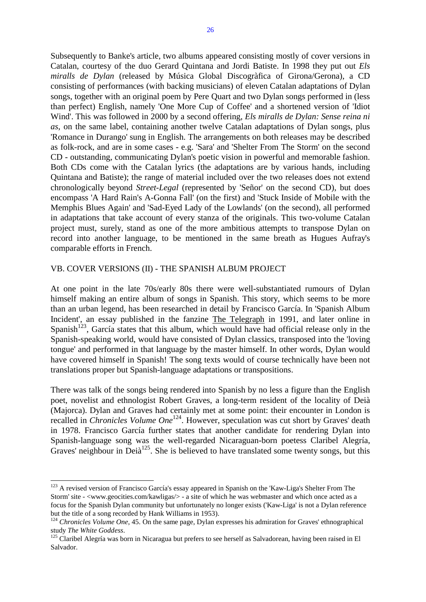Subsequently to Banke's article, two albums appeared consisting mostly of cover versions in Catalan, courtesy of the duo Gerard Quintana and Jordi Batiste. In 1998 they put out *Els miralls de Dylan* (released by Música Global Discogràfica of Girona/Gerona), a CD consisting of performances (with backing musicians) of eleven Catalan adaptations of Dylan songs, together with an original poem by Pere Quart and two Dylan songs performed in (less than perfect) English, namely 'One More Cup of Coffee' and a shortened version of 'Idiot Wind'. This was followed in 2000 by a second offering, *Els miralls de Dylan: Sense reina ni as*, on the same label, containing another twelve Catalan adaptations of Dylan songs, plus 'Romance in Durango' sung in English. The arrangements on both releases may be described as folk-rock, and are in some cases - e.g. 'Sara' and 'Shelter From The Storm' on the second CD - outstanding, communicating Dylan's poetic vision in powerful and memorable fashion. Both CDs come with the Catalan lyrics (the adaptations are by various hands, including Quintana and Batiste); the range of material included over the two releases does not extend chronologically beyond *Street-Legal* (represented by 'Señor' on the second CD), but does encompass 'A Hard Rain's A-Gonna Fall' (on the first) and 'Stuck Inside of Mobile with the Memphis Blues Again' and 'Sad-Eyed Lady of the Lowlands' (on the second), all performed in adaptations that take account of every stanza of the originals. This two-volume Catalan project must, surely, stand as one of the more ambitious attempts to transpose Dylan on record into another language, to be mentioned in the same breath as Hugues Aufray's comparable efforts in French.

### VB. COVER VERSIONS (II) - THE SPANISH ALBUM PROJECT

l

At one point in the late 70s/early 80s there were well-substantiated rumours of Dylan himself making an entire album of songs in Spanish. This story, which seems to be more than an urban legend, has been researched in detail by Francisco García. In 'Spanish Album Incident', an essay published in the fanzine The Telegraph in 1991, and later online in Spanish $123$ , García states that this album, which would have had official release only in the Spanish-speaking world, would have consisted of Dylan classics, transposed into the 'loving tongue' and performed in that language by the master himself. In other words, Dylan would have covered himself in Spanish! The song texts would of course technically have been not translations proper but Spanish-language adaptations or transpositions.

There was talk of the songs being rendered into Spanish by no less a figure than the English poet, novelist and ethnologist Robert Graves, a long-term resident of the locality of Deià (Majorca). Dylan and Graves had certainly met at some point: their encounter in London is recalled in *Chronicles Volume One*<sup>124</sup>. However, speculation was cut short by Graves' death in 1978. Francisco García further states that another candidate for rendering Dylan into Spanish-language song was the well-regarded Nicaraguan-born poetess Claribel Alegría, Graves' neighbour in Dei $a^{125}$ . She is believed to have translated some twenty songs, but this

<sup>&</sup>lt;sup>123</sup> A revised version of Francisco García's essay appeared in Spanish on the 'Kaw-Liga's Shelter From The Storm' site - <www.geocities.com/kawligas/> - a site of which he was webmaster and which once acted as a focus for the Spanish Dylan community but unfortunately no longer exists ('Kaw-Liga' is not a Dylan reference but the title of a song recorded by Hank Williams in 1953).

<sup>&</sup>lt;sup>124</sup> *Chronicles Volume One*, 45. On the same page, Dylan expresses his admiration for Graves' ethnographical study *The White Goddess*.

<sup>&</sup>lt;sup>125</sup> Claribel Alegría was born in Nicaragua but prefers to see herself as Salvadorean, having been raised in El Salvador.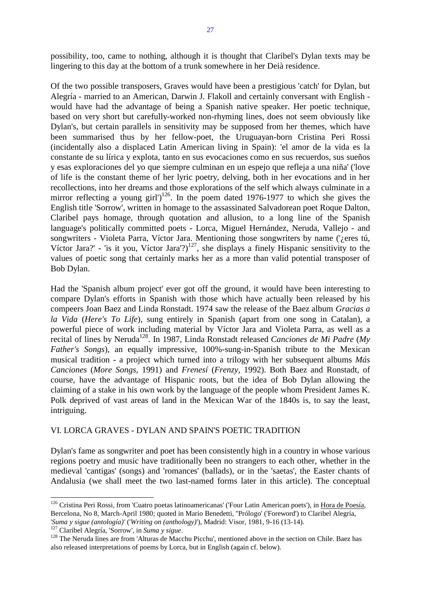possibility, too, came to nothing, although it is thought that Claribel's Dylan texts may be lingering to this day at the bottom of a trunk somewhere in her Deià residence.

Of the two possible transposers, Graves would have been a prestigious 'catch' for Dylan, but Alegría - married to an American, Darwin J. Flakoll and certainly conversant with English would have had the advantage of being a Spanish native speaker. Her poetic technique, based on very short but carefully-worked non-rhyming lines, does not seem obviously like Dylan's, but certain parallels in sensitivity may be supposed from her themes, which have been summarised thus by her fellow-poet, the Uruguayan-born Cristina Peri Rossi (incidentally also a displaced Latin American living in Spain): 'el amor de la vida es la constante de su lírica y explota, tanto en sus evocaciones como en sus recuerdos, sus sueños y esas exploraciones del yo que siempre culminan en un espejo que refleja a una niña' ('love of life is the constant theme of her lyric poetry, delving, both in her evocations and in her recollections, into her dreams and those explorations of the self which always culminate in a mirror reflecting a young girl')<sup>126</sup>. In the poem dated 1976-1977 to which she gives the English title 'Sorrow', written in homage to the assassinated Salvadorean poet Roque Dalton, Claribel pays homage, through quotation and allusion, to a long line of the Spanish language's politically committed poets - Lorca, Miguel Hernández, Neruda, Vallejo - and songwriters - Violeta Parra, Víctor Jara. Mentioning those songwriters by name ('¿eres tú, Víctor Jara?' - 'is it you, Víctor Jara'?)<sup>127</sup>, she displays a finely Hispanic sensitivity to the values of poetic song that certainly marks her as a more than valid potential transposer of Bob Dylan.

Had the 'Spanish album project' ever got off the ground, it would have been interesting to compare Dylan's efforts in Spanish with those which have actually been released by his compeers Joan Baez and Linda Ronstadt. 1974 saw the release of the Baez album *Gracias a la Vida* (*Here's To Life*), sung entirely in Spanish (apart from one song in Catalan), a powerful piece of work including material by Víctor Jara and Violeta Parra, as well as a recital of lines by Neruda128. In 1987, Linda Ronstadt released *Canciones de Mi Padre* (*My Father's Songs*), an equally impressive, 100%-sung-in-Spanish tribute to the Mexican musical tradition - a project which turned into a trilogy with her subsequent albums *Más Canciones* (*More Songs*, 1991) and *Frenesí* (*Frenzy*, 1992). Both Baez and Ronstadt, of course, have the advantage of Hispanic roots, but the idea of Bob Dylan allowing the claiming of a stake in his own work by the language of the people whom President James K. Polk deprived of vast areas of land in the Mexican War of the 1840s is, to say the least, intriguing.

#### VI. LORCA GRAVES - DYLAN AND SPAIN'S POETIC TRADITION

Dylan's fame as songwriter and poet has been consistently high in a country in whose various regions poetry and music have traditionally been no strangers to each other, whether in the medieval 'cantigas' (songs) and 'romances' (ballads), or in the 'saetas', the Easter chants of Andalusia (we shall meet the two last-named forms later in this article). The conceptual

<sup>&</sup>lt;sup>126</sup> Cristina Peri Rossi, from 'Cuatro poetas latinoamericanas' ('Four Latin American poets'), in Hora de Poesía, Bercelona, No 8, March-April 1980; quoted in Mario Benedetti, ''Prólogo' ('Foreword') to Claribel Alegría, '*Suma y sigue (antología)'* ('*Writing on (anthology)*'), Madrid: Visor, 1981, 9-16 (13-14).

<sup>127</sup> Claribel Alegría, 'Sorrow', in *Suma y sigue*.

<sup>&</sup>lt;sup>128</sup> The Neruda lines are from 'Alturas de Macchu Picchu', mentioned above in the section on Chile. Baez has also released interpretations of poems by Lorca, but in English (again cf. below).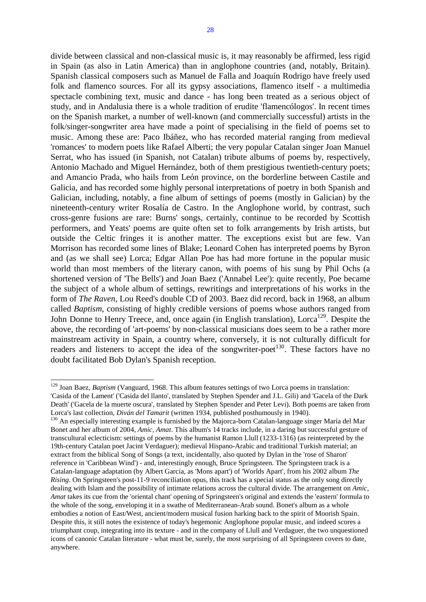divide between classical and non-classical music is, it may reasonably be affirmed, less rigid in Spain (as also in Latin America) than in anglophone countries (and, notably, Britain). Spanish classical composers such as Manuel de Falla and Joaquín Rodrigo have freely used folk and flamenco sources. For all its gypsy associations, flamenco itself - a multimedia spectacle combining text, music and dance - has long been treated as a serious object of study, and in Andalusia there is a whole tradition of erudite 'flamencólogos'. In recent times on the Spanish market, a number of well-known (and commercially successful) artists in the folk/singer-songwriter area have made a point of specialising in the field of poems set to music. Among these are: Paco Ibáñez, who has recorded material ranging from medieval 'romances' to modern poets like Rafael Alberti; the very popular Catalan singer Joan Manuel Serrat, who has issued (in Spanish, not Catalan) tribute albums of poems by, respectively, Antonio Machado and Miguel Hernández, both of them prestigious twentieth-century poets; and Amancio Prada, who hails from León province, on the borderline between Castile and Galicia, and has recorded some highly personal interpretations of poetry in both Spanish and Galician, including, notably, a fine album of settings of poems (mostly in Galician) by the nineteenth-century writer Rosalía de Castro. In the Anglophone world, by contrast, such cross-genre fusions are rare: Burns' songs, certainly, continue to be recorded by Scottish performers, and Yeats' poems are quite often set to folk arrangements by Irish artists, but outside the Celtic fringes it is another matter. The exceptions exist but are few. Van Morrison has recorded some lines of Blake; Leonard Cohen has interpreted poems by Byron and (as we shall see) Lorca; Edgar Allan Poe has had more fortune in the popular music world than most members of the literary canon, with poems of his sung by Phil Ochs (a shortened version of 'The Bells') and Joan Baez ('Annabel Lee'): quite recently, Poe became the subject of a whole album of settings, rewritings and interpretations of his works in the form of *The Raven*, Lou Reed's double CD of 2003. Baez did record, back in 1968, an album called *Baptism*, consisting of highly credible versions of poems whose authors ranged from John Donne to Henry Treece, and, once again (in English translation), Lorca<sup>129</sup>. Despite the above, the recording of 'art-poems' by non-classical musicians does seem to be a rather more mainstream activity in Spain, a country where, conversely, it is not culturally difficult for readers and listeners to accept the idea of the songwriter-poet<sup>130</sup>. These factors have no doubt facilitated Bob Dylan's Spanish reception.

<sup>&</sup>lt;sup>129</sup> Joan Baez, *Baptism* (Vanguard, 1968. This album features settings of two Lorca poems in translation: 'Casida of the Lament' ('Casida del llanto', translated by Stephen Spender and J.L. Gili) and 'Gacela of the Dark Death' ('Gacela de la muerte oscura', translated by Stephen Spender and Peter Levi). Both poems are taken from Lorca's last collection, *Diván del Tamarit* (written 1934, published posthumously in 1940).

<sup>&</sup>lt;sup>130</sup> An especially interesting example is furnished by the Majorca-born Catalan-language singer María del Mar Bonet and her album of 2004, *Amic, Amat*. This album's 14 tracks include, in a daring but successful gesture of transcultural eclecticism: settings of poems by the humanist Ramon Llull (1233-1316) (as reinterpreted by the 19th-century Catalan poet Jacint Verdaguer); medieval Hispano-Arabic and traditional Turkish material; an extract from the biblical Song of Songs (a text, incidentally, also quoted by Dylan in the 'rose of Sharon' reference in 'Caribbean Wind') - and, interestingly enough, Bruce Springsteen. The Springsteen track is a Catalan-language adaptation (by Albert Garcia, as 'Mons apart') of 'Worlds Apart', from his 2002 album *The Rising*. On Springsteen's post-11-9 reconciliation opus, this track has a special status as the only song directly dealing with Islam and the possibility of intimate relations across the cultural divide. The arrangement on *Amic, Amat* takes its cue from the 'oriental chant' opening of Springsteen's original and extends the 'eastern' formula to the whole of the song, enveloping it in a swathe of Mediterranean-Arab sound. Bonet's album as a whole embodies a notion of East/West, ancient/modern musical fusion harking back to the spirit of Moorish Spain. Despite this, it still notes the existence of today's hegemonic Anglophone popular music, and indeed scores a triumphant coup, integrating into its texture - and in the company of Llull and Verdaguer, the two unquestioned icons of canonic Catalan literature - what must be, surely, the most surprising of all Springsteen covers to date, anywhere.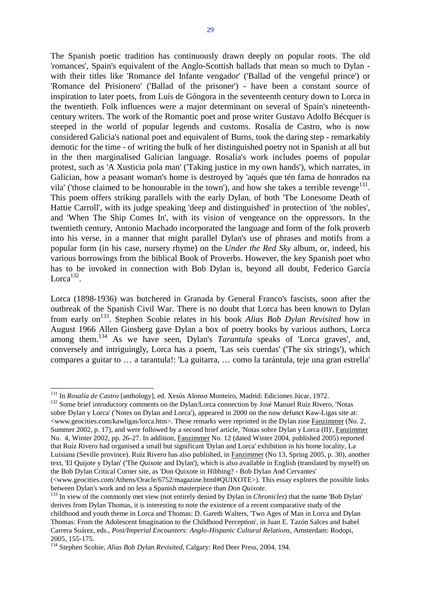The Spanish poetic tradition has continuously drawn deeply on popular roots. The old 'romances', Spain's equivalent of the Anglo-Scottish ballads that mean so much to Dylan with their titles like 'Romance del Infante vengador' ('Ballad of the vengeful prince') or 'Romance del Prisionero' ('Ballad of the prisoner') - have been a constant source of inspiration to later poets, from Luís de Góngora in the seventeenth century down to Lorca in the twentieth. Folk influences were a major determinant on several of Spain's nineteenthcentury writers. The work of the Romantic poet and prose writer Gustavo Adolfo Bécquer is steeped in the world of popular legends and customs. Rosalía de Castro, who is now considered Galicia's national poet and equivalent of Burns, took the daring step - remarkably demotic for the time - of writing the bulk of her distinguished poetry not in Spanish at all but in the then marginalised Galician language. Rosalía's work includes poems of popular protest, such as 'A Xusticia pola man' ('Taking justice in my own hands'), which narrates, in Galician, how a peasant woman's home is destroyed by 'aqués que tén fama de honrados na vila' ('those claimed to be honourable in the town'), and how she takes a terrible revenge<sup>131</sup>. This poem offers striking parallels with the early Dylan, of both 'The Lonesome Death of Hattie Carroll', with its judge speaking 'deep and distinguished' in protection of 'the nobles', and 'When The Ship Comes In', with its vision of vengeance on the oppressors. In the twentieth century, Antonio Machado incorporated the language and form of the folk proverb into his verse, in a manner that might parallel Dylan's use of phrases and motifs from a popular form (in his case, nursery rhyme) on the *Under the Red Sky* album, or, indeed, his various borrowings from the biblical Book of Proverbs. However, the key Spanish poet who has to be invoked in connection with Bob Dylan is, beyond all doubt, Federico García  $Lorca<sup>132</sup>$ .

Lorca (1898-1936) was butchered in Granada by General Franco's fascists, soon after the outbreak of the Spanish Civil War. There is no doubt that Lorca has been known to Dylan from early on133. Stephen Scobie relates in his book *Alias Bob Dylan Revisited* how in August 1966 Allen Ginsberg gave Dylan a box of poetry books by various authors, Lorca among them.134 As we have seen, Dylan's *Tarantula* speaks of 'Lorca graves', and, conversely and intriguingly, Lorca has a poem, 'Las seis cuerdas' ('The six strings'), which compares a guitar to … a tarantula!: 'La guitarra, … como la tarántula, teje una gran estrella'

<sup>131</sup> In *Rosalía de Castro* [anthology], ed. Xesús Alonso Monteiro, Madrid: Ediciones Júcar, 1972.

<sup>&</sup>lt;sup>132</sup> Some brief introductory comments on the Dylan/Lorca connection by José Manuel Ruíz Rivero, 'Notas sobre Dylan y Lorca' ('Notes on Dylan and Lorca'), appeared in 2000 on the now defunct Kaw-Ligas site at: <www.geocities.com/kawligas/lorca.htm>. These remarks were reprinted in the Dylan zine Fanzimmer (No. 2, Summer 2002, p. 17), and were followed by a second brief article, 'Notas sobre Dylan y Lorca (II)', Fanzimmer No. 4, Winter 2002, pp. 26-27. In addition, Fanzimmer No. 12 (dated Winter 2004, published 2005) reported that Ruíz Rivero had organised a small but significant 'Dylan and Lorca' exhibition in his home locality, La Luisiana (Seville province). Ruíz Rivero has also published, in Fanzimmer (No 13, Spring 2005, p. 30), another text, 'El Quijote y Dylan' ('The *Quixote* and Dylan'), which is also available in English (translated by myself) on the Bob Dylan Critical Corner site, as 'Don Quixote in Hibbing? - Bob Dylan And Cervantes' (<www.geocities.com/Athens/Oracle/6752/magazine.html#QUIXOTE>). This essay explores the possible links

between Dylan's work and no less a Spanish masterpiece than *Don Quixote*.<br><sup>133</sup> In view of the commonly met view (not entirely denied by Dylan in *Chronicles*) that the name 'Bob Dylan'

derives from Dylan Thomas, it is interesting to note the existence of a recent comparative study of the childhood and youth theme in Lorca and Thomas: D. Gareth Walters, 'Two Ages of Man in Lorca and Dylan Thomas: From the Adolescent Imagination to the Childhood Perception', in Juan E. Tazón Salces and Isabel Carrera Suárez, eds., *Post/Imperial Encounters: Anglo-Hispanic Cultural Relations*, Amsterdam: Rodopi, 2005, 155-175.

<sup>134</sup> Stephen Scobie, *Alias Bob Dylan Revisited*, Calgary: Red Deer Press, 2004, 194.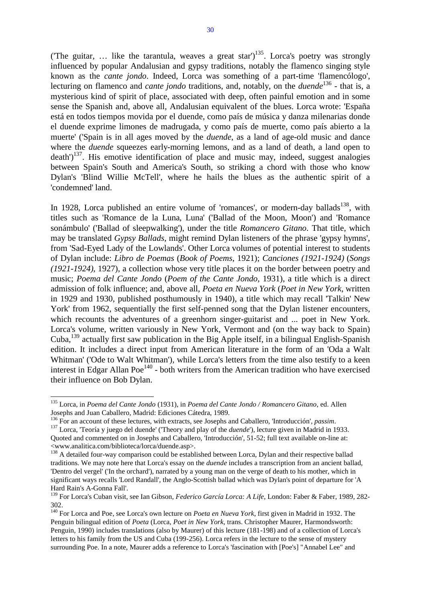(The guitar, ... like the tarantula, weaves a great star')<sup>135</sup>. Lorca's poetry was strongly influenced by popular Andalusian and gypsy traditions, notably the flamenco singing style known as the *cante jondo*. Indeed, Lorca was something of a part-time 'flamencólogo', lecturing on flamenco and *cante jondo* traditions, and, notably, on the *duende*<sup>136</sup> - that is, a mysterious kind of spirit of place, associated with deep, often painful emotion and in some sense the Spanish and, above all, Andalusian equivalent of the blues. Lorca wrote: 'España está en todos tiempos movida por el duende, como país de música y danza milenarias donde el duende exprime limones de madrugada, y como país de muerte, como país abierto a la muerte' ('Spain is in all ages moved by the *duende*, as a land of age-old music and dance where the *duende* squeezes early-morning lemons, and as a land of death, a land open to  $\text{death'}$ <sup>137</sup>. His emotive identification of place and music may, indeed, suggest analogies between Spain's South and America's South, so striking a chord with those who know Dylan's 'Blind Willie McTell', where he hails the blues as the authentic spirit of a 'condemned' land.

In 1928, Lorca published an entire volume of 'romances', or modern-day ballads<sup>138</sup>, with titles such as 'Romance de la Luna, Luna' ('Ballad of the Moon, Moon') and 'Romance sonámbulo' ('Ballad of sleepwalking'), under the title *Romancero Gitano*. That title, which may be translated *Gypsy Ballads*, might remind Dylan listeners of the phrase 'gypsy hymns', from 'Sad-Eyed Lady of the Lowlands'. Other Lorca volumes of potential interest to students of Dylan include: *Libro de Poemas* (*Book of Poems*, 1921); *Canciones (1921-1924)* (*Songs (1921-1924)*, 1927), a collection whose very title places it on the border between poetry and music; *Poema del Cante Jondo* (*Poem of the Cante Jondo*, 1931), a title which is a direct admission of folk influence; and, above all, *Poeta en Nueva York* (*Poet in New York*, written in 1929 and 1930, published posthumously in 1940), a title which may recall 'Talkin' New York' from 1962, sequentially the first self-penned song that the Dylan listener encounters, which recounts the adventures of a greenhorn singer-guitarist and ... poet in New York. Lorca's volume, written variously in New York, Vermont and (on the way back to Spain) Cuba,139 actually first saw publication in the Big Apple itself, in a bilingual English-Spanish edition. It includes a direct input from American literature in the form of an 'Oda a Walt Whitman' ('Ode to Walt Whitman'), while Lorca's letters from the time also testify to a keen interest in Edgar Allan Poe<sup>140</sup> - both writers from the American tradition who have exercised their influence on Bob Dylan.

<sup>135</sup> Lorca, in *Poema del Cante Jondo* (1931), in *Poema del Cante Jondo / Romancero Gitano*, ed. Allen Josephs and Juan Caballero, Madrid: Ediciones Cátedra, 1989.

<sup>136</sup> For an account of these lectures, with extracts, see Josephs and Caballero, 'Introducción', *passim*.

<sup>137</sup> Lorca, 'Teoría y juego del duende' ('Theory and play of the *duende*'), lecture given in Madrid in 1933. Quoted and commented on in Josephs and Caballero, 'Introducción', 51-52; full text available on-line at: <www.analitica.com/biblioteca/lorca/duende.asp>.

<sup>&</sup>lt;sup>138</sup> A detailed four-way comparison could be established between Lorca, Dylan and their respective ballad traditions. We may note here that Lorca's essay on the *duende* includes a transcription from an ancient ballad, 'Dentro del vergel' ('In the orchard'), narrated by a young man on the verge of death to his mother, which in significant ways recalls 'Lord Randall', the Anglo-Scottish ballad which was Dylan's point of departure for 'A Hard Rain's A-Gonna Fall'.

<sup>139</sup> For Lorca's Cuban visit, see Ian Gibson, *Federico García Lorca: A Life*, London: Faber & Faber, 1989, 282- 302.

<sup>140</sup> For Lorca and Poe, see Lorca's own lecture on *Poeta en Nueva York*, first given in Madrid in 1932. The Penguin bilingual edition of *Poeta* (Lorca, *Poet in New York*, trans. Christopher Maurer, Harmondsworth: Penguin, 1990) includes translations (also by Maurer) of this lecture (181-198) and of a collection of Lorca's letters to his family from the US and Cuba (199-256). Lorca refers in the lecture to the sense of mystery surrounding Poe. In a note, Maurer adds a reference to Lorca's 'fascination with [Poe's] "Annabel Lee" and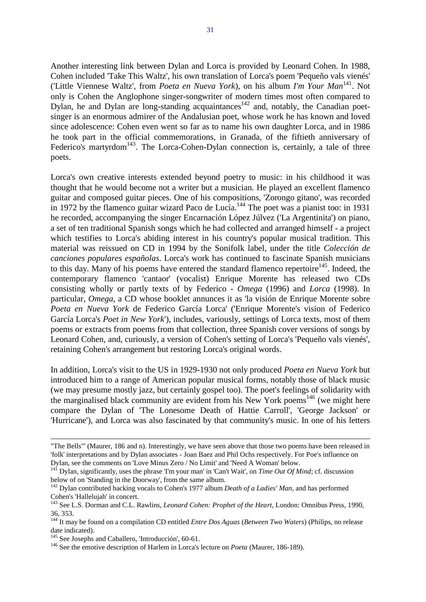Another interesting link between Dylan and Lorca is provided by Leonard Cohen. In 1988, Cohen included 'Take This Waltz', his own translation of Lorca's poem 'Pequeño vals vienés' ('Little Viennese Waltz', from *Poeta en Nueva York*), on his album *I'm Your Man*141. Not only is Cohen the Anglophone singer-songwriter of modern times most often compared to Dylan, he and Dylan are long-standing acquaintances<sup>142</sup> and, notably, the Canadian poetsinger is an enormous admirer of the Andalusian poet, whose work he has known and loved since adolescence: Cohen even went so far as to name his own daughter Lorca, and in 1986 he took part in the official commemorations, in Granada, of the fiftieth anniversary of Federico's martyrdom<sup>143</sup>. The Lorca-Cohen-Dylan connection is, certainly, a tale of three poets.

Lorca's own creative interests extended beyond poetry to music: in his childhood it was thought that he would become not a writer but a musician. He played an excellent flamenco guitar and composed guitar pieces. One of his compositions, 'Zorongo gitano', was recorded in 1972 by the flamenco guitar wizard Paco de Lucía.<sup>144</sup> The poet was a pianist too: in 1931 he recorded, accompanying the singer Encarnación López Júlvez ('La Argentinita') on piano, a set of ten traditional Spanish songs which he had collected and arranged himself - a project which testifies to Lorca's abiding interest in his country's popular musical tradition. This material was reissued on CD in 1994 by the Sonifolk label, under the title *Colección de canciones populares españolas*. Lorca's work has continued to fascinate Spanish musicians to this day. Many of his poems have entered the standard flamenco repertoire<sup>145</sup>. Indeed, the contemporary flamenco 'cantaor' (vocalist) Enrique Morente has released two CDs consisting wholly or partly texts of by Federico - *Omega* (1996) and *Lorca* (1998). In particular, *Omega*, a CD whose booklet annunces it as 'la visión de Enrique Morente sobre *Poeta en Nueva York* de Federico García Lorca' ('Enrique Morente's vision of Federico García Lorca's *Poet in New York*'), includes, variously, settings of Lorca texts, most of them poems or extracts from poems from that collection, three Spanish cover versions of songs by Leonard Cohen, and, curiously, a version of Cohen's setting of Lorca's 'Pequeño vals vienés', retaining Cohen's arrangement but restoring Lorca's original words.

In addition, Lorca's visit to the US in 1929-1930 not only produced *Poeta en Nueva York* but introduced him to a range of American popular musical forms, notably those of black music (we may presume mostly jazz, but certainly gospel too). The poet's feelings of solidarity with the marginalised black community are evident from his New York poems<sup>146</sup> (we might here compare the Dylan of 'The Lonesome Death of Hattie Carroll', 'George Jackson' or 'Hurricane'), and Lorca was also fascinated by that community's music. In one of his letters

<sup>&</sup>quot;The Bells"' (Maurer, 186 and n). Interestingly, we have seen above that those two poems have been released in 'folk' interpretations and by Dylan associates - Joan Baez and Phil Ochs respectively. For Poe's influence on Dylan, see the comments on 'Love Minus Zero / No Limit' and 'Need A Woman' below.

<sup>&</sup>lt;sup>141</sup> Dylan, significantly, uses the phrase 'I'm your man' in 'Can't Wait', on *Time Out Of Mind*; cf. discussion below of on 'Standing in the Doorway', from the same album.

<sup>142</sup> Dylan contributed backing vocals to Cohen's 1977 album *Death of a Ladies' Man*, and has performed Cohen's 'Hallelujah' in concert.

<sup>143</sup> See L.S. Dorman and C.L. Rawlins, *Leonard Cohen: Prophet of the Heart*, London: Omnibus Press, 1990, 36, 353.

<sup>144</sup> It may be found on a compilation CD entitled *Entre Dos Aguas* (*Between Two Waters*) (Philips, no release date indicated).

<sup>145</sup> See Josephs and Caballero, 'Introducción', 60-61.

<sup>146</sup> See the emotive description of Harlem in Lorca's lecture on *Poeta* (Maurer, 186-189).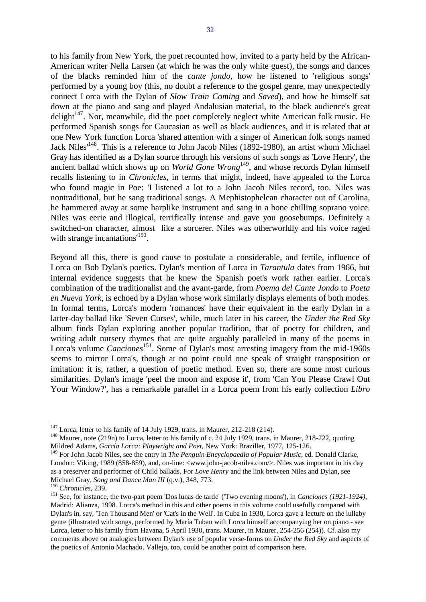to his family from New York, the poet recounted how, invited to a party held by the African-American writer Nella Larsen (at which he was the only white guest), the songs and dances of the blacks reminded him of the *cante jondo*, how he listened to 'religious songs' performed by a young boy (this, no doubt a reference to the gospel genre, may unexpectedly connect Lorca with the Dylan of *Slow Train Coming* and *Saved*), and how he himself sat down at the piano and sang and played Andalusian material, to the black audience's great delight $147$ . Nor, meanwhile, did the poet completely neglect white American folk music. He performed Spanish songs for Caucasian as well as black audiences, and it is related that at one New York function Lorca 'shared attention with a singer of American folk songs named Jack Niles<sup>148</sup>. This is a reference to John Jacob Niles (1892-1980), an artist whom Michael Gray has identified as a Dylan source through his versions of such songs as 'Love Henry', the ancient ballad which shows up on *World Gone Wrong*<sup>149</sup>, and whose records Dylan himself recalls listening to in *Chronicles*, in terms that might, indeed, have appealed to the Lorca who found magic in Poe: 'I listened a lot to a John Jacob Niles record, too. Niles was nontraditional, but he sang traditional songs. A Mephistophelean character out of Carolina, he hammered away at some harplike instrument and sang in a bone chilling soprano voice. Niles was eerie and illogical, terrifically intense and gave you goosebumps. Definitely a switched-on character, almost like a sorcerer. Niles was otherworldly and his voice raged with strange incantations<sup>150</sup>.

Beyond all this, there is good cause to postulate a considerable, and fertile, influence of Lorca on Bob Dylan's poetics. Dylan's mention of Lorca in *Tarantula* dates from 1966, but internal evidence suggests that he knew the Spanish poet's work rather earlier. Lorca's combination of the traditionalist and the avant-garde, from *Poema del Cante Jondo* to *Poeta en Nueva York*, is echoed by a Dylan whose work similarly displays elements of both modes. In formal terms, Lorca's modern 'romances' have their equivalent in the early Dylan in a latter-day ballad like 'Seven Curses', while, much later in his career, the *Under the Red Sky* album finds Dylan exploring another popular tradition, that of poetry for children, and writing adult nursery rhymes that are quite arguably paralleled in many of the poems in Lorca's volume *Canciones*<sup>151</sup>. Some of Dylan's most arresting imagery from the mid-1960s seems to mirror Lorca's, though at no point could one speak of straight transposition or imitation: it is, rather, a question of poetic method. Even so, there are some most curious similarities. Dylan's image 'peel the moon and expose it', from 'Can You Please Crawl Out Your Window?', has a remarkable parallel in a Lorca poem from his early collection *Libro* 

 $147$  Lorca, letter to his family of 14 July 1929, trans. in Maurer, 212-218 (214).

<sup>&</sup>lt;sup>148</sup> Maurer, note (219n) to Lorca, letter to his family of c. 24 July 1929, trans. in Maurer, 218-222, quoting Mildred Adams, *García Lorca: Playwright and Poet,* New York: Braziller, 1977, 125-126.

<sup>149</sup> For John Jacob Niles, see the entry in *The Penguin Encyclopaedia of Popular Music*, ed. Donald Clarke, London: Viking, 1989 (858-859), and, on-line: <www.john-jacob-niles.com/>. Niles was important in his day as a preserver and performer of Child ballads. For *Love Henry* and the link between Niles and Dylan, see Michael Gray, *Song and Dance Man III* (q.v.), 348, 773.

<sup>150</sup> *Chronicles*, 239.

<sup>151</sup> See, for instance, the two-part poem 'Dos lunas de tarde' ('Two evening moons'), in *Canciones (1921-1924)*, Madrid: Alianza, 1998. Lorca's method in this and other poems in this volume could usefully compared with Dylan's in, say, 'Ten Thousand Men' or 'Cat's in the Well'. In Cuba in 1930, Lorca gave a lecture on the lullaby genre (illustrated with songs, performed by María Tubau with Lorca himself accompanying her on piano - see Lorca, letter to his family from Havana, 5 April 1930, trans. Maurer, in Maurer, 254-256 (254)). Cf. also my comments above on analogies between Dylan's use of popular verse-forms on *Under the Red Sky* and aspects of the poetics of Antonio Machado. Vallejo, too, could be another point of comparison here.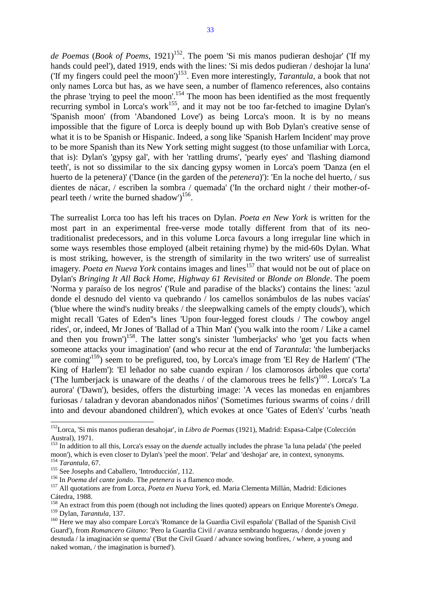*de Poemas (Book of Poems, 1921)*<sup>152</sup>. The poem 'Si mis manos pudieran deshojar' ('If my hands could peel'), dated 1919, ends with the lines: 'Si mis dedos pudieran / deshojar la luna' ('If my fingers could peel the moon')<sup>153</sup>. Even more interestingly, *Tarantula*, a book that not only names Lorca but has, as we have seen, a number of flamenco references, also contains the phrase 'trying to peel the moon'.<sup>154</sup> The moon has been identified as the most frequently recurring symbol in Lorca's work<sup>155</sup>, and it may not be too far-fetched to imagine Dylan's 'Spanish moon' (from 'Abandoned Love') as being Lorca's moon. It is by no means impossible that the figure of Lorca is deeply bound up with Bob Dylan's creative sense of what it is to be Spanish or Hispanic. Indeed, a song like 'Spanish Harlem Incident' may prove to be more Spanish than its New York setting might suggest (to those unfamiliar with Lorca, that is): Dylan's 'gypsy gal', with her 'rattling drums', 'pearly eyes' and 'flashing diamond teeth', is not so dissimilar to the six dancing gypsy women in Lorca's poem 'Danza (en el huerto de la petenera)' ('Dance (in the garden of the *petenera*)'): 'En la noche del huerto, / sus dientes de nácar, / escriben la sombra / quemada' ('In the orchard night / their mother-ofpearl teeth / write the burned shadow')<sup>156</sup>.

The surrealist Lorca too has left his traces on Dylan. *Poeta en New York* is written for the most part in an experimental free-verse mode totally different from that of its neotraditionalist predecessors, and in this volume Lorca favours a long irregular line which in some ways resembles those employed (albeit retaining rhyme) by the mid-60s Dylan. What is most striking, however, is the strength of similarity in the two writers' use of surrealist imagery. *Poeta en Nueva York* contains images and lines<sup>157</sup> that would not be out of place on Dylan's *Bringing It All Back Home*, *Highway 61 Revisited* or *Blonde on Blonde*. The poem 'Norma y paraíso de los negros' ('Rule and paradise of the blacks') contains the lines: 'azul donde el desnudo del viento va quebrando / los camellos sonámbulos de las nubes vacías' ('blue where the wind's nudity breaks / the sleepwalking camels of the empty clouds'), which might recall 'Gates of Eden''s lines 'Upon four-legged forest clouds / The cowboy angel rides', or, indeed, Mr Jones of 'Ballad of a Thin Man' ('you walk into the room / Like a camel and then you frown')<sup>158</sup>. The latter song's sinister 'lumberjacks' who 'get you facts when someone attacks your imagination' (and who recur at the end of *Tarantula*: 'the lumberjacks are coming'159) seem to be prefigured, too, by Lorca's image from 'El Rey de Harlem' ('The King of Harlem'): 'El leñador no sabe cuando expiran / los clamorosos árboles que corta' (The lumberjack is unaware of the deaths / of the clamorous trees he fells')<sup>160</sup>. Lorca's 'La aurora' ('Dawn'), besides, offers the disturbing image: 'A veces las monedas en enjambres furiosas / taladran y devoran abandonados niños' ('Sometimes furious swarms of coins / drill into and devour abandoned children'), which evokes at once 'Gates of Eden's' 'curbs 'neath

<sup>152</sup>Lorca, 'Si mis manos pudieran desahojar', in *Libro de Poemas* (1921), Madrid: Espasa-Calpe (Colección Austral), 1971.

<sup>153</sup> In addition to all this, Lorca's essay on the *duende* actually includes the phrase 'la luna pelada' ('the peeled moon'), which is even closer to Dylan's 'peel the moon'. 'Pelar' and 'deshojar' are, in context, synonyms.<br><sup>154</sup> Tarantula, 67.

<sup>&</sup>lt;sup>155</sup> See Josephs and Caballero, 'Introducción', 112.

<sup>156</sup> In *Poema del cante jondo*. The *petenera* is a flamenco mode.

<sup>157</sup> All quotations are from Lorca, *Poeta en Nueva York*, ed. Maria Clementa Millán, Madrid: Ediciones Cátedra, 1988.

<sup>158</sup> An extract from this poem (though not including the lines quoted) appears on Enrique Morente's *Omega*. 159 Dylan, *Tarantula*, 137.

<sup>160</sup> Here we may also compare Lorca's 'Romance de la Guardia Civil española' ('Ballad of the Spanish Civil Guard'), from *Romancero Gitano*: 'Pero la Guardia Civil / avanza sembrando hogueras, / donde joven y desnuda / la imaginación se quema' ('But the Civil Guard / advance sowing bonfires, / where, a young and naked woman, / the imagination is burned').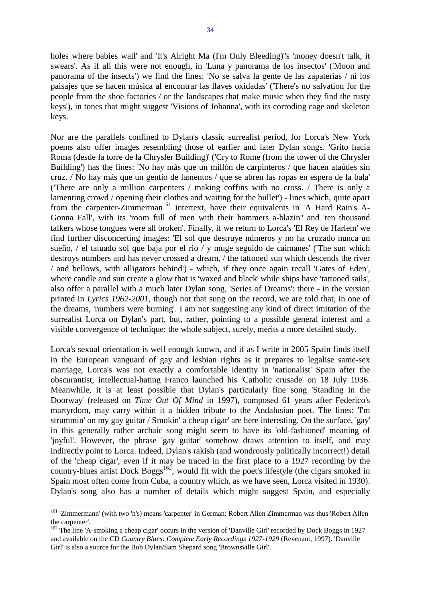holes where babies wail' and 'It's Alright Ma (I'm Only Bleeding)''s 'money doesn't talk, it swears'. As if all this were not enough, in 'Luna y panorama de los insectos' ('Moon and panorama of the insects') we find the lines: 'No se salva la gente de las zapaterías / ni los paisajes que se hacen música al encontrar las llaves oxidadas' ('There's no salvation for the people from the shoe factories / or the landscapes that make music when they find the rusty keys'), in tones that might suggest 'Visions of Johanna', with its corroding cage and skeleton keys.

Nor are the parallels confined to Dylan's classic surrealist period, for Lorca's New York poems also offer images resembling those of earlier and later Dylan songs. 'Grito hacia Roma (desde la torre de la Chrysler Building)' ('Cry to Rome (from the tower of the Chrysler Building') has the lines: 'No hay más que un millón de carpinteros / que hacen ataúdes sin cruz. / No hay más que un gentío de lamentos / que se abren las ropas en espera de la bala' ('There are only a million carpenters / making coffins with no cross. / There is only a lamenting crowd / opening their clothes and waiting for the bullet') - lines which, quite apart from the carpenter-Zimmerman<sup>161</sup> intertext, have their equivalents in 'A Hard Rain's A-Gonna Fall', with its 'room full of men with their hammers a-blazin'' and 'ten thousand talkers whose tongues were all broken'. Finally, if we return to Lorca's 'El Rey de Harlem' we find further disconcerting images: 'El sol que destruye números y no ha cruzado nunca un sueño, / el tatuado sol que baja por el rio / y muge seguido de caimanes' ('The sun which destroys numbers and has never crossed a dream, / the tattooed sun which descends the river / and bellows, with alligators behind') - which, if they once again recall 'Gates of Eden', where candle and sun create a glow that is 'waxed and black' while ships have 'tattooed sails', also offer a parallel with a much later Dylan song, 'Series of Dreams': there - in the version printed in *Lyrics 1962-2001*, though not that sung on the record, we are told that, in one of the dreams, 'numbers were burning'. I am not suggesting any kind of direct imitation of the surrealist Lorca on Dylan's part, but, rather, pointing to a possible general interest and a visible convergence of technique: the whole subject, surely, merits a more detailed study.

Lorca's sexual orientation is well enough known, and if as I write in 2005 Spain finds itself in the European vanguard of gay and lesbian rights as it prepares to legalise same-sex marriage, Lorca's was not exactly a comfortable identity in 'nationalist' Spain after the obscurantist, intellectual-hating Franco launched his 'Catholic crusade' on 18 July 1936. Meanwhile, it is at least possible that Dylan's particularly fine song 'Standing in the Doorway' (released on *Time Out Of Mind* in 1997), composed 61 years after Federico's martyrdom, may carry within it a hidden tribute to the Andalusian poet. The lines: 'I'm strummin' on my gay guitar / Smokin' a cheap cigar' are here interesting. On the surface, 'gay' in this generally rather archaic song might seem to have its 'old-fashioned' meaning of 'joyful'. However, the phrase 'gay guitar' somehow draws attention to itself, and may indirectly point to Lorca. Indeed, Dylan's rakish (and wondrously politically incorrect!) detail of the 'cheap cigar', even if it may be traced in the first place to a 1927 recording by the country-blues artist Dock Boggs<sup>162</sup>, would fit with the poet's lifestyle (the cigars smoked in Spain most often come from Cuba, a country which, as we have seen, Lorca visited in 1930). Dylan's song also has a number of details which might suggest Spain, and especially

<sup>&</sup>lt;sup>161</sup> 'Zimmermann' (with two 'n's) means 'carpenter' in German: Robert Allen Zimmerman was thus 'Robert Allen the carpenter'.

<sup>&</sup>lt;sup>162</sup> The line 'A-smoking a cheap cigar' occurs in the version of 'Danville Girl' recorded by Dock Boggs in 1927 and available on the CD *Country Blues: Complete Early Recordings 1927-1929* (Revenant, 1997). 'Danville Girl' is also a source for the Bob Dylan/Sam Shepard song 'Brownsville Girl'.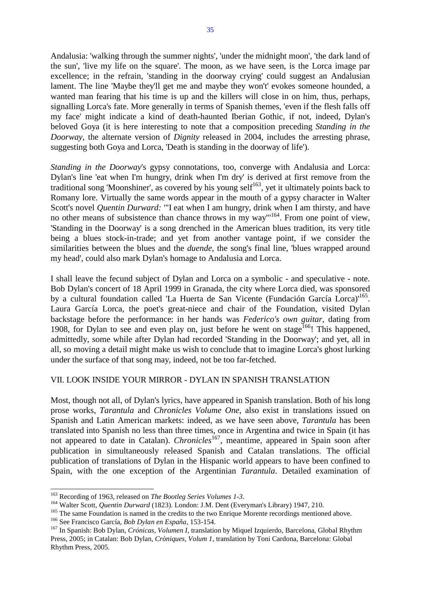Andalusia: 'walking through the summer nights', 'under the midnight moon', 'the dark land of the sun', 'live my life on the square'. The moon, as we have seen, is the Lorca image par excellence; in the refrain, 'standing in the doorway crying' could suggest an Andalusian lament. The line 'Maybe they'll get me and maybe they won't' evokes someone hounded, a wanted man fearing that his time is up and the killers will close in on him, thus, perhaps, signalling Lorca's fate. More generally in terms of Spanish themes, 'even if the flesh falls off my face' might indicate a kind of death-haunted Iberian Gothic, if not, indeed, Dylan's beloved Goya (it is here interesting to note that a composition preceding *Standing in the Doorway*, the alternate version of *Dignity* released in 2004, includes the arresting phrase, suggesting both Goya and Lorca, 'Death is standing in the doorway of life').

*Standing in the Doorway*'s gypsy connotations, too, converge with Andalusia and Lorca: Dylan's line 'eat when I'm hungry, drink when I'm dry' is derived at first remove from the traditional song 'Moonshiner', as covered by his young self<sup>163</sup>, yet it ultimately points back to Romany lore. Virtually the same words appear in the mouth of a gypsy character in Walter Scott's novel *Quentin Durward:* '"I eat when I am hungry, drink when I am thirsty, and have no other means of subsistence than chance throws in my way"<sup>164</sup>. From one point of view, 'Standing in the Doorway' is a song drenched in the American blues tradition, its very title being a blues stock-in-trade; and yet from another vantage point, if we consider the similarities between the blues and the *duende*, the song's final line, 'blues wrapped around my head', could also mark Dylan's homage to Andalusia and Lorca.

I shall leave the fecund subject of Dylan and Lorca on a symbolic - and speculative - note. Bob Dylan's concert of 18 April 1999 in Granada, the city where Lorca died, was sponsored by a cultural foundation called 'La Huerta de San Vicente (Fundación García Lorca)<sup>165</sup>. Laura García Lorca, the poet's great-niece and chair of the Foundation, visited Dylan backstage before the performance: in her hands was *Federico's own guitar*, dating from 1908, for Dylan to see and even play on, just before he went on stage  $^{166}$ ! This happened, admittedly, some while after Dylan had recorded 'Standing in the Doorway'; and yet, all in all, so moving a detail might make us wish to conclude that to imagine Lorca's ghost lurking under the surface of that song may, indeed, not be too far-fetched.

### VII. LOOK INSIDE YOUR MIRROR - DYLAN IN SPANISH TRANSLATION

Most, though not all, of Dylan's lyrics, have appeared in Spanish translation. Both of his long prose works, *Tarantula* and *Chronicles Volume One*, also exist in translations issued on Spanish and Latin American markets: indeed, as we have seen above, *Tarantula* has been translated into Spanish no less than three times, once in Argentina and twice in Spain (it has not appeared to date in Catalan). *Chronicles*<sup>167</sup>, meantime, appeared in Spain soon after publication in simultaneously released Spanish and Catalan translations. The official publication of translations of Dylan in the Hispanic world appears to have been confined to Spain, with the one exception of the Argentinian *Tarantula*. Detailed examination of

<sup>163</sup> Recording of 1963, released on *The Bootleg Series Volumes 1-3*.

<sup>164</sup> Walter Scott, *Quentin Durward* (1823). London: J.M. Dent (Everyman's Library) 1947, 210.

<sup>&</sup>lt;sup>165</sup> The same Foundation is named in the credits to the two Enrique Morente recordings mentioned above.

<sup>166</sup> See Francisco García, *Bob Dylan en España*, 153-154.

<sup>167</sup> In Spanish: Bob Dylan, *Crónicas, Volumen I*, translation by Miquel Izquierdo, Barcelona, Global Rhythm Press, 2005; in Catalan: Bob Dylan, *Cròniques, Volum 1*, translation by Toni Cardona, Barcelona: Global Rhythm Press, 2005.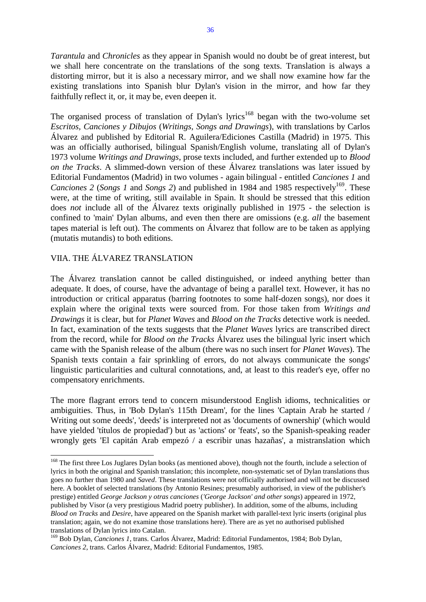*Tarantula* and *Chronicles* as they appear in Spanish would no doubt be of great interest, but we shall here concentrate on the translations of the song texts. Translation is always a distorting mirror, but it is also a necessary mirror, and we shall now examine how far the existing translations into Spanish blur Dylan's vision in the mirror, and how far they faithfully reflect it, or, it may be, even deepen it.

The organised process of translation of Dylan's lyrics<sup>168</sup> began with the two-volume set *Escritos, Canciones y Dibujos* (*Writings, Songs and Drawings*), with translations by Carlos Álvarez and published by Editorial R. Aguilera/Ediciones Castilla (Madrid) in 1975. This was an officially authorised, bilingual Spanish/English volume, translating all of Dylan's 1973 volume *Writings and Drawings*, prose texts included, and further extended up to *Blood on the Tracks*. A slimmed-down version of these Álvarez translations was later issued by Editorial Fundamentos (Madrid) in two volumes - again bilingual - entitled *Canciones 1* and *Canciones 2 (Songs 1* and *Songs 2)* and published in 1984 and 1985 respectively<sup>169</sup>. These were, at the time of writing, still available in Spain. It should be stressed that this edition does *not* include all of the Álvarez texts originally published in 1975 - the selection is confined to 'main' Dylan albums, and even then there are omissions (e.g. *all* the basement tapes material is left out). The comments on Álvarez that follow are to be taken as applying (mutatis mutandis) to both editions.

### VIIA. THE ÁLVAREZ TRANSLATION

l

The Álvarez translation cannot be called distinguished, or indeed anything better than adequate. It does, of course, have the advantage of being a parallel text. However, it has no introduction or critical apparatus (barring footnotes to some half-dozen songs), nor does it explain where the original texts were sourced from. For those taken from *Writings and Drawings* it is clear, but for *Planet Waves* and *Blood on the Tracks* detective work is needed. In fact, examination of the texts suggests that the *Planet Waves* lyrics are transcribed direct from the record, while for *Blood on the Tracks* Álvarez uses the bilingual lyric insert which came with the Spanish release of the album (there was no such insert for *Planet Waves*). The Spanish texts contain a fair sprinkling of errors, do not always communicate the songs' linguistic particularities and cultural connotations, and, at least to this reader's eye, offer no compensatory enrichments.

The more flagrant errors tend to concern misunderstood English idioms, technicalities or ambiguities. Thus, in 'Bob Dylan's 115th Dream', for the lines 'Captain Arab he started / Writing out some deeds', 'deeds' is interpreted not as 'documents of ownership' (which would have yielded 'títulos de propiedad') but as 'actions' or 'feats', so the Spanish-speaking reader wrongly gets 'El capitán Arab empezó / a escribir unas hazañas', a mistranslation which

<sup>&</sup>lt;sup>168</sup> The first three Los Juglares Dylan books (as mentioned above), though not the fourth, include a selection of lyrics in both the original and Spanish translation; this incomplete, non-systematic set of Dylan translations thus goes no further than 1980 and *Saved*. These translations were not officially authorised and will not be discussed here. A booklet of selected translations (by Antonio Resines; presumably authorised, in view of the publisher's prestige) entitled *George Jackson y otras canciones* (*'George Jackson' and other songs*) appeared in 1972, published by Visor (a very prestigious Madrid poetry publisher). In addition, some of the albums, including *Blood on Tracks* and *Desire*, have appeared on the Spanish market with parallel-text lyric inserts (original plus translation; again, we do not examine those translations here). There are as yet no authorised published translations of Dylan lyrics into Catalan.

<sup>169</sup> Bob Dylan, *Canciones 1*, trans. Carlos Álvarez, Madrid: Editorial Fundamentos, 1984; Bob Dylan, *Canciones 2*, trans. Carlos Álvarez, Madrid: Editorial Fundamentos, 1985.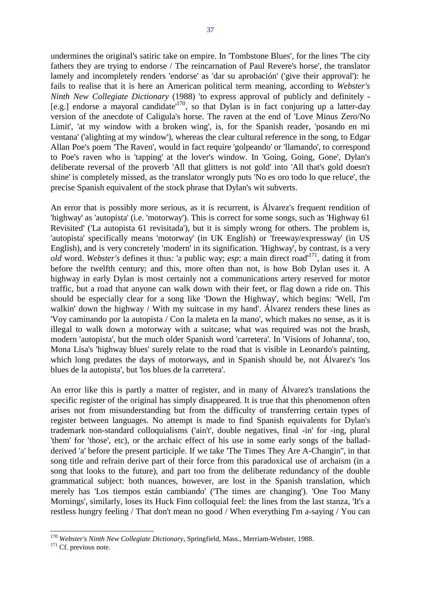undermines the original's satiric take on empire. In 'Tombstone Blues', for the lines 'The city fathers they are trying to endorse / The reincarnation of Paul Revere's horse', the translator lamely and incompletely renders 'endorse' as 'dar su aprobación' ('give their approval'): he fails to realise that it is here an American political term meaning, according to *Webster's Ninth New Collegiate Dictionary* (1988) 'to express approval of publicly and definitely - [e.g.] endorse a mayoral candidate<sup> $170$ </sup>, so that Dylan is in fact conjuring up a latter-day version of the anecdote of Caligula's horse. The raven at the end of 'Love Minus Zero/No Limit', 'at my window with a broken wing', is, for the Spanish reader, 'posando en mi ventana' ('alighting at my window'), whereas the clear cultural reference in the song, to Edgar Allan Poe's poem 'The Raven', would in fact require 'golpeando' or 'llamando', to correspond to Poe's raven who is 'tapping' at the lover's window. In 'Going, Going, Gone', Dylan's deliberate reversal of the proverb 'All that glitters is not gold' into 'All that's gold doesn't shine' is completely missed, as the translator wrongly puts 'No es oro todo lo que reluce', the precise Spanish equivalent of the stock phrase that Dylan's wit subverts.

An error that is possibly more serious, as it is recurrent, is Álvarez's frequent rendition of 'highway' as 'autopista' (i.e. 'motorway'). This is correct for some songs, such as 'Highway 61 Revisited' ('La autopista 61 revisitada'), but it is simply wrong for others. The problem is, 'autopista' specifically means 'motorway' (in UK English) or 'freeway/expressway' (in US English), and is very concretely 'modern' in its signification. 'Highway', by contrast, is a very *old* word. *Webster's* defines it thus: 'a public way; *esp*: a main direct road'171, dating it from before the twelfth century; and this, more often than not, is how Bob Dylan uses it. A highway in early Dylan is most certainly not a communications artery reserved for motor traffic, but a road that anyone can walk down with their feet, or flag down a ride on. This should be especially clear for a song like 'Down the Highway', which begins: 'Well, I'm walkin' down the highway / With my suitcase in my hand'. Alvarez renders these lines as 'Voy caminando por la autopista / Con la maleta en la mano', which makes no sense, as it is illegal to walk down a motorway with a suitcase; what was required was not the brash, modern 'autopista', but the much older Spanish word 'carretera'. In 'Visions of Johanna', too, Mona Lisa's 'highway blues' surely relate to the road that is visible in Leonardo's painting, which long predates the days of motorways, and in Spanish should be, not Álvarez's 'los blues de la autopista', but 'los blues de la carretera'.

An error like this is partly a matter of register, and in many of Álvarez's translations the specific register of the original has simply disappeared. It is true that this phenomenon often arises not from misunderstanding but from the difficulty of transferring certain types of register between languages. No attempt is made to find Spanish equivalents for Dylan's trademark non-standard colloquialisms ('ain't', double negatives, final -in' for -ing, plural 'them' for 'those', etc), or the archaic effect of his use in some early songs of the balladderived 'a' before the present participle. If we take 'The Times They Are A-Changin'', in that song title and refrain derive part of their force from this paradoxical use of archaism (in a song that looks to the future), and part too from the deliberate redundancy of the double grammatical subject: both nuances, however, are lost in the Spanish translation, which merely has 'Los tiempos están cambiando' ('The times are changing'). 'One Too Many Mornings', similarly, loses its Huck Finn colloquial feel: the lines from the last stanza, 'It's a restless hungry feeling / That don't mean no good / When everything I'm a-saying / You can

<sup>170</sup> *Webster's Ninth New Collegiate Dictionary*, Springfield, Mass., Merriam-Webster, 1988.

<sup>&</sup>lt;sup>171</sup> Cf. previous note.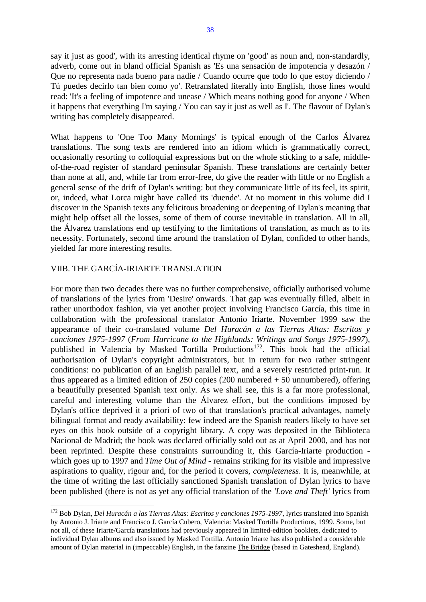say it just as good', with its arresting identical rhyme on 'good' as noun and, non-standardly, adverb, come out in bland official Spanish as 'Es una sensación de impotencia y desazón / Que no representa nada bueno para nadie / Cuando ocurre que todo lo que estoy diciendo / Tú puedes decirlo tan bien como yo'. Retranslated literally into English, those lines would read: 'It's a feeling of impotence and unease / Which means nothing good for anyone / When it happens that everything I'm saying / You can say it just as well as I'. The flavour of Dylan's writing has completely disappeared.

What happens to 'One Too Many Mornings' is typical enough of the Carlos Álvarez translations. The song texts are rendered into an idiom which is grammatically correct, occasionally resorting to colloquial expressions but on the whole sticking to a safe, middleof-the-road register of standard peninsular Spanish. These translations are certainly better than none at all, and, while far from error-free, do give the reader with little or no English a general sense of the drift of Dylan's writing: but they communicate little of its feel, its spirit, or, indeed, what Lorca might have called its 'duende'. At no moment in this volume did I discover in the Spanish texts any felicitous broadening or deepening of Dylan's meaning that might help offset all the losses, some of them of course inevitable in translation. All in all, the Álvarez translations end up testifying to the limitations of translation, as much as to its necessity. Fortunately, second time around the translation of Dylan, confided to other hands, yielded far more interesting results.

## VIIB. THE GARCÍA-IRIARTE TRANSLATION

l

For more than two decades there was no further comprehensive, officially authorised volume of translations of the lyrics from 'Desire' onwards. That gap was eventually filled, albeit in rather unorthodox fashion, via yet another project involving Francisco García, this time in collaboration with the professional translator Antonio Iriarte. November 1999 saw the appearance of their co-translated volume *Del Huracán a las Tierras Altas: Escritos y canciones 1975-1997* (*From Hurricane to the Highlands: Writings and Songs 1975-1997*), published in Valencia by Masked Tortilla Productions<sup>172</sup>. This book had the official authorisation of Dylan's copyright administrators, but in return for two rather stringent conditions: no publication of an English parallel text, and a severely restricted print-run. It thus appeared as a limited edition of 250 copies (200 numbered  $+ 50$  unnumbered), offering a beautifully presented Spanish text only. As we shall see, this is a far more professional, careful and interesting volume than the Álvarez effort, but the conditions imposed by Dylan's office deprived it a priori of two of that translation's practical advantages, namely bilingual format and ready availability: few indeed are the Spanish readers likely to have set eyes on this book outside of a copyright library. A copy was deposited in the Biblioteca Nacional de Madrid; the book was declared officially sold out as at April 2000, and has not been reprinted. Despite these constraints surrounding it, this García-Iriarte production which goes up to 1997 and *Time Out of Mind* - remains striking for its visible and impressive aspirations to quality, rigour and, for the period it covers, *completeness*. It is, meanwhile, at the time of writing the last officially sanctioned Spanish translation of Dylan lyrics to have been published (there is not as yet any official translation of the *'Love and Theft'* lyrics from

<sup>172</sup> Bob Dylan, *Del Huracán a las Tierras Altas: Escritos y canciones 1975-1997*, lyrics translated into Spanish by Antonio J. Iriarte and Francisco J. García Cubero, Valencia: Masked Tortilla Productions, 1999. Some, but not all, of these Iriarte/García translations had previously appeared in limited-edition booklets, dedicated to individual Dylan albums and also issued by Masked Tortilla. Antonio Iriarte has also published a considerable amount of Dylan material in (impeccable) English, in the fanzine The Bridge (based in Gateshead, England).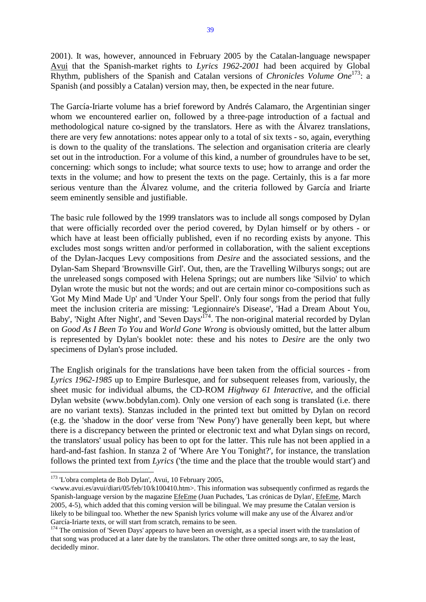2001). It was, however, announced in February 2005 by the Catalan-language newspaper Avui that the Spanish-market rights to *Lyrics 1962-2001* had been acquired by Global Rhythm, publishers of the Spanish and Catalan versions of *Chronicles Volume One*173: a Spanish (and possibly a Catalan) version may, then, be expected in the near future.

The García-Iriarte volume has a brief foreword by Andrés Calamaro, the Argentinian singer whom we encountered earlier on, followed by a three-page introduction of a factual and methodological nature co-signed by the translators. Here as with the Álvarez translations, there are very few annotations: notes appear only to a total of six texts - so, again, everything is down to the quality of the translations. The selection and organisation criteria are clearly set out in the introduction. For a volume of this kind, a number of groundrules have to be set, concerning: which songs to include; what source texts to use; how to arrange and order the texts in the volume; and how to present the texts on the page. Certainly, this is a far more serious venture than the Álvarez volume, and the criteria followed by García and Iriarte seem eminently sensible and justifiable.

The basic rule followed by the 1999 translators was to include all songs composed by Dylan that were officially recorded over the period covered, by Dylan himself or by others - or which have at least been officially published, even if no recording exists by anyone. This excludes most songs written and/or performed in collaboration, with the salient exceptions of the Dylan-Jacques Levy compositions from *Desire* and the associated sessions, and the Dylan-Sam Shepard 'Brownsville Girl'. Out, then, are the Travelling Wilburys songs; out are the unreleased songs composed with Helena Springs; out are numbers like 'Silvio' to which Dylan wrote the music but not the words; and out are certain minor co-compositions such as 'Got My Mind Made Up' and 'Under Your Spell'. Only four songs from the period that fully meet the inclusion criteria are missing: 'Legionnaire's Disease', 'Had a Dream About You, Baby', 'Night After Night', and 'Seven Days'<sup>174</sup>. The non-original material recorded by Dylan on *Good As I Been To You* and *World Gone Wrong* is obviously omitted, but the latter album is represented by Dylan's booklet note: these and his notes to *Desire* are the only two specimens of Dylan's prose included.

The English originals for the translations have been taken from the official sources - from *Lyrics 1962-1985* up to Empire Burlesque, and for subsequent releases from, variously, the sheet music for individual albums, the CD-ROM *Highway 61 Interactive*, and the official Dylan website (www.bobdylan.com). Only one version of each song is translated (i.e. there are no variant texts). Stanzas included in the printed text but omitted by Dylan on record (e.g. the 'shadow in the door' verse from 'New Pony') have generally been kept, but where there is a discrepancy between the printed or electronic text and what Dylan sings on record, the translators' usual policy has been to opt for the latter. This rule has not been applied in a hard-and-fast fashion. In stanza 2 of 'Where Are You Tonight?', for instance, the translation follows the printed text from *Lyrics* ('the time and the place that the trouble would start') and

<sup>173 &#</sup>x27;L'obra completa de Bob Dylan', Avui, 10 February 2005,

<sup>&</sup>lt;www.avui.es/avui/diari/05/feb/10/k100410.htm>. This information was subsequently confirmed as regards the Spanish-language version by the magazine EfeEme (Juan Puchades, 'Las crónicas de Dylan', EfeEme, March 2005, 4-5), which added that this coming version will be bilingual. We may presume the Catalan version is likely to be bilingual too. Whether the new Spanish lyrics volume will make any use of the Álvarez and/or García-Iriarte texts, or will start from scratch, remains to be seen.

<sup>&</sup>lt;sup>174</sup> The omission of 'Seven Days' appears to have been an oversight, as a special insert with the translation of that song was produced at a later date by the translators. The other three omitted songs are, to say the least, decidedly minor.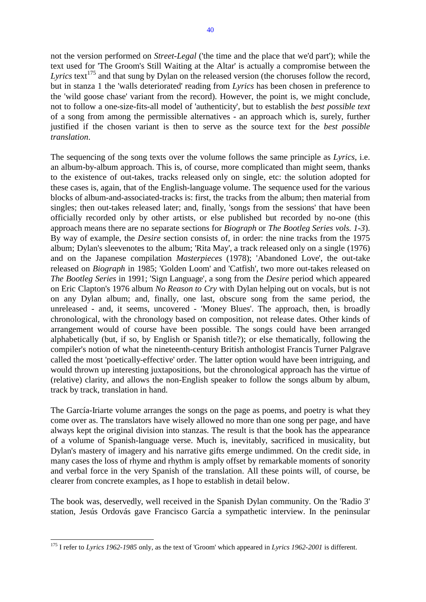not the version performed on *Street-Legal* ('the time and the place that we'd part'); while the text used for 'The Groom's Still Waiting at the Altar' is actually a compromise between the *Lyrics* text<sup>175</sup> and that sung by Dylan on the released version (the choruses follow the record, but in stanza 1 the 'walls deteriorated' reading from *Lyrics* has been chosen in preference to the 'wild goose chase' variant from the record). However, the point is, we might conclude, not to follow a one-size-fits-all model of 'authenticity', but to establish the *best possible text*  of a song from among the permissible alternatives - an approach which is, surely, further justified if the chosen variant is then to serve as the source text for the *best possible translation*.

The sequencing of the song texts over the volume follows the same principle as *Lyrics*, i.e. an album-by-album approach. This is, of course, more complicated than might seem, thanks to the existence of out-takes, tracks released only on single, etc: the solution adopted for these cases is, again, that of the English-language volume. The sequence used for the various blocks of album-and-associated-tracks is: first, the tracks from the album; then material from singles; then out-takes released later; and, finally, 'songs from the sessions' that have been officially recorded only by other artists, or else published but recorded by no-one (this approach means there are no separate sections for *Biograph* or *The Bootleg Series vols. 1-3*). By way of example, the *Desire* section consists of, in order: the nine tracks from the 1975 album; Dylan's sleevenotes to the album; 'Rita May', a track released only on a single (1976) and on the Japanese compilation *Masterpieces* (1978); 'Abandoned Love', the out-take released on *Biograph* in 1985; 'Golden Loom' and 'Catfish', two more out-takes released on *The Bootleg Series* in 1991; 'Sign Language', a song from the *Desire* period which appeared on Eric Clapton's 1976 album *No Reason to Cry* with Dylan helping out on vocals, but is not on any Dylan album; and, finally, one last, obscure song from the same period, the unreleased - and, it seems, uncovered - 'Money Blues'. The approach, then, is broadly chronological, with the chronology based on composition, not release dates. Other kinds of arrangement would of course have been possible. The songs could have been arranged alphabetically (but, if so, by English or Spanish title?); or else thematically, following the compiler's notion of what the nineteenth-century British anthologist Francis Turner Palgrave called the most 'poetically-effective' order. The latter option would have been intriguing, and would thrown up interesting juxtapositions, but the chronological approach has the virtue of (relative) clarity, and allows the non-English speaker to follow the songs album by album, track by track, translation in hand.

The García-Iriarte volume arranges the songs on the page as poems, and poetry is what they come over as. The translators have wisely allowed no more than one song per page, and have always kept the original division into stanzas. The result is that the book has the appearance of a volume of Spanish-language verse. Much is, inevitably, sacrificed in musicality, but Dylan's mastery of imagery and his narrative gifts emerge undimmed. On the credit side, in many cases the loss of rhyme and rhythm is amply offset by remarkable moments of sonority and verbal force in the very Spanish of the translation. All these points will, of course, be clearer from concrete examples, as I hope to establish in detail below.

The book was, deservedly, well received in the Spanish Dylan community. On the 'Radio 3' station, Jesús Ordovás gave Francisco García a sympathetic interview. In the peninsular

<sup>175</sup> I refer to *Lyrics 1962-1985* only, as the text of 'Groom' which appeared in *Lyrics 1962-2001* is different.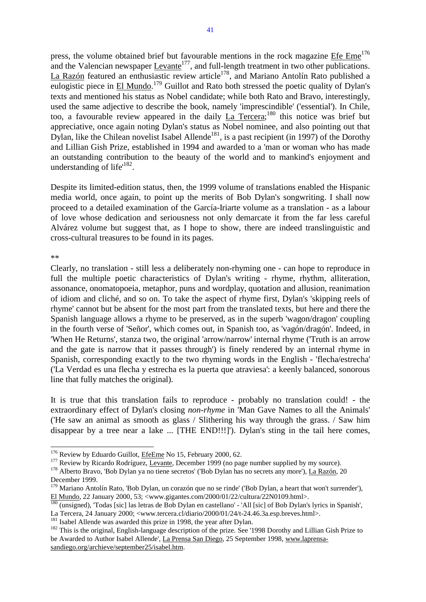press, the volume obtained brief but favourable mentions in the rock magazine Efe  $Eme^{176}$ and the Valencian newspaper  $Levante<sup>177</sup>$ , and full-length treatment in two other publications.</u> La Razón featured an enthusiastic review article<sup>178</sup>, and Mariano Antolín Rato published a eulogistic piece in El Mundo.<sup>179</sup> Guillot and Rato both stressed the poetic quality of Dylan's texts and mentioned his status as Nobel candidate; while both Rato and Bravo, interestingly, used the same adjective to describe the book, namely 'imprescindible' ('essential'). In Chile, too, a favourable review appeared in the daily  $La Tercera;^{180}$  this notice was brief but appreciative, once again noting Dylan's status as Nobel nominee, and also pointing out that Dylan, like the Chilean novelist Isabel Allende<sup>181</sup>, is a past recipient (in 1997) of the Dorothy and Lillian Gish Prize, established in 1994 and awarded to a 'man or woman who has made an outstanding contribution to the beauty of the world and to mankind's enjoyment and understanding of life<sup>182</sup>.

Despite its limited-edition status, then, the 1999 volume of translations enabled the Hispanic media world, once again, to point up the merits of Bob Dylan's songwriting. I shall now proceed to a detailed examination of the García-Iriarte volume as a translation - as a labour of love whose dedication and seriousness not only demarcate it from the far less careful Alvárez volume but suggest that, as I hope to show, there are indeed translinguistic and cross-cultural treasures to be found in its pages.

\*\*

Clearly, no translation - still less a deliberately non-rhyming one - can hope to reproduce in full the multiple poetic characteristics of Dylan's writing - rhyme, rhythm, alliteration, assonance, onomatopoeia, metaphor, puns and wordplay, quotation and allusion, reanimation of idiom and cliché, and so on. To take the aspect of rhyme first, Dylan's 'skipping reels of rhyme' cannot but be absent for the most part from the translated texts, but here and there the Spanish language allows a rhyme to be preserved, as in the superb 'wagon/dragon' coupling in the fourth verse of 'Señor', which comes out, in Spanish too, as 'vagón/dragón'. Indeed, in 'When He Returns', stanza two, the original 'arrow/narrow' internal rhyme ('Truth is an arrow and the gate is narrow that it passes through') is finely rendered by an internal rhyme in Spanish, corresponding exactly to the two rhyming words in the English - 'flecha/estrecha' ('La Verdad es una flecha y estrecha es la puerta que atraviesa': a keenly balanced, sonorous line that fully matches the original).

It is true that this translation fails to reproduce - probably no translation could! - the extraordinary effect of Dylan's closing *non-rhyme* in 'Man Gave Names to all the Animals' ('He saw an animal as smooth as glass / Slithering his way through the grass. / Saw him disappear by a tree near a lake ... [THE END!!!]'). Dylan's sting in the tail here comes,

<sup>&</sup>lt;sup>176</sup> Review by Eduardo Guillot, *EfeEme* No 15, February 2000, 62.

<sup>&</sup>lt;sup>177</sup> Review by Ricardo Rodríguez, Levante, December 1999 (no page number supplied by my source).

<sup>&</sup>lt;sup>178</sup> Alberto Bravo, 'Bob Dylan ya no tiene secretos' ('Bob Dylan has no secrets any more'), La Razón, 20 December 1999.

<sup>179</sup> Mariano Antolín Rato, 'Bob Dylan, un corazón que no se rinde' ('Bob Dylan, a heart that won't surrender'), El Mundo, 22 January 2000, 53; <www.gigantes.com/2000/01/22/cultura/22N0109.html>.

<sup>&</sup>lt;sup>180</sup> (unsigned), 'Todas [sic] las letras de Bob Dylan en castellano' - 'All [sic] of Bob Dylan's lyrics in Spanish', La Tercera, 24 January 2000; <www.tercera.cl/diario/2000/01/24/t-24.46.3a.esp.breves.html>.

<sup>&</sup>lt;sup>181</sup> Isabel Allende was awarded this prize in 1998, the year after Dylan.

<sup>&</sup>lt;sup>182</sup> This is the original, English-language description of the prize. See '1998 Dorothy and Lillian Gish Prize to be Awarded to Author Isabel Allende', La Prensa San Diego, 25 September 1998, www.laprensasandiego.org/archieve/september25/isabel.htm.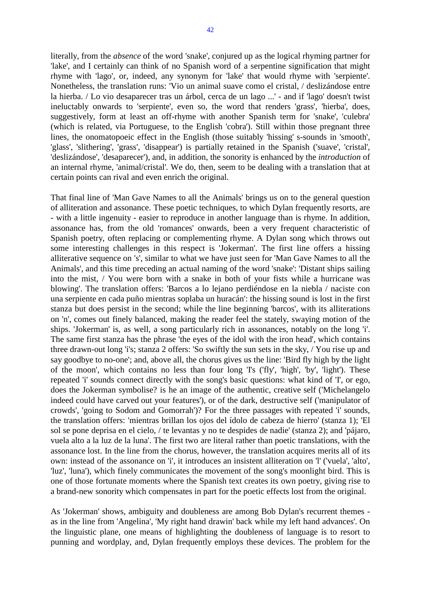literally, from the *absence* of the word 'snake', conjured up as the logical rhyming partner for 'lake', and I certainly can think of no Spanish word of a serpentine signification that might rhyme with 'lago', or, indeed, any synonym for 'lake' that would rhyme with 'serpiente'. Nonetheless, the translation runs: 'Vio un animal suave como el cristal, / deslizándose entre la hierba. / Lo vio desaparecer tras un árbol, cerca de un lago ...' - and if 'lago' doesn't twist ineluctably onwards to 'serpiente', even so, the word that renders 'grass', 'hierba', does, suggestively, form at least an off-rhyme with another Spanish term for 'snake', 'culebra' (which is related, via Portuguese, to the English 'cobra'). Still within those pregnant three lines, the onomatopoeic effect in the English (those suitably 'hissing' s-sounds in 'smooth', 'glass', 'slithering', 'grass', 'disappear') is partially retained in the Spanish ('suave', 'cristal', 'deslizándose', 'desaparecer'), and, in addition, the sonority is enhanced by the *introduction* of an internal rhyme, 'animal/cristal'. We do, then, seem to be dealing with a translation that at certain points can rival and even enrich the original.

That final line of 'Man Gave Names to all the Animals' brings us on to the general question of alliteration and assonance. These poetic techniques, to which Dylan frequently resorts, are - with a little ingenuity - easier to reproduce in another language than is rhyme. In addition, assonance has, from the old 'romances' onwards, been a very frequent characteristic of Spanish poetry, often replacing or complementing rhyme. A Dylan song which throws out some interesting challenges in this respect is 'Jokerman'. The first line offers a hissing alliterative sequence on 's', similar to what we have just seen for 'Man Gave Names to all the Animals', and this time preceding an actual naming of the word 'snake': 'Distant ships sailing into the mist, / You were born with a snake in both of your fists while a hurricane was blowing'. The translation offers: 'Barcos a lo lejano perdiéndose en la niebla / naciste con una serpiente en cada puño mientras soplaba un huracán': the hissing sound is lost in the first stanza but does persist in the second; while the line beginning 'barcos', with its alliterations on 'n', comes out finely balanced, making the reader feel the stately, swaying motion of the ships. 'Jokerman' is, as well, a song particularly rich in assonances, notably on the long 'i'. The same first stanza has the phrase 'the eyes of the idol with the iron head', which contains three drawn-out long 'i's; stanza 2 offers: 'So swiftly the sun sets in the sky, / You rise up and say goodbye to no-one'; and, above all, the chorus gives us the line: 'Bird fly high by the light of the moon', which contains no less than four long 'I's ('fly', 'high', 'by', 'light'). These repeated 'i' sounds connect directly with the song's basic questions: what kind of 'I', or ego, does the Jokerman symbolise? is he an image of the authentic, creative self ('Michelangelo indeed could have carved out your features'), or of the dark, destructive self ('manipulator of crowds', 'going to Sodom and Gomorrah')? For the three passages with repeated 'i' sounds, the translation offers: 'mientras brillan los ojos del ídolo de cabeza de hierro' (stanza 1); 'El sol se pone deprisa en el cielo, / te levantas y no te despides de nadie' (stanza 2); and 'pájaro, vuela alto a la luz de la luna'. The first two are literal rather than poetic translations, with the assonance lost. In the line from the chorus, however, the translation acquires merits all of its own: instead of the assonance on 'i', it introduces an insistent alliteration on 'l' ('vuela', 'alto', 'luz', 'luna'), which finely communicates the movement of the song's moonlight bird. This is one of those fortunate moments where the Spanish text creates its own poetry, giving rise to a brand-new sonority which compensates in part for the poetic effects lost from the original.

As 'Jokerman' shows, ambiguity and doubleness are among Bob Dylan's recurrent themes as in the line from 'Angelina', 'My right hand drawin' back while my left hand advances'. On the linguistic plane, one means of highlighting the doubleness of language is to resort to punning and wordplay, and, Dylan frequently employs these devices. The problem for the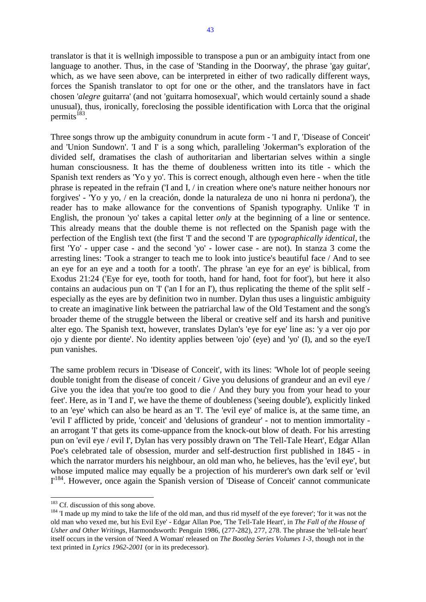translator is that it is wellnigh impossible to transpose a pun or an ambiguity intact from one language to another. Thus, in the case of 'Standing in the Doorway', the phrase 'gay guitar', which, as we have seen above, can be interpreted in either of two radically different ways, forces the Spanish translator to opt for one or the other, and the translators have in fact chosen '*alegre* guitarra' (and not 'guitarra homosexual', which would certainly sound a shade unusual), thus, ironically, foreclosing the possible identification with Lorca that the original permits $^{183}$ .

Three songs throw up the ambiguity conundrum in acute form - 'I and I', 'Disease of Conceit' and 'Union Sundown'. 'I and I' is a song which, paralleling 'Jokerman''s exploration of the divided self, dramatises the clash of authoritarian and libertarian selves within a single human consciousness. It has the theme of doubleness written into its title - which the Spanish text renders as 'Yo y yo'. This is correct enough, although even here - when the title phrase is repeated in the refrain ('I and I, / in creation where one's nature neither honours nor forgives' - 'Yo y yo, / en la creación, donde la naturaleza de uno ni honra ni perdona'), the reader has to make allowance for the conventions of Spanish typography. Unlike 'I' in English, the pronoun 'yo' takes a capital letter *only* at the beginning of a line or sentence. This already means that the double theme is not reflected on the Spanish page with the perfection of the English text (the first 'I' and the second 'I' are *typographically identical*, the first 'Yo' - upper case - and the second 'yo' - lower case - are not). In stanza 3 come the arresting lines: 'Took a stranger to teach me to look into justice's beautiful face / And to see an eye for an eye and a tooth for a tooth'. The phrase 'an eye for an eye' is biblical, from Exodus 21:24 ('Eye for eye, tooth for tooth, hand for hand, foot for foot'), but here it also contains an audacious pun on 'I' ('an I for an I'), thus replicating the theme of the split self especially as the eyes are by definition two in number. Dylan thus uses a linguistic ambiguity to create an imaginative link between the patriarchal law of the Old Testament and the song's broader theme of the struggle between the liberal or creative self and its harsh and punitive alter ego. The Spanish text, however, translates Dylan's 'eye for eye' line as: 'y a ver ojo por ojo y diente por diente'. No identity applies between 'ojo' (eye) and 'yo' (I), and so the eye/I pun vanishes.

The same problem recurs in 'Disease of Conceit', with its lines: 'Whole lot of people seeing double tonight from the disease of conceit / Give you delusions of grandeur and an evil eye / Give you the idea that you're too good to die / And they bury you from your head to your feet'. Here, as in 'I and I', we have the theme of doubleness ('seeing double'), explicitly linked to an 'eye' which can also be heard as an 'I'. The 'evil eye' of malice is, at the same time, an 'evil I' afflicted by pride, 'conceit' and 'delusions of grandeur' - not to mention immortality an arrogant 'I' that gets its come-uppance from the knock-out blow of death. For his arresting pun on 'evil eye / evil I', Dylan has very possibly drawn on 'The Tell-Tale Heart', Edgar Allan Poe's celebrated tale of obsession, murder and self-destruction first published in 1845 - in which the narrator murders his neighbour, an old man who, he believes, has the 'evil eye', but whose imputed malice may equally be a projection of his murderer's own dark self or 'evil I'184. However, once again the Spanish version of 'Disease of Conceit' cannot communicate

<sup>&</sup>lt;sup>183</sup> Cf. discussion of this song above.

<sup>&</sup>lt;sup>184</sup> 'I made up my mind to take the life of the old man, and thus rid myself of the eye forever'; 'for it was not the old man who vexed me, but his Evil Eye' - Edgar Allan Poe, 'The Tell-Tale Heart', in *The Fall of the House of Usher and Other Writings*, Harmondsworth: Penguin 1986, (277-282), 277, 278. The phrase the 'tell-tale heart' itself occurs in the version of 'Need A Woman' released on *The Bootleg Series Volumes 1-3*, though not in the text printed in *Lyrics 1962-2001* (or in its predecessor).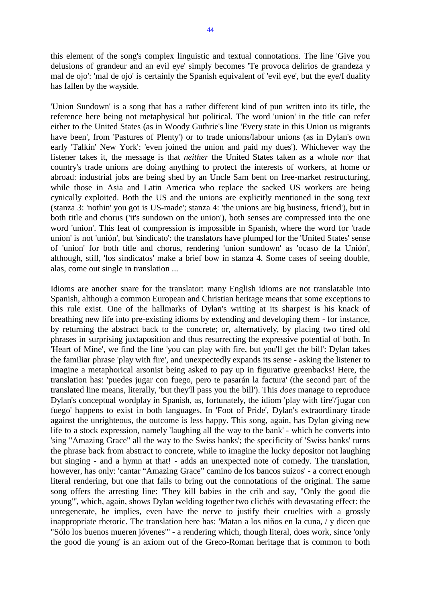this element of the song's complex linguistic and textual connotations. The line 'Give you delusions of grandeur and an evil eye' simply becomes 'Te provoca delirios de grandeza y mal de ojo': 'mal de ojo' is certainly the Spanish equivalent of 'evil eye', but the eye/I duality has fallen by the wayside.

'Union Sundown' is a song that has a rather different kind of pun written into its title, the reference here being not metaphysical but political. The word 'union' in the title can refer either to the United States (as in Woody Guthrie's line 'Every state in this Union us migrants have been', from 'Pastures of Plenty') or to trade unions/labour unions (as in Dylan's own early 'Talkin' New York': 'even joined the union and paid my dues'). Whichever way the listener takes it, the message is that *neither* the United States taken as a whole *nor* that country's trade unions are doing anything to protect the interests of workers, at home or abroad: industrial jobs are being shed by an Uncle Sam bent on free-market restructuring, while those in Asia and Latin America who replace the sacked US workers are being cynically exploited. Both the US and the unions are explicitly mentioned in the song text (stanza 3: 'nothin' you got is US-made'; stanza 4: 'the unions are big business, friend'), but in both title and chorus ('it's sundown on the union'), both senses are compressed into the one word 'union'. This feat of compression is impossible in Spanish, where the word for 'trade union' is not 'unión', but 'sindicato': the translators have plumped for the 'United States' sense of 'union' for both title and chorus, rendering 'union sundown' as 'ocaso de la Unión', although, still, 'los sindicatos' make a brief bow in stanza 4. Some cases of seeing double, alas, come out single in translation ...

Idioms are another snare for the translator: many English idioms are not translatable into Spanish, although a common European and Christian heritage means that some exceptions to this rule exist. One of the hallmarks of Dylan's writing at its sharpest is his knack of breathing new life into pre-existing idioms by extending and developing them - for instance, by returning the abstract back to the concrete; or, alternatively, by placing two tired old phrases in surprising juxtaposition and thus resurrecting the expressive potential of both. In 'Heart of Mine', we find the line 'you can play with fire, but you'll get the bill': Dylan takes the familiar phrase 'play with fire', and unexpectedly expands its sense - asking the listener to imagine a metaphorical arsonist being asked to pay up in figurative greenbacks! Here, the translation has: 'puedes jugar con fuego, pero te pasarán la factura' (the second part of the translated line means, literally, 'but they'll pass you the bill'). This *does* manage to reproduce Dylan's conceptual wordplay in Spanish, as, fortunately, the idiom 'play with fire'/'jugar con fuego' happens to exist in both languages. In 'Foot of Pride', Dylan's extraordinary tirade against the unrighteous, the outcome is less happy. This song, again, has Dylan giving new life to a stock expression, namely 'laughing all the way to the bank' - which he converts into 'sing "Amazing Grace" all the way to the Swiss banks'; the specificity of 'Swiss banks' turns the phrase back from abstract to concrete, while to imagine the lucky depositor not laughing but singing - and a hymn at that! - adds an unexpected note of comedy. The translation, however, has only: 'cantar "Amazing Grace" camino de los bancos suizos' - a correct enough literal rendering, but one that fails to bring out the connotations of the original. The same song offers the arresting line: 'They kill babies in the crib and say, "Only the good die young"', which, again, shows Dylan welding together two clichés with devastating effect: the unregenerate, he implies, even have the nerve to justify their cruelties with a grossly inappropriate rhetoric. The translation here has: 'Matan a los niños en la cuna, / y dicen que "Sólo los buenos mueren jóvenes"' - a rendering which, though literal, does work, since 'only the good die young' is an axiom out of the Greco-Roman heritage that is common to both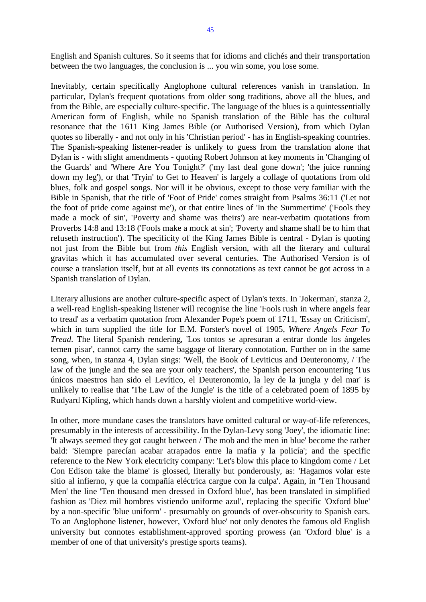English and Spanish cultures. So it seems that for idioms and clichés and their transportation between the two languages, the conclusion is ... you win some, you lose some.

Inevitably, certain specifically Anglophone cultural references vanish in translation. In particular, Dylan's frequent quotations from older song traditions, above all the blues, and from the Bible, are especially culture-specific. The language of the blues is a quintessentially American form of English, while no Spanish translation of the Bible has the cultural resonance that the 1611 King James Bible (or Authorised Version), from which Dylan quotes so liberally - and not only in his 'Christian period' - has in English-speaking countries. The Spanish-speaking listener-reader is unlikely to guess from the translation alone that Dylan is - with slight amendments - quoting Robert Johnson at key moments in 'Changing of the Guards' and 'Where Are You Tonight?' ('my last deal gone down'; 'the juice running down my leg'), or that 'Tryin' to Get to Heaven' is largely a collage of quotations from old blues, folk and gospel songs. Nor will it be obvious, except to those very familiar with the Bible in Spanish, that the title of 'Foot of Pride' comes straight from Psalms 36:11 ('Let not the foot of pride come against me'), or that entire lines of 'In the Summertime' ('Fools they made a mock of sin', 'Poverty and shame was theirs') are near-verbatim quotations from Proverbs 14:8 and 13:18 ('Fools make a mock at sin'; 'Poverty and shame shall be to him that refuseth instruction'). The specificity of the King James Bible is central - Dylan is quoting not just from the Bible but from *this* English version, with all the literary and cultural gravitas which it has accumulated over several centuries. The Authorised Version is of course a translation itself, but at all events its connotations as text cannot be got across in a Spanish translation of Dylan.

Literary allusions are another culture-specific aspect of Dylan's texts. In 'Jokerman', stanza 2, a well-read English-speaking listener will recognise the line 'Fools rush in where angels fear to tread' as a verbatim quotation from Alexander Pope's poem of 1711, 'Essay on Criticism', which in turn supplied the title for E.M. Forster's novel of 1905, *Where Angels Fear To Tread*. The literal Spanish rendering, 'Los tontos se apresuran a entrar donde los ángeles temen pisar', cannot carry the same baggage of literary connotation. Further on in the same song, when, in stanza 4, Dylan sings: 'Well, the Book of Leviticus and Deuteronomy, / The law of the jungle and the sea are your only teachers', the Spanish person encountering 'Tus únicos maestros han sido el Levítico, el Deuteronomio, la ley de la jungla y del mar' is unlikely to realise that 'The Law of the Jungle' is the title of a celebrated poem of 1895 by Rudyard Kipling, which hands down a harshly violent and competitive world-view.

In other, more mundane cases the translators have omitted cultural or way-of-life references, presumably in the interests of accessibility. In the Dylan-Levy song 'Joey', the idiomatic line: 'It always seemed they got caught between / The mob and the men in blue' become the rather bald: 'Siempre parecían acabar atrapados entre la mafia y la policía'; and the specific reference to the New York electricity company: 'Let's blow this place to kingdom come / Let Con Edison take the blame' is glossed, literally but ponderously, as: 'Hagamos volar este sitio al infierno, y que la compañía eléctrica cargue con la culpa'. Again, in 'Ten Thousand Men' the line 'Ten thousand men dressed in Oxford blue', has been translated in simplified fashion as 'Diez mil hombres vistiendo uniforme azul', replacing the specific 'Oxford blue' by a non-specific 'blue uniform' - presumably on grounds of over-obscurity to Spanish ears. To an Anglophone listener, however, 'Oxford blue' not only denotes the famous old English university but connotes establishment-approved sporting prowess (an 'Oxford blue' is a member of one of that university's prestige sports teams).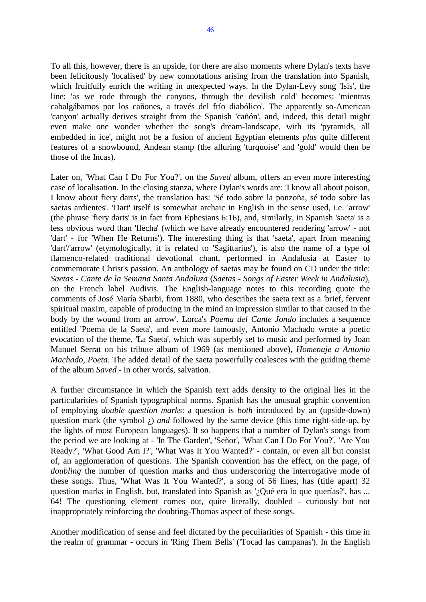To all this, however, there is an upside, for there are also moments where Dylan's texts have been felicitously 'localised' by new connotations arising from the translation into Spanish, which fruitfully enrich the writing in unexpected ways. In the Dylan-Levy song 'Isis', the line: 'as we rode through the canyons, through the devilish cold' becomes: 'mientras cabalgábamos por los cañones, a través del frío diabólico'. The apparently so-American 'canyon' actually derives straight from the Spanish 'cañón', and, indeed, this detail might even make one wonder whether the song's dream-landscape, with its 'pyramids, all embedded in ice', might not be a fusion of ancient Egyptian elements *plus* quite different features of a snowbound, Andean stamp (the alluring 'turquoise' and 'gold' would then be those of the Incas).

Later on, 'What Can I Do For You?', on the *Saved* album, offers an even more interesting case of localisation. In the closing stanza, where Dylan's words are: 'I know all about poison, I know about fiery darts', the translation has: 'Sé todo sobre la ponzoña, sé todo sobre las saetas ardientes'. 'Dart' itself is somewhat archaic in English in the sense used, i.e. 'arrow' (the phrase 'fiery darts' is in fact from Ephesians 6:16), and, similarly, in Spanish 'saeta' is a less obvious word than 'flecha' (which we have already encountered rendering 'arrow' - not 'dart' - for 'When He Returns'). The interesting thing is that 'saeta', apart from meaning 'dart'/'arrow' (etymologically, it is related to 'Sagittarius'), is also the name of a type of flamenco-related traditional devotional chant, performed in Andalusia at Easter to commemorate Christ's passion. An anthology of saetas may be found on CD under the title: *Saetas - Cante de la Semana Santa Andaluza* (*Saetas - Songs of Easter Week in Andalusia*), on the French label Audivis. The English-language notes to this recording quote the comments of José María Sbarbi, from 1880, who describes the saeta text as a 'brief, fervent spiritual maxim, capable of producing in the mind an impression similar to that caused in the body by the wound from an arrow'. Lorca's *Poema del Cante Jondo* includes a sequence entitled 'Poema de la Saeta', and even more famously, Antonio Machado wrote a poetic evocation of the theme, 'La Saeta', which was superbly set to music and performed by Joan Manuel Serrat on his tribute album of 1969 (as mentioned above), *Homenaje a Antonio Machado, Poeta*. The added detail of the saeta powerfully coalesces with the guiding theme of the album *Saved* - in other words, salvation.

A further circumstance in which the Spanish text adds density to the original lies in the particularities of Spanish typographical norms. Spanish has the unusual graphic convention of employing *double question marks*: a question is *both* introduced by an (upside-down) question mark (the symbol ¿) *and* followed by the same device (this time right-side-up, by the lights of most European languages). It so happens that a number of Dylan's songs from the period we are looking at - 'In The Garden', 'Señor', 'What Can I Do For You?', 'Are You Ready?', 'What Good Am I?', 'What Was It You Wanted?' - contain, or even all but consist of, an agglomeration of questions. The Spanish convention has the effect, on the page, of *doubling* the number of question marks and thus underscoring the interrogative mode of these songs. Thus, 'What Was It You Wanted?', a song of 56 lines, has (title apart) 32 question marks in English, but, translated into Spanish as '¿Qué era lo que querías?', has ... 64! The questioning element comes out, quite literally, doubled - curiously but not inappropriately reinforcing the doubting-Thomas aspect of these songs.

Another modification of sense and feel dictated by the peculiarities of Spanish - this time in the realm of grammar - occurs in 'Ring Them Bells' ('Tocad las campanas'). In the English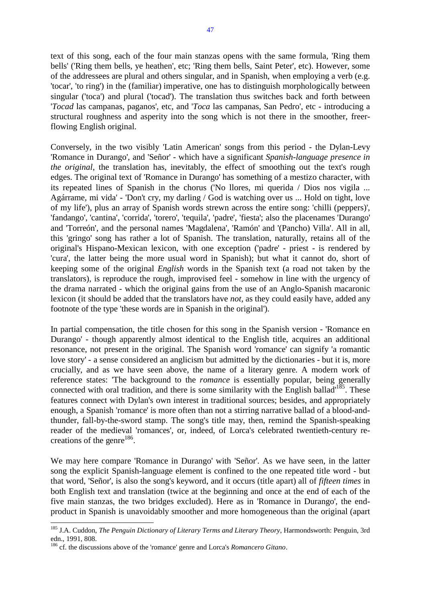text of this song, each of the four main stanzas opens with the same formula, 'Ring them bells' ('Ring them bells, ye heathen', etc; 'Ring them bells, Saint Peter', etc). However, some of the addressees are plural and others singular, and in Spanish, when employing a verb (e.g. 'tocar', 'to ring') in the (familiar) imperative, one has to distinguish morphologically between singular ('toca') and plural ('tocad'). The translation thus switches back and forth between '*Tocad* las campanas, paganos', etc, and '*Toca* las campanas, San Pedro', etc - introducing a structural roughness and asperity into the song which is not there in the smoother, freerflowing English original.

Conversely, in the two visibly 'Latin American' songs from this period - the Dylan-Levy 'Romance in Durango', and 'Señor' - which have a significant *Spanish-language presence in the original*, the translation has, inevitably, the effect of smoothing out the text's rough edges. The original text of 'Romance in Durango' has something of a mestizo character, with its repeated lines of Spanish in the chorus ('No llores, mi querida / Dios nos vigila ... Agárrame, mi vida' - 'Don't cry, my darling / God is watching over us ... Hold on tight, love of my life'), plus an array of Spanish words strewn across the entire song: 'chilli (peppers)', 'fandango', 'cantina', 'corrida', 'torero', 'tequila', 'padre', 'fiesta'; also the placenames 'Durango' and 'Torreón', and the personal names 'Magdalena', 'Ramón' and '(Pancho) Villa'. All in all, this 'gringo' song has rather a lot of Spanish. The translation, naturally, retains all of the original's Hispano-Mexican lexicon, with one exception ('padre' - priest - is rendered by 'cura', the latter being the more usual word in Spanish); but what it cannot do, short of keeping some of the original *English* words in the Spanish text (a road not taken by the translators), is reproduce the rough, improvised feel - somehow in line with the urgency of the drama narrated - which the original gains from the use of an Anglo-Spanish macaronic lexicon (it should be added that the translators have *not*, as they could easily have, added any footnote of the type 'these words are in Spanish in the original').

In partial compensation, the title chosen for this song in the Spanish version - 'Romance en Durango' - though apparently almost identical to the English title, acquires an additional resonance, not present in the original. The Spanish word 'romance' can signify 'a romantic love story' - a sense considered an anglicism but admitted by the dictionaries - but it is, more crucially, and as we have seen above, the name of a literary genre. A modern work of reference states: 'The background to the *romance* is essentially popular, being generally connected with oral tradition, and there is some similarity with the English ballad<sup> $185$ </sup>. These features connect with Dylan's own interest in traditional sources; besides, and appropriately enough, a Spanish 'romance' is more often than not a stirring narrative ballad of a blood-andthunder, fall-by-the-sword stamp. The song's title may, then, remind the Spanish-speaking reader of the medieval 'romances', or, indeed, of Lorca's celebrated twentieth-century recreations of the genre<sup>186</sup>.

We may here compare 'Romance in Durango' with 'Señor'. As we have seen, in the latter song the explicit Spanish-language element is confined to the one repeated title word - but that word, 'Señor', is also the song's keyword, and it occurs (title apart) all of *fifteen times* in both English text and translation (twice at the beginning and once at the end of each of the five main stanzas, the two bridges excluded). Here as in 'Romance in Durango', the endproduct in Spanish is unavoidably smoother and more homogeneous than the original (apart

<sup>185</sup> J.A. Cuddon, *The Penguin Dictionary of Literary Terms and Literary Theory*, Harmondsworth: Penguin, 3rd edn., 1991, 808.

<sup>186</sup> cf. the discussions above of the 'romance' genre and Lorca's *Romancero Gitano*.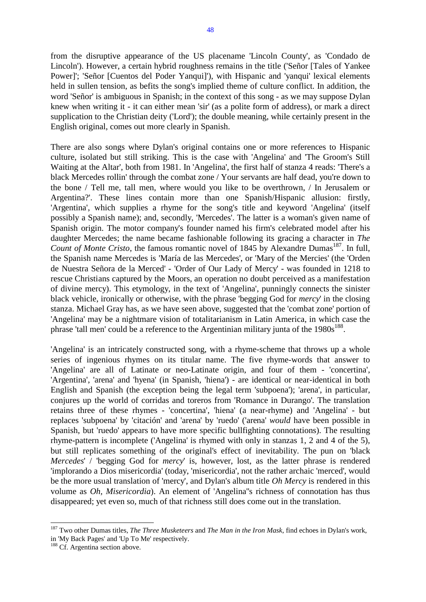from the disruptive appearance of the US placename 'Lincoln County', as 'Condado de Lincoln'). However, a certain hybrid roughness remains in the title ('Señor [Tales of Yankee Power]'; 'Señor [Cuentos del Poder Yanqui]'), with Hispanic and 'yanqui' lexical elements held in sullen tension, as befits the song's implied theme of culture conflict. In addition, the word 'Señor' is ambiguous in Spanish; in the context of this song - as we may suppose Dylan knew when writing it - it can either mean 'sir' (as a polite form of address), or mark a direct supplication to the Christian deity ('Lord'); the double meaning, while certainly present in the English original, comes out more clearly in Spanish.

There are also songs where Dylan's original contains one or more references to Hispanic culture, isolated but still striking. This is the case with 'Angelina' and 'The Groom's Still Waiting at the Altar', both from 1981. In 'Angelina', the first half of stanza 4 reads: 'There's a black Mercedes rollin' through the combat zone / Your servants are half dead, you're down to the bone / Tell me, tall men, where would you like to be overthrown, / In Jerusalem or Argentina?'. These lines contain more than one Spanish/Hispanic allusion: firstly, 'Argentina', which supplies a rhyme for the song's title and keyword 'Angelina' (itself possibly a Spanish name); and, secondly, 'Mercedes'. The latter is a woman's given name of Spanish origin. The motor company's founder named his firm's celebrated model after his daughter Mercedes; the name became fashionable following its gracing a character in *The Count of Monte Cristo*, the famous romantic novel of 1845 by Alexandre Dumas<sup>187</sup>. In full, the Spanish name Mercedes is 'María de las Mercedes', or 'Mary of the Mercies' (the 'Orden de Nuestra Señora de la Merced' - 'Order of Our Lady of Mercy' - was founded in 1218 to rescue Christians captured by the Moors, an operation no doubt perceived as a manifestation of divine mercy). This etymology, in the text of 'Angelina', punningly connects the sinister black vehicle, ironically or otherwise, with the phrase 'begging God for *mercy*' in the closing stanza. Michael Gray has, as we have seen above, suggested that the 'combat zone' portion of 'Angelina' may be a nightmare vision of totalitarianism in Latin America, in which case the phrase 'tall men' could be a reference to the Argentinian military junta of the  $1980s^{188}$ .

'Angelina' is an intricately constructed song, with a rhyme-scheme that throws up a whole series of ingenious rhymes on its titular name. The five rhyme-words that answer to 'Angelina' are all of Latinate or neo-Latinate origin, and four of them - 'concertina', 'Argentina', 'arena' and 'hyena' (in Spanish, 'hiena') - are identical or near-identical in both English and Spanish (the exception being the legal term 'subpoena'); 'arena', in particular, conjures up the world of corridas and toreros from 'Romance in Durango'. The translation retains three of these rhymes - 'concertina', 'hiena' (a near-rhyme) and 'Angelina' - but replaces 'subpoena' by 'citación' and 'arena' by 'ruedo' ('arena' *would* have been possible in Spanish, but 'ruedo' appears to have more specific bullfighting connotations). The resulting rhyme-pattern is incomplete ('Angelina' is rhymed with only in stanzas 1, 2 and 4 of the 5), but still replicates something of the original's effect of inevitability. The pun on 'black *Mercedes*' / 'begging God for *mercy*' is, however, lost, as the latter phrase is rendered 'implorando a Dios misericordia' (today, 'misericordia', not the rather archaic 'merced', would be the more usual translation of 'mercy', and Dylan's album title *Oh Mercy* is rendered in this volume as *Oh, Misericordia*). An element of 'Angelina''s richness of connotation has thus disappeared; yet even so, much of that richness still does come out in the translation.

<sup>187</sup> Two other Dumas titles, *The Three Musketeers* and *The Man in the Iron Mask*, find echoes in Dylan's work, in 'My Back Pages' and 'Up To Me' respectively.

<sup>&</sup>lt;sup>188</sup> Cf. Argentina section above.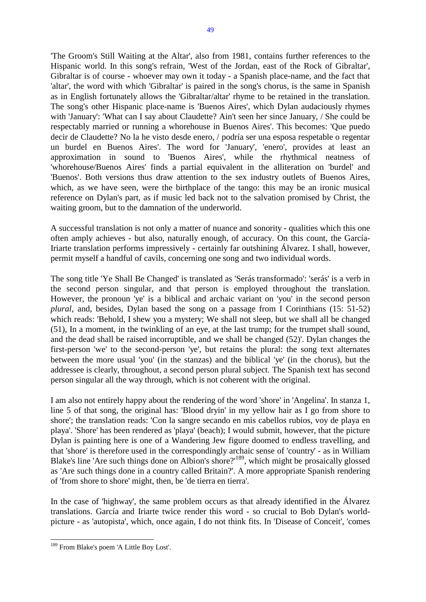'The Groom's Still Waiting at the Altar', also from 1981, contains further references to the Hispanic world. In this song's refrain, 'West of the Jordan, east of the Rock of Gibraltar', Gibraltar is of course - whoever may own it today - a Spanish place-name, and the fact that 'altar', the word with which 'Gibraltar' is paired in the song's chorus, is the same in Spanish as in English fortunately allows the 'Gibraltar/altar' rhyme to be retained in the translation. The song's other Hispanic place-name is 'Buenos Aires', which Dylan audaciously rhymes with 'January': 'What can I say about Claudette? Ain't seen her since January, / She could be respectably married or running a whorehouse in Buenos Aires'. This becomes: 'Que puedo decir de Claudette? No la he visto desde enero, / podría ser una esposa respetable o regentar un burdel en Buenos Aires'. The word for 'January', 'enero', provides at least an approximation in sound to 'Buenos Aires', while the rhythmical neatness of 'whorehouse/Buenos Aires' finds a partial equivalent in the alliteration on 'burdel' and 'Buenos'. Both versions thus draw attention to the sex industry outlets of Buenos Aires, which, as we have seen, were the birthplace of the tango: this may be an ironic musical reference on Dylan's part, as if music led back not to the salvation promised by Christ, the waiting groom, but to the damnation of the underworld.

A successful translation is not only a matter of nuance and sonority - qualities which this one often amply achieves - but also, naturally enough, of accuracy. On this count, the García-Iriarte translation performs impressively - certainly far outshining Álvarez. I shall, however, permit myself a handful of cavils, concerning one song and two individual words.

The song title 'Ye Shall Be Changed' is translated as 'Serás transformado': 'serás' is a verb in the second person singular, and that person is employed throughout the translation. However, the pronoun 'ye' is a biblical and archaic variant on 'you' in the second person *plural*, and, besides, Dylan based the song on a passage from I Corinthians (15: 51-52) which reads: 'Behold, I shew you a mystery; We shall not sleep, but we shall all be changed (51), In a moment, in the twinkling of an eye, at the last trump; for the trumpet shall sound, and the dead shall be raised incorruptible, and we shall be changed (52)'. Dylan changes the first-person 'we' to the second-person 'ye', but retains the plural: the song text alternates between the more usual 'you' (in the stanzas) and the biblical 'ye' (in the chorus), but the addressee is clearly, throughout, a second person plural subject. The Spanish text has second person singular all the way through, which is not coherent with the original.

I am also not entirely happy about the rendering of the word 'shore' in 'Angelina'. In stanza 1, line 5 of that song, the original has: 'Blood dryin' in my yellow hair as I go from shore to shore'; the translation reads: 'Con la sangre secando en mis cabellos rubios, voy de playa en playa'. 'Shore' has been rendered as 'playa' (beach); I would submit, however, that the picture Dylan is painting here is one of a Wandering Jew figure doomed to endless travelling, and that 'shore' is therefore used in the correspondingly archaic sense of 'country' - as in William Blake's line 'Are such things done on Albion's shore?'189, which might be prosaically glossed as 'Are such things done in a country called Britain?'. A more appropriate Spanish rendering of 'from shore to shore' might, then, be 'de tierra en tierra'.

In the case of 'highway', the same problem occurs as that already identified in the Álvarez translations. García and Iriarte twice render this word - so crucial to Bob Dylan's worldpicture - as 'autopista', which, once again, I do not think fits. In 'Disease of Conceit', 'comes

<sup>&</sup>lt;sup>189</sup> From Blake's poem 'A Little Boy Lost'.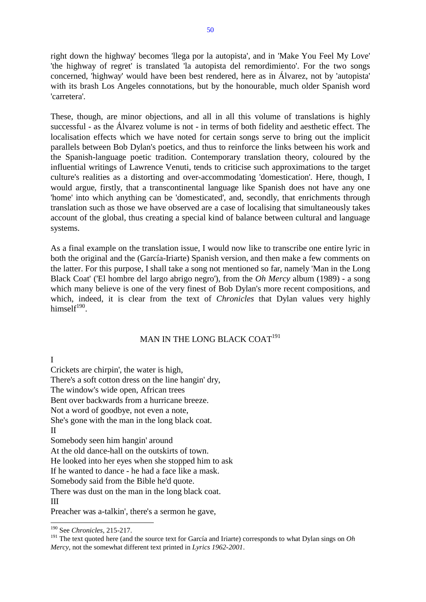right down the highway' becomes 'llega por la autopista', and in 'Make You Feel My Love' 'the highway of regret' is translated 'la autopista del remordimiento'. For the two songs concerned, 'highway' would have been best rendered, here as in Álvarez, not by 'autopista' with its brash Los Angeles connotations, but by the honourable, much older Spanish word 'carretera'.

These, though, are minor objections, and all in all this volume of translations is highly successful - as the Álvarez volume is not - in terms of both fidelity and aesthetic effect. The localisation effects which we have noted for certain songs serve to bring out the implicit parallels between Bob Dylan's poetics, and thus to reinforce the links between his work and the Spanish-language poetic tradition. Contemporary translation theory, coloured by the influential writings of Lawrence Venuti, tends to criticise such approximations to the target culture's realities as a distorting and over-accommodating 'domestication'. Here, though, I would argue, firstly, that a transcontinental language like Spanish does not have any one 'home' into which anything can be 'domesticated', and, secondly, that enrichments through translation such as those we have observed are a case of localising that simultaneously takes account of the global, thus creating a special kind of balance between cultural and language systems.

As a final example on the translation issue, I would now like to transcribe one entire lyric in both the original and the (García-Iriarte) Spanish version, and then make a few comments on the latter. For this purpose, I shall take a song not mentioned so far, namely 'Man in the Long Black Coat' ('El hombre del largo abrigo negro'), from the *Oh Mercy* album (1989) - a song which many believe is one of the very finest of Bob Dylan's more recent compositions, and which, indeed, it is clear from the text of *Chronicles* that Dylan values very highly himsel $f^{190}$ .

## MAN IN THE LONG BLACK COAT<sup>191</sup>

I

Crickets are chirpin', the water is high,

There's a soft cotton dress on the line hangin' dry,

The window's wide open, African trees

Bent over backwards from a hurricane breeze.

Not a word of goodbye, not even a note,

She's gone with the man in the long black coat.

II

l

Somebody seen him hangin' around

At the old dance-hall on the outskirts of town.

He looked into her eyes when she stopped him to ask

If he wanted to dance - he had a face like a mask.

Somebody said from the Bible he'd quote.

There was dust on the man in the long black coat. III

Preacher was a-talkin', there's a sermon he gave,

<sup>190</sup> See *Chronicles*, 215-217.

<sup>191</sup> The text quoted here (and the source text for García and Iriarte) corresponds to what Dylan sings on *Oh Mercy*, not the somewhat different text printed in *Lyrics 1962-2001*.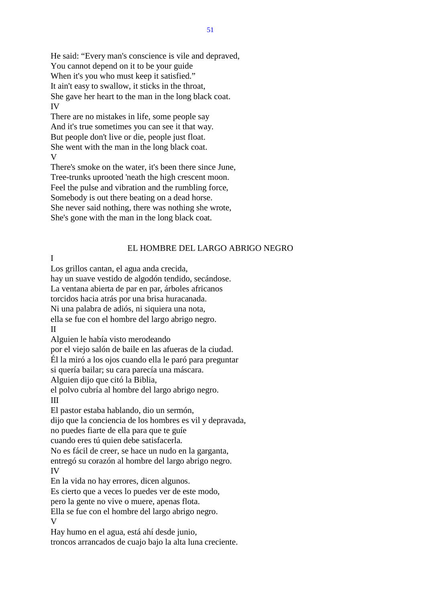He said: "Every man's conscience is vile and depraved, You cannot depend on it to be your guide When it's you who must keep it satisfied." It ain't easy to swallow, it sticks in the throat, She gave her heart to the man in the long black coat. IV

There are no mistakes in life, some people say And it's true sometimes you can see it that way. But people don't live or die, people just float. She went with the man in the long black coat. V

There's smoke on the water, it's been there since June, Tree-trunks uprooted 'neath the high crescent moon. Feel the pulse and vibration and the rumbling force, Somebody is out there beating on a dead horse. She never said nothing, there was nothing she wrote, She's gone with the man in the long black coat.

## EL HOMBRE DEL LARGO ABRIGO NEGRO

I

Los grillos cantan, el agua anda crecida,

hay un suave vestido de algodón tendido, secándose.

La ventana abierta de par en par, árboles africanos

torcidos hacia atrás por una brisa huracanada.

Ni una palabra de adiós, ni siquiera una nota,

ella se fue con el hombre del largo abrigo negro.

II

Alguien le había visto merodeando

por el viejo salón de baile en las afueras de la ciudad.

Él la miró a los ojos cuando ella le paró para preguntar

si quería bailar; su cara parecía una máscara.

Alguien dijo que citó la Biblia,

el polvo cubría al hombre del largo abrigo negro.

III

El pastor estaba hablando, dio un sermón,

dijo que la conciencia de los hombres es vil y depravada,

no puedes fiarte de ella para que te guíe

cuando eres tú quien debe satisfacerla.

No es fácil de creer, se hace un nudo en la garganta,

entregó su corazón al hombre del largo abrigo negro.

IV

En la vida no hay errores, dicen algunos.

Es cierto que a veces lo puedes ver de este modo,

pero la gente no vive o muere, apenas flota.

Ella se fue con el hombre del largo abrigo negro. V

Hay humo en el agua, está ahí desde junio, troncos arrancados de cuajo bajo la alta luna creciente.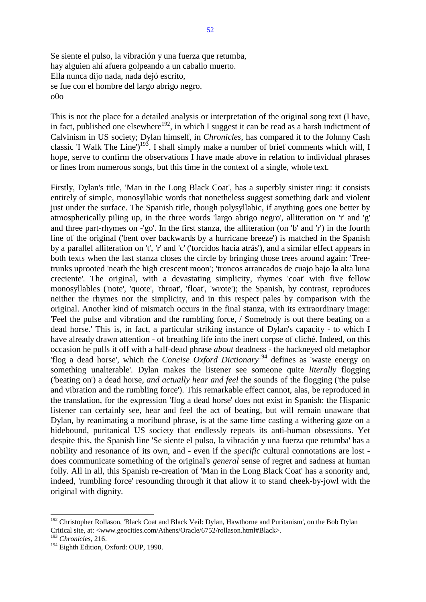Se siente el pulso, la vibración y una fuerza que retumba, hay alguien ahí afuera golpeando a un caballo muerto. Ella nunca dijo nada, nada dejó escrito, se fue con el hombre del largo abrigo negro. o0o

This is not the place for a detailed analysis or interpretation of the original song text (I have, in fact, published one elsewhere<sup>192</sup>, in which I suggest it can be read as a harsh indictment of Calvinism in US society; Dylan himself, in *Chronicles*, has compared it to the Johnny Cash classic 'I Walk The Line')<sup>193</sup>. I shall simply make a number of brief comments which will, I hope, serve to confirm the observations I have made above in relation to individual phrases or lines from numerous songs, but this time in the context of a single, whole text.

Firstly, Dylan's title, 'Man in the Long Black Coat', has a superbly sinister ring: it consists entirely of simple, monosyllabic words that nonetheless suggest something dark and violent just under the surface. The Spanish title, though polysyllabic, if anything goes one better by atmospherically piling up, in the three words 'largo abrigo negro', alliteration on 'r' and 'g' and three part-rhymes on -'go'. In the first stanza, the alliteration (on 'b' and 'r') in the fourth line of the original ('bent over backwards by a hurricane breeze') is matched in the Spanish by a parallel alliteration on 't', 'r' and 'c' ('torcidos hacia atrás'), and a similar effect appears in both texts when the last stanza closes the circle by bringing those trees around again: 'Treetrunks uprooted 'neath the high crescent moon'; 'troncos arrancados de cuajo bajo la alta luna creciente'. The original, with a devastating simplicity, rhymes 'coat' with five fellow monosyllables ('note', 'quote', 'throat', 'float', 'wrote'); the Spanish, by contrast, reproduces neither the rhymes nor the simplicity, and in this respect pales by comparison with the original. Another kind of mismatch occurs in the final stanza, with its extraordinary image: 'Feel the pulse and vibration and the rumbling force, / Somebody is out there beating on a dead horse.' This is, in fact, a particular striking instance of Dylan's capacity - to which I have already drawn attention - of breathing life into the inert corpse of cliché. Indeed, on this occasion he pulls it off with a half-dead phrase *about* deadness - the hackneyed old metaphor 'flog a dead horse', which the *Concise Oxford Dictionary*194 defines as 'waste energy on something unalterable'. Dylan makes the listener see someone quite *literally* flogging ('beating on') a dead horse, *and actually hear and feel* the sounds of the flogging ('the pulse and vibration and the rumbling force'). This remarkable effect cannot, alas, be reproduced in the translation, for the expression 'flog a dead horse' does not exist in Spanish: the Hispanic listener can certainly see, hear and feel the act of beating, but will remain unaware that Dylan, by reanimating a moribund phrase, is at the same time casting a withering gaze on a hidebound, puritanical US society that endlessly repeats its anti-human obsessions. Yet despite this, the Spanish line 'Se siente el pulso, la vibración y una fuerza que retumba' has a nobility and resonance of its own, and - even if the *specific* cultural connotations are lost does communicate something of the original's *general* sense of regret and sadness at human folly. All in all, this Spanish re-creation of 'Man in the Long Black Coat' has a sonority and, indeed, 'rumbling force' resounding through it that allow it to stand cheek-by-jowl with the original with dignity.

<sup>&</sup>lt;sup>192</sup> Christopher Rollason, 'Black Coat and Black Veil: Dylan, Hawthorne and Puritanism', on the Bob Dylan Critical site, at: <www.geocities.com/Athens/Oracle/6752/rollason.html#Black>.

<sup>&</sup>lt;sup>3</sup> Chronicles, 216.

<sup>&</sup>lt;sup>194</sup> Eighth Edition, Oxford: OUP, 1990.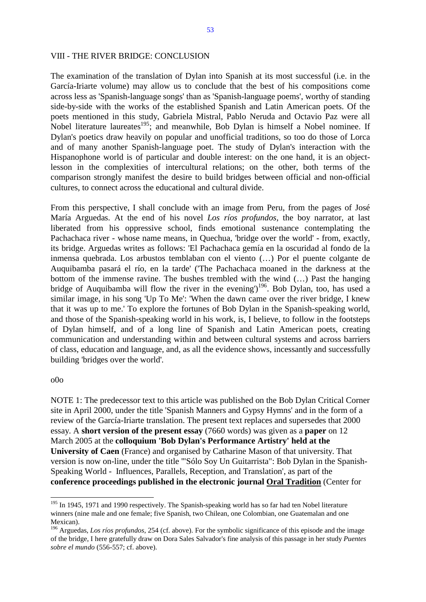#### VIII - THE RIVER BRIDGE: CONCLUSION

The examination of the translation of Dylan into Spanish at its most successful (i.e. in the García-Iriarte volume) may allow us to conclude that the best of his compositions come across less as 'Spanish-language songs' than as 'Spanish-language poems', worthy of standing side-by-side with the works of the established Spanish and Latin American poets. Of the poets mentioned in this study, Gabriela Mistral, Pablo Neruda and Octavio Paz were all Nobel literature laureates<sup>195</sup>; and meanwhile, Bob Dylan is himself a Nobel nominee. If Dylan's poetics draw heavily on popular and unofficial traditions, so too do those of Lorca and of many another Spanish-language poet. The study of Dylan's interaction with the Hispanophone world is of particular and double interest: on the one hand, it is an objectlesson in the complexities of intercultural relations; on the other, both terms of the comparison strongly manifest the desire to build bridges between official and non-official cultures, to connect across the educational and cultural divide.

From this perspective, I shall conclude with an image from Peru, from the pages of José María Arguedas. At the end of his novel *Los ríos profundos*, the boy narrator, at last liberated from his oppressive school, finds emotional sustenance contemplating the Pachachaca river - whose name means, in Quechua, 'bridge over the world' - from, exactly, its bridge. Arguedas writes as follows: 'El Pachachaca gemía en la oscuridad al fondo de la inmensa quebrada. Los arbustos temblaban con el viento (…) Por el puente colgante de Auquibamba pasará el río, en la tarde' ('The Pachachaca moaned in the darkness at the bottom of the immense ravine. The bushes trembled with the wind (…) Past the hanging bridge of Auquibamba will flow the river in the evening')<sup>196</sup>. Bob Dylan, too, has used a similar image, in his song 'Up To Me': 'When the dawn came over the river bridge, I knew that it was up to me.' To explore the fortunes of Bob Dylan in the Spanish-speaking world, and those of the Spanish-speaking world in his work, is, I believe, to follow in the footsteps of Dylan himself, and of a long line of Spanish and Latin American poets, creating communication and understanding within and between cultural systems and across barriers of class, education and language, and, as all the evidence shows, incessantly and successfully building 'bridges over the world'.

#### o0o

l

NOTE 1: The predecessor text to this article was published on the Bob Dylan Critical Corner site in April 2000, under the title 'Spanish Manners and Gypsy Hymns' and in the form of a review of the García-Iriarte translation. The present text replaces and supersedes that 2000 essay. A **short version of the present essay** (7660 words) was given as a **paper** on 12 March 2005 at the **colloquium 'Bob Dylan's Performance Artistry' held at the University of Caen** (France) and organised by Catharine Mason of that university. That version is now on-line, under the title '"Sólo Soy Un Guitarrista": Bob Dylan in the Spanish-Speaking World - Influences, Parallels, Reception, and Translation', as part of the **conference proceedings published in the electronic journal Oral Tradition** (Center for

<sup>&</sup>lt;sup>195</sup> In 1945, 1971 and 1990 respectively. The Spanish-speaking world has so far had ten Nobel literature winners (nine male and one female; five Spanish, two Chilean, one Colombian, one Guatemalan and one Mexican).

<sup>196</sup> Arguedas, *Los ríos profundos*, 254 (cf. above). For the symbolic significance of this episode and the image of the bridge, I here gratefully draw on Dora Sales Salvador's fine analysis of this passage in her study *Puentes sobre el mundo* (556-557; cf. above).